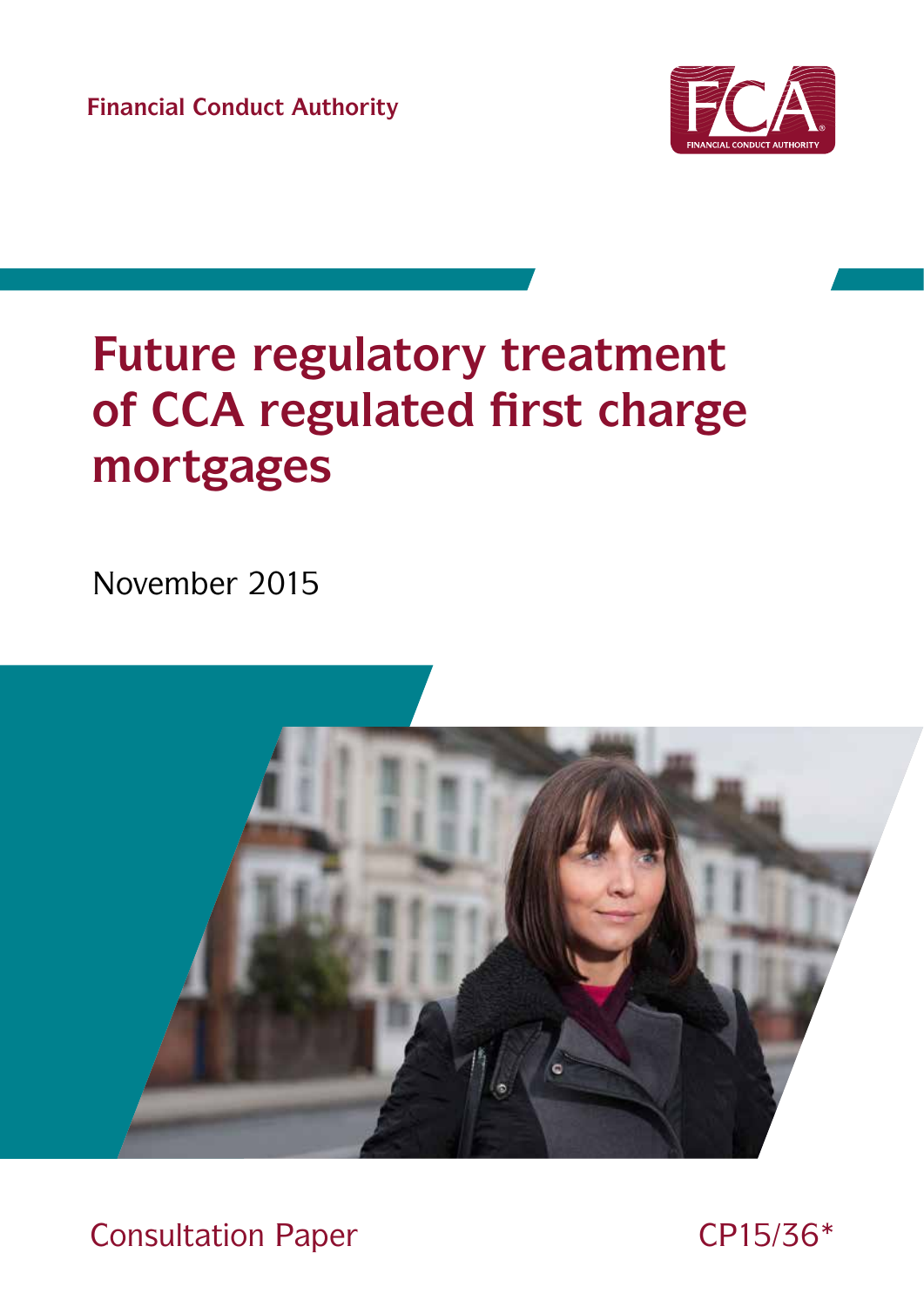**Financial Conduct Authority**



# **Future regulatory treatment of CCA regulated first charge mortgages**

November 2015



Consultation Paper CP15/36\*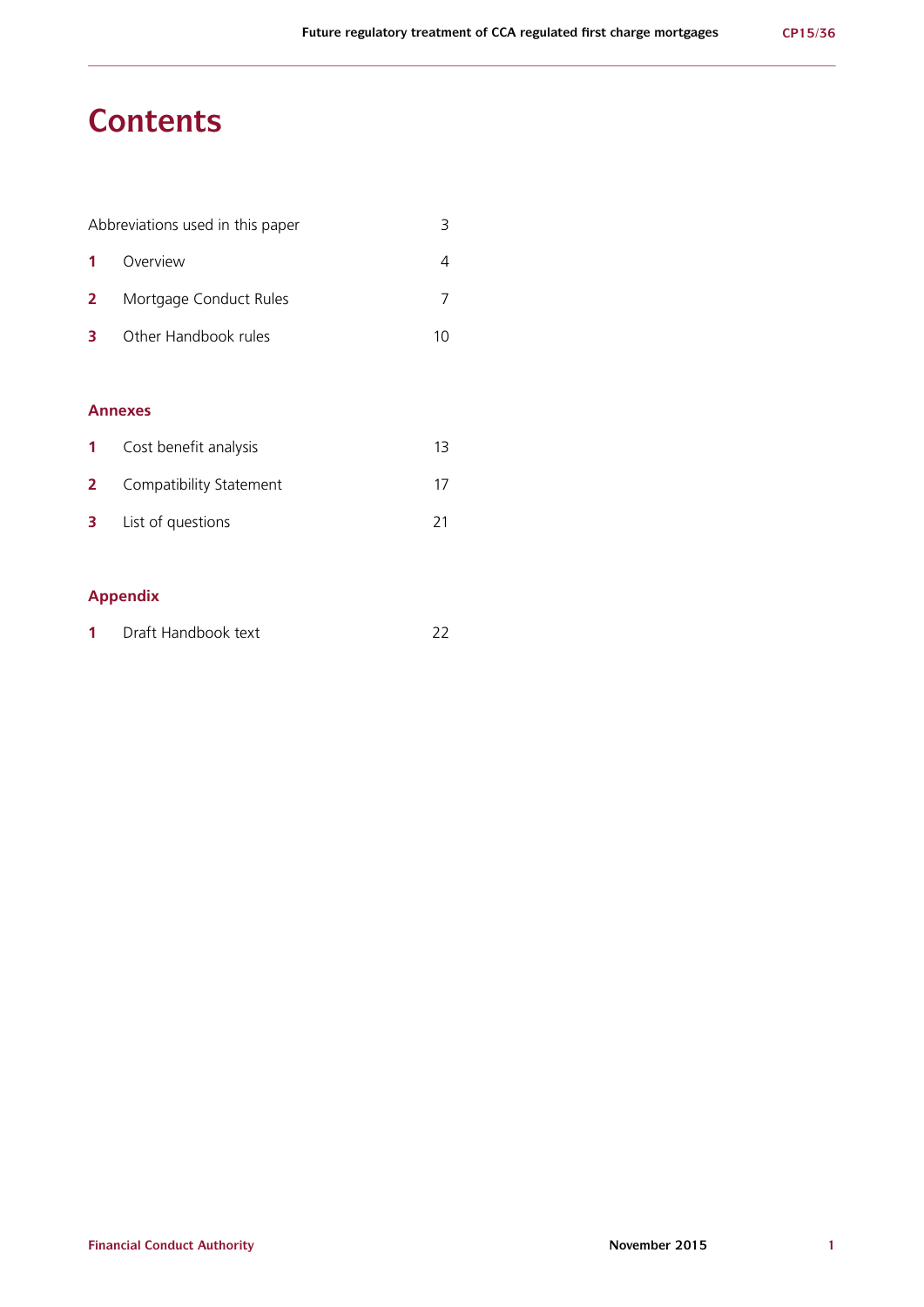## **Contents**

| Abbreviations used in this paper |                        |    |  |  |  |
|----------------------------------|------------------------|----|--|--|--|
| -1                               | Overview               |    |  |  |  |
| $\mathbf{2}$                     | Mortgage Conduct Rules |    |  |  |  |
| 3                                | Other Handbook rules   | 10 |  |  |  |
|                                  |                        |    |  |  |  |
|                                  | A                      |    |  |  |  |

#### **Annexes**

|   | <b>1</b> Cost benefit analysis   |     |
|---|----------------------------------|-----|
|   | <b>2</b> Compatibility Statement |     |
| 3 | List of questions                | -21 |

## **Appendix**

| Draft Handbook text |  |
|---------------------|--|
|                     |  |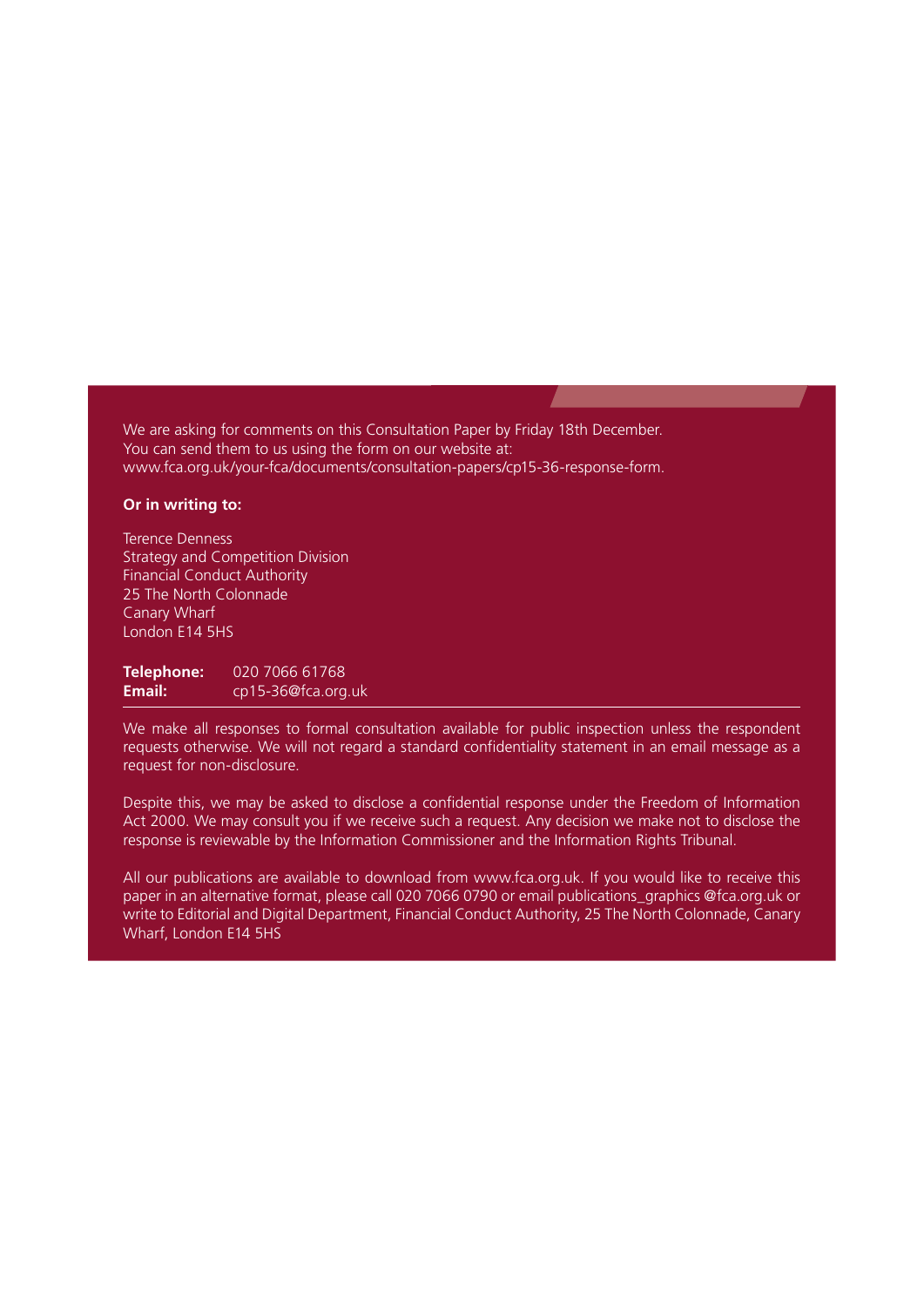We are asking for comments on this Consultation Paper by Friday 18th December. You can send them to us using the form on our website at: [www.fca.org.uk/your-fca/documents/consultation-papers/cp15-36-response-form.](http://www.fca.org.uk/your-fca/documents/consultation-papers/cp15-36-response-form)

#### **Or in writing to:**

Terence Denness Strategy and Competition Division Financial Conduct Authority 25 The North Colonnade Canary Wharf London E14 5HS

**Telephone:** 020 7066 61768<br>**Email:** cn15-36@fca.org **Email:** cp15-36@fca.org.uk

We make all responses to formal consultation available for public inspection unless the respondent requests otherwise. We will not regard a standard confidentiality statement in an email message as a request for non-disclosure.

Despite this, we may be asked to disclose a confidential response under the Freedom of Information Act 2000. We may consult you if we receive such a request. Any decision we make not to disclose the response is reviewable by the Information Commissioner and the Information Rights Tribunal.

All our publications are available to download from www.fca.org.uk. If you would like to receive this paper in an alternative format, please call 020 7066 0790 or email publications\_graphics @fca.org.uk or write to Editorial and Digital Department, Financial Conduct Authority, 25 The North Colonnade, Canary Wharf, London E14 5HS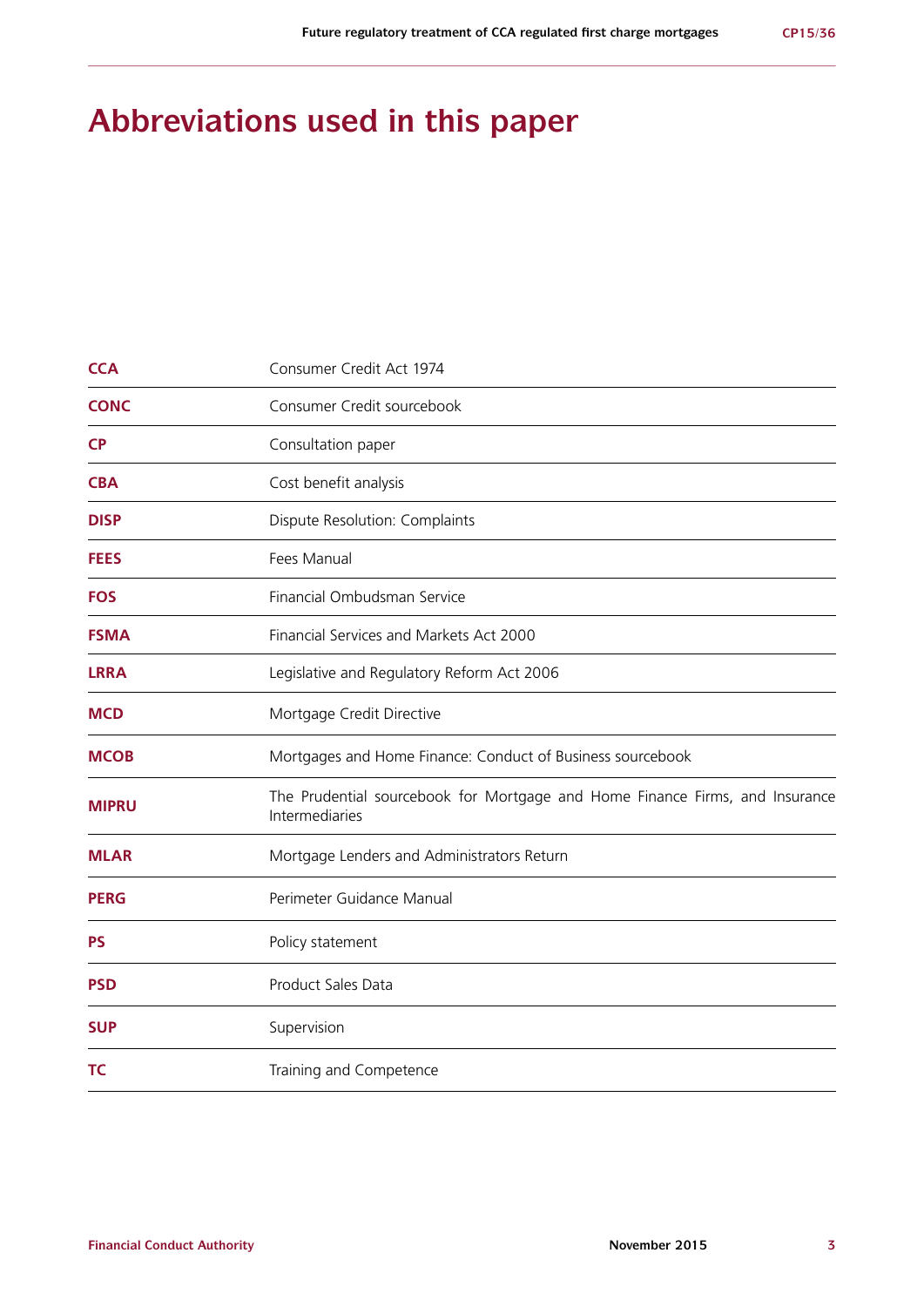## **Abbreviations used in this paper**

| <b>CCA</b>   | Consumer Credit Act 1974                                                                       |  |  |
|--------------|------------------------------------------------------------------------------------------------|--|--|
| <b>CONC</b>  | Consumer Credit sourcebook                                                                     |  |  |
| <b>CP</b>    | Consultation paper                                                                             |  |  |
| <b>CBA</b>   | Cost benefit analysis                                                                          |  |  |
| <b>DISP</b>  | Dispute Resolution: Complaints                                                                 |  |  |
| <b>FEES</b>  | Fees Manual                                                                                    |  |  |
| <b>FOS</b>   | Financial Ombudsman Service                                                                    |  |  |
| <b>FSMA</b>  | Financial Services and Markets Act 2000                                                        |  |  |
| <b>LRRA</b>  | Legislative and Regulatory Reform Act 2006                                                     |  |  |
| <b>MCD</b>   | Mortgage Credit Directive                                                                      |  |  |
| <b>MCOB</b>  | Mortgages and Home Finance: Conduct of Business sourcebook                                     |  |  |
| <b>MIPRU</b> | The Prudential sourcebook for Mortgage and Home Finance Firms, and Insurance<br>Intermediaries |  |  |
| <b>MLAR</b>  | Mortgage Lenders and Administrators Return                                                     |  |  |
| <b>PERG</b>  | Perimeter Guidance Manual                                                                      |  |  |
| <b>PS</b>    | Policy statement                                                                               |  |  |
| <b>PSD</b>   | Product Sales Data                                                                             |  |  |
| <b>SUP</b>   | Supervision                                                                                    |  |  |
| <b>TC</b>    | Training and Competence                                                                        |  |  |
|              |                                                                                                |  |  |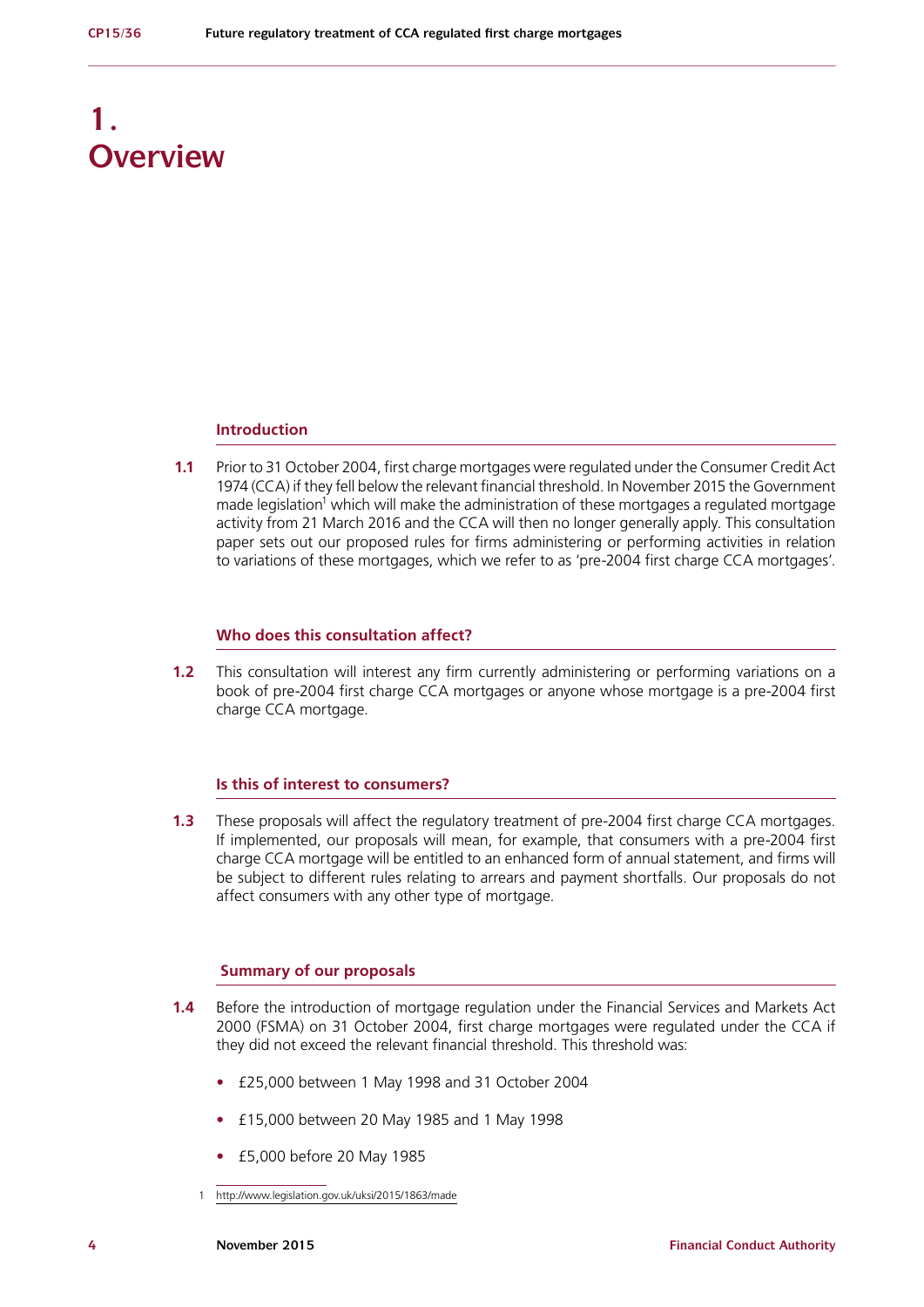## **1. Overview**

#### **Introduction**

**1.1** Prior to 31 October 2004, first charge mortgages were regulated under the Consumer Credit Act 1974 (CCA) if they fell below the relevant financial threshold. In November 2015 the Government made legislation<sup>1</sup> which will make the administration of these mortgages a regulated mortgage activity from 21 March 2016 and the CCA will then no longer generally apply. This consultation paper sets out our proposed rules for firms administering or performing activities in relation to variations of these mortgages, which we refer to as 'pre-2004 first charge CCA mortgages'.

#### **Who does this consultation affect?**

**1.2** This consultation will interest any firm currently administering or performing variations on a book of pre-2004 first charge CCA mortgages or anyone whose mortgage is a pre-2004 first charge CCA mortgage.

#### **Is this of interest to consumers?**

**1.3** These proposals will affect the regulatory treatment of pre-2004 first charge CCA mortgages. If implemented, our proposals will mean, for example, that consumers with a pre-2004 first charge CCA mortgage will be entitled to an enhanced form of annual statement, and firms will be subject to different rules relating to arrears and payment shortfalls. Our proposals do not affect consumers with any other type of mortgage.

#### **Summary of our proposals**

- **1.4** Before the introduction of mortgage regulation under the Financial Services and Markets Act 2000 (FSMA) on 31 October 2004, first charge mortgages were regulated under the CCA if they did not exceed the relevant financial threshold. This threshold was:
	- **•** £25,000 between 1 May 1998 and 31 October 2004
	- **•** £15,000 between 20 May 1985 and 1 May 1998
	- **•** £5,000 before 20 May 1985
	- 1 <http://www.legislation.gov.uk/uksi/2015/1863/made>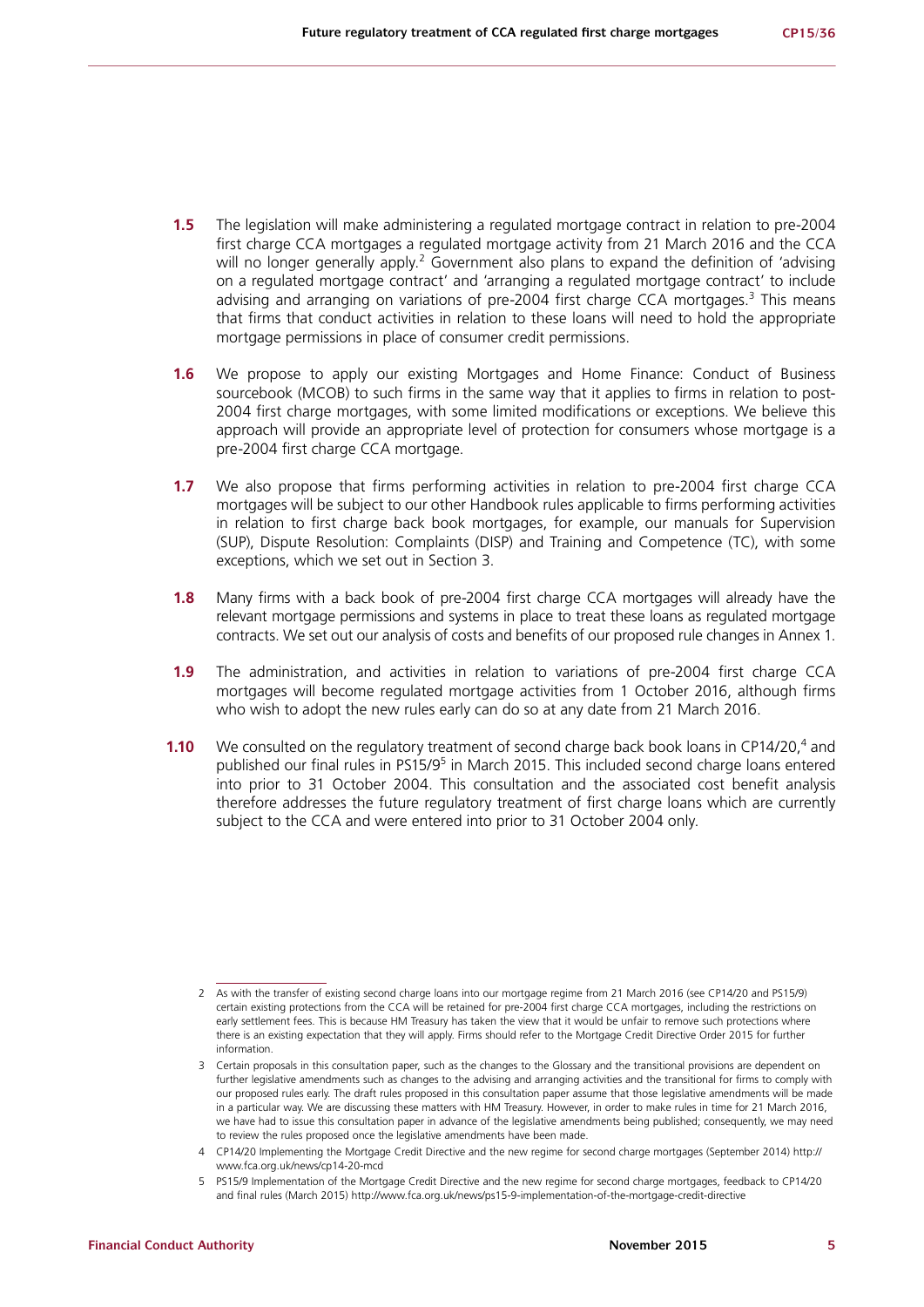- **1.5** The legislation will make administering a regulated mortgage contract in relation to pre-2004 first charge CCA mortgages a regulated mortgage activity from 21 March 2016 and the CCA will no longer generally apply.<sup>2</sup> Government also plans to expand the definition of 'advising on a regulated mortgage contract' and 'arranging a regulated mortgage contract' to include advising and arranging on variations of pre-2004 first charge CCA mortgages.<sup>3</sup> This means that firms that conduct activities in relation to these loans will need to hold the appropriate mortgage permissions in place of consumer credit permissions.
- **1.6** We propose to apply our existing Mortgages and Home Finance: Conduct of Business sourcebook (MCOB) to such firms in the same way that it applies to firms in relation to post-2004 first charge mortgages, with some limited modifications or exceptions. We believe this approach will provide an appropriate level of protection for consumers whose mortgage is a pre-2004 first charge CCA mortgage.
- **1.7** We also propose that firms performing activities in relation to pre-2004 first charge CCA mortgages will be subject to our other Handbook rules applicable to firms performing activities in relation to first charge back book mortgages, for example, our manuals for Supervision (SUP), Dispute Resolution: Complaints (DISP) and Training and Competence (TC), with some exceptions, which we set out in Section 3.
- **1.8** Many firms with a back book of pre-2004 first charge CCA mortgages will already have the relevant mortgage permissions and systems in place to treat these loans as regulated mortgage contracts. We set out our analysis of costs and benefits of our proposed rule changes in Annex 1.
- **1.9** The administration, and activities in relation to variations of pre-2004 first charge CCA mortgages will become regulated mortgage activities from 1 October 2016, although firms who wish to adopt the new rules early can do so at any date from 21 March 2016.
- **1.10** We consulted on the regulatory treatment of second charge back book loans in CP14/20,<sup>4</sup> and published our final rules in PS15/9<sup>5</sup> in March 2015. This included second charge loans entered into prior to 31 October 2004. This consultation and the associated cost benefit analysis therefore addresses the future regulatory treatment of first charge loans which are currently subject to the CCA and were entered into prior to 31 October 2004 only.

<sup>2</sup> As with the transfer of existing second charge loans into our mortgage regime from 21 March 2016 (see CP14/20 and PS15/9) certain existing protections from the CCA will be retained for pre-2004 first charge CCA mortgages, including the restrictions on early settlement fees. This is because HM Treasury has taken the view that it would be unfair to remove such protections where there is an existing expectation that they will apply. Firms should refer to the Mortgage Credit Directive Order 2015 for further information.

<sup>3</sup> Certain proposals in this consultation paper, such as the changes to the Glossary and the transitional provisions are dependent on further legislative amendments such as changes to the advising and arranging activities and the transitional for firms to comply with our proposed rules early. The draft rules proposed in this consultation paper assume that those legislative amendments will be made in a particular way. We are discussing these matters with HM Treasury. However, in order to make rules in time for 21 March 2016, we have had to issue this consultation paper in advance of the legislative amendments being published; consequently, we may need to review the rules proposed once the legislative amendments have been made.

<sup>4</sup> CP14/20 Implementing the Mortgage Credit Directive and the new regime for second charge mortgages (September 2014) http:// www.fca.org.uk/news/cp14-20-mcd

<sup>5</sup> PS15/9 Implementation of the Mortgage Credit Directive and the new regime for second charge mortgages, feedback to CP14/20 and final rules (March 2015) http://www.fca.org.uk/news/ps15-9-implementation-of-the-mortgage-credit-directive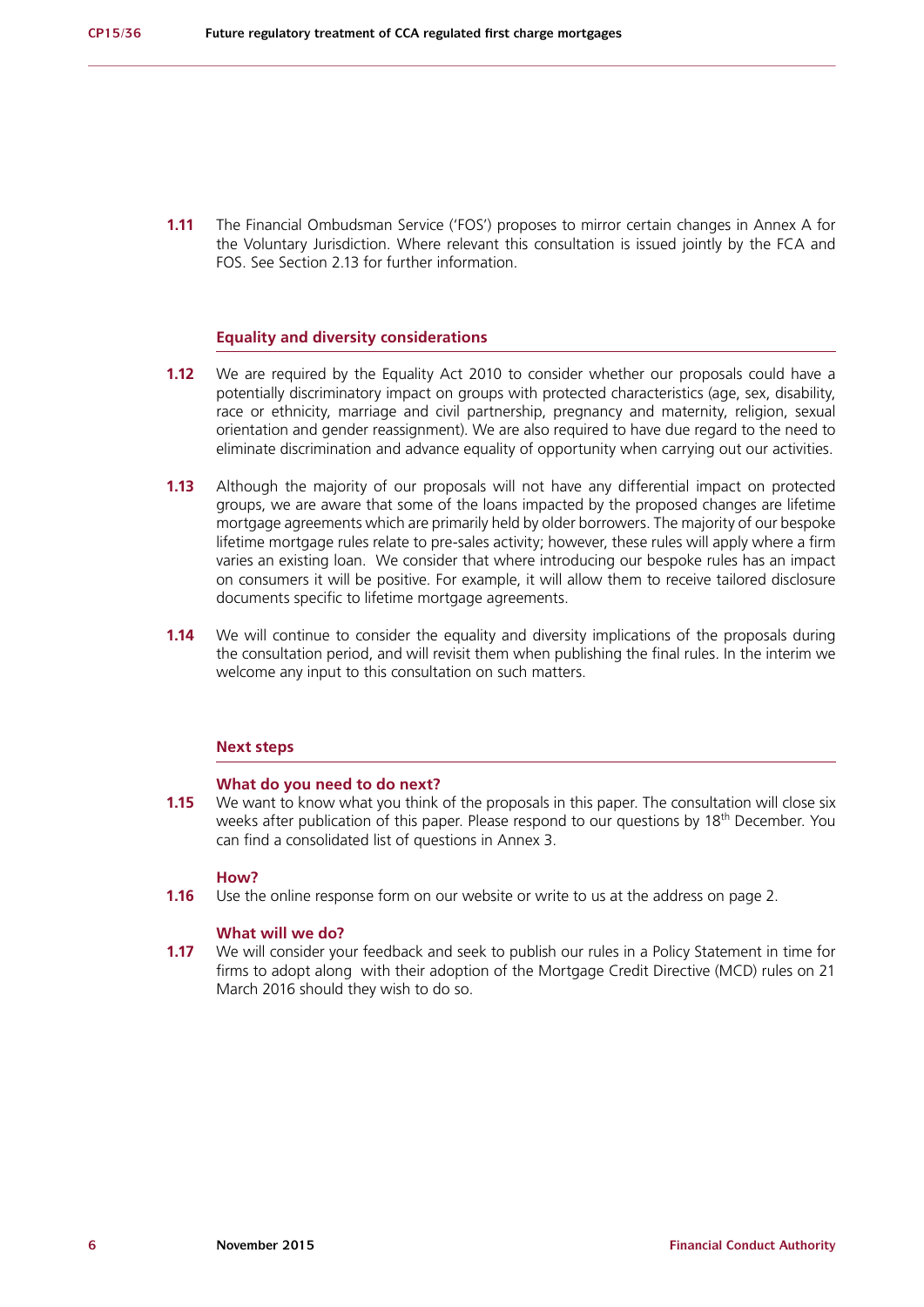**1.11** The Financial Ombudsman Service ('FOS') proposes to mirror certain changes in Annex A for the Voluntary Jurisdiction. Where relevant this consultation is issued jointly by the FCA and FOS. See Section 2.13 for further information.

#### **Equality and diversity considerations**

- **1.12** We are required by the Equality Act 2010 to consider whether our proposals could have a potentially discriminatory impact on groups with protected characteristics (age, sex, disability, race or ethnicity, marriage and civil partnership, pregnancy and maternity, religion, sexual orientation and gender reassignment). We are also required to have due regard to the need to eliminate discrimination and advance equality of opportunity when carrying out our activities.
- **1.13** Although the majority of our proposals will not have any differential impact on protected groups, we are aware that some of the loans impacted by the proposed changes are lifetime mortgage agreements which are primarily held by older borrowers. The majority of our bespoke lifetime mortgage rules relate to pre-sales activity; however, these rules will apply where a firm varies an existing loan. We consider that where introducing our bespoke rules has an impact on consumers it will be positive. For example, it will allow them to receive tailored disclosure documents specific to lifetime mortgage agreements.
- **1.14** We will continue to consider the equality and diversity implications of the proposals during the consultation period, and will revisit them when publishing the final rules. In the interim we welcome any input to this consultation on such matters.

#### **Next steps**

#### **What do you need to do next?**

**1.15** We want to know what you think of the proposals in this paper. The consultation will close six weeks after publication of this paper. Please respond to our questions by 18<sup>th</sup> December. You can find a consolidated list of questions in Annex 3.

#### **How?**

**1.16** Use the online response form on our website or write to us at the address on page 2.

#### **What will we do?**

**1.17** We will consider your feedback and seek to publish our rules in a Policy Statement in time for firms to adopt along with their adoption of the Mortgage Credit Directive (MCD) rules on 21 March 2016 should they wish to do so.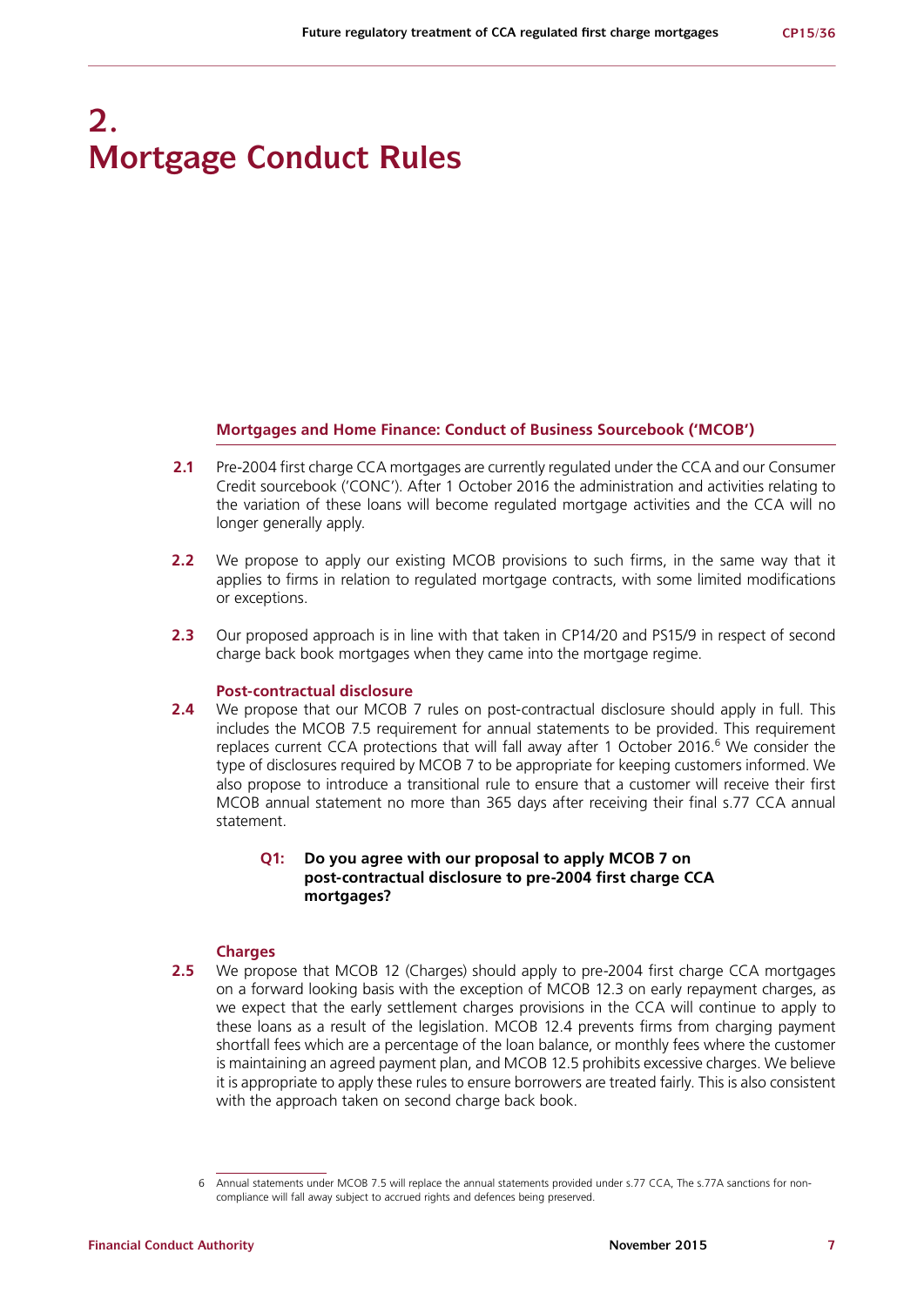## **2. Mortgage Conduct Rules**

#### **Mortgages and Home Finance: Conduct of Business Sourcebook ('MCOB')**

- **2.1** Pre-2004 first charge CCA mortgages are currently regulated under the CCA and our Consumer Credit sourcebook ('CONC'). After 1 October 2016 the administration and activities relating to the variation of these loans will become regulated mortgage activities and the CCA will no longer generally apply.
- **2.2** We propose to apply our existing MCOB provisions to such firms, in the same way that it applies to firms in relation to regulated mortgage contracts, with some limited modifications or exceptions.
- **2.3** Our proposed approach is in line with that taken in CP14/20 and PS15/9 in respect of second charge back book mortgages when they came into the mortgage regime.

#### **Post-contractual disclosure**

**2.4** We propose that our MCOB 7 rules on post-contractual disclosure should apply in full. This includes the MCOB 7.5 requirement for annual statements to be provided. This requirement replaces current CCA protections that will fall away after 1 October 2016.<sup>6</sup> We consider the type of disclosures required by MCOB 7 to be appropriate for keeping customers informed. We also propose to introduce a transitional rule to ensure that a customer will receive their first MCOB annual statement no more than 365 days after receiving their final s.77 CCA annual statement.

### **Q1: Do you agree with our proposal to apply MCOB 7 on post-contractual disclosure to pre-2004 first charge CCA mortgages?**

#### **Charges**

**2.5** We propose that MCOB 12 (Charges) should apply to pre-2004 first charge CCA mortgages on a forward looking basis with the exception of MCOB 12.3 on early repayment charges, as we expect that the early settlement charges provisions in the CCA will continue to apply to these loans as a result of the legislation. MCOB 12.4 prevents firms from charging payment shortfall fees which are a percentage of the loan balance, or monthly fees where the customer is maintaining an agreed payment plan, and MCOB 12.5 prohibits excessive charges. We believe it is appropriate to apply these rules to ensure borrowers are treated fairly. This is also consistent with the approach taken on second charge back book.

<sup>6</sup> Annual statements under MCOB 7.5 will replace the annual statements provided under s.77 CCA, The s.77A sanctions for noncompliance will fall away subject to accrued rights and defences being preserved.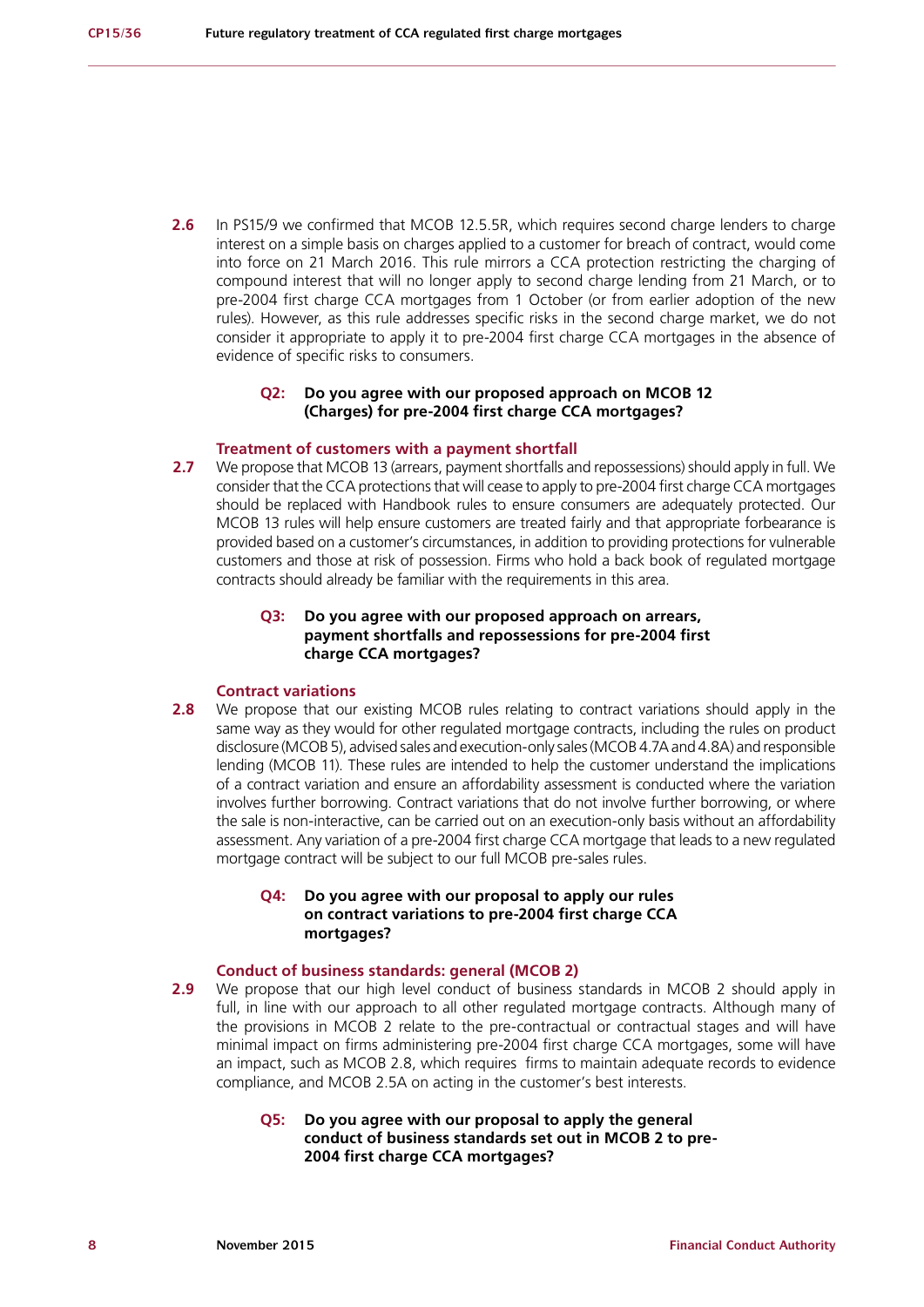**2.6** In PS15/9 we confirmed that MCOB 12.5.5R, which requires second charge lenders to charge interest on a simple basis on charges applied to a customer for breach of contract, would come into force on 21 March 2016. This rule mirrors a CCA protection restricting the charging of compound interest that will no longer apply to second charge lending from 21 March, or to pre-2004 first charge CCA mortgages from 1 October (or from earlier adoption of the new rules). However, as this rule addresses specific risks in the second charge market, we do not consider it appropriate to apply it to pre-2004 first charge CCA mortgages in the absence of evidence of specific risks to consumers.

#### **Q2: Do you agree with our proposed approach on MCOB 12 (Charges) for pre-2004 first charge CCA mortgages?**

#### **Treatment of customers with a payment shortfall**

**2.7** We propose that MCOB 13 (arrears, payment shortfalls and repossessions) should apply in full. We consider that the CCA protections that will cease to apply to pre-2004 first charge CCA mortgages should be replaced with Handbook rules to ensure consumers are adequately protected. Our MCOB 13 rules will help ensure customers are treated fairly and that appropriate forbearance is provided based on a customer's circumstances, in addition to providing protections for vulnerable customers and those at risk of possession. Firms who hold a back book of regulated mortgage contracts should already be familiar with the requirements in this area.

#### **Q3: Do you agree with our proposed approach on arrears, payment shortfalls and repossessions for pre-2004 first charge CCA mortgages?**

#### **Contract variations**

**2.8** We propose that our existing MCOB rules relating to contract variations should apply in the same way as they would for other regulated mortgage contracts, including the rules on product disclosure (MCOB 5), advised sales and execution-only sales (MCOB 4.7A and 4.8A) and responsible lending (MCOB 11). These rules are intended to help the customer understand the implications of a contract variation and ensure an affordability assessment is conducted where the variation involves further borrowing. Contract variations that do not involve further borrowing, or where the sale is non-interactive, can be carried out on an execution-only basis without an affordability assessment. Any variation of a pre-2004 first charge CCA mortgage that leads to a new regulated mortgage contract will be subject to our full MCOB pre-sales rules.

#### **Q4: Do you agree with our proposal to apply our rules on contract variations to pre-2004 first charge CCA mortgages?**

#### **Conduct of business standards: general (MCOB 2)**

**2.9** We propose that our high level conduct of business standards in MCOB 2 should apply in full, in line with our approach to all other regulated mortgage contracts. Although many of the provisions in MCOB 2 relate to the pre-contractual or contractual stages and will have minimal impact on firms administering pre-2004 first charge CCA mortgages, some will have an impact, such as MCOB 2.8, which requires firms to maintain adequate records to evidence compliance, and MCOB 2.5A on acting in the customer's best interests.

#### **Q5: Do you agree with our proposal to apply the general conduct of business standards set out in MCOB 2 to pre-2004 first charge CCA mortgages?**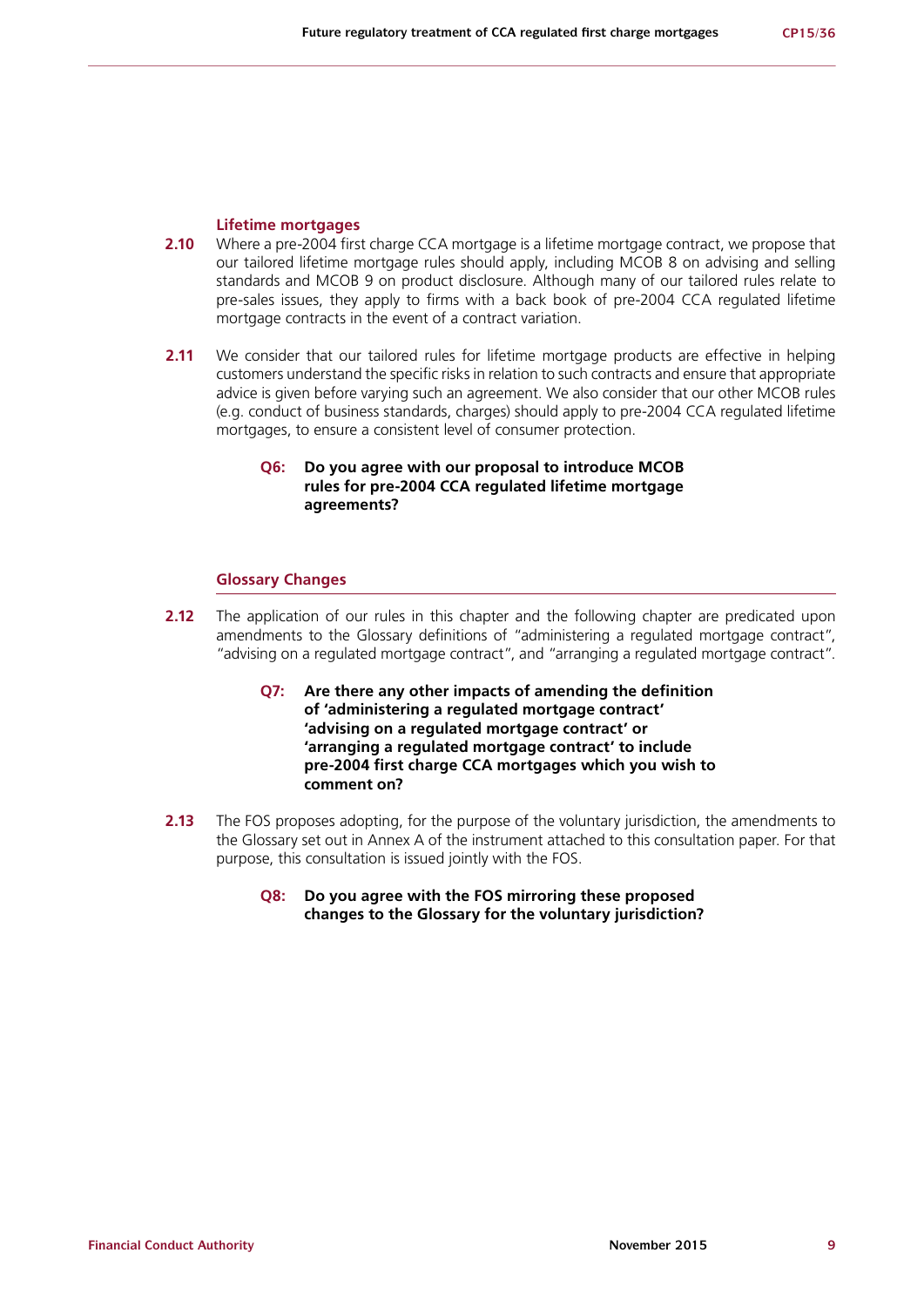#### **Lifetime mortgages**

- **2.10** Where a pre-2004 first charge CCA mortgage is a lifetime mortgage contract, we propose that our tailored lifetime mortgage rules should apply, including MCOB 8 on advising and selling standards and MCOB 9 on product disclosure. Although many of our tailored rules relate to pre-sales issues, they apply to firms with a back book of pre-2004 CCA regulated lifetime mortgage contracts in the event of a contract variation.
- **2.11** We consider that our tailored rules for lifetime mortgage products are effective in helping customers understand the specific risks in relation to such contracts and ensure that appropriate advice is given before varying such an agreement. We also consider that our other MCOB rules (e.g. conduct of business standards, charges) should apply to pre-2004 CCA regulated lifetime mortgages, to ensure a consistent level of consumer protection.

## **Q6: Do you agree with our proposal to introduce MCOB rules for pre-2004 CCA regulated lifetime mortgage agreements?**

#### **Glossary Changes**

- **2.12** The application of our rules in this chapter and the following chapter are predicated upon amendments to the Glossary definitions of "administering a regulated mortgage contract", "advising on a regulated mortgage contract", and "arranging a regulated mortgage contract".
	- **Q7: Are there any other impacts of amending the definition of 'administering a regulated mortgage contract' 'advising on a regulated mortgage contract' or 'arranging a regulated mortgage contract' to include pre-2004 first charge CCA mortgages which you wish to comment on?**
- **2.13** The FOS proposes adopting, for the purpose of the voluntary jurisdiction, the amendments to the Glossary set out in Annex A of the instrument attached to this consultation paper. For that purpose, this consultation is issued jointly with the FOS.
	- **Q8: Do you agree with the FOS mirroring these proposed changes to the Glossary for the voluntary jurisdiction?**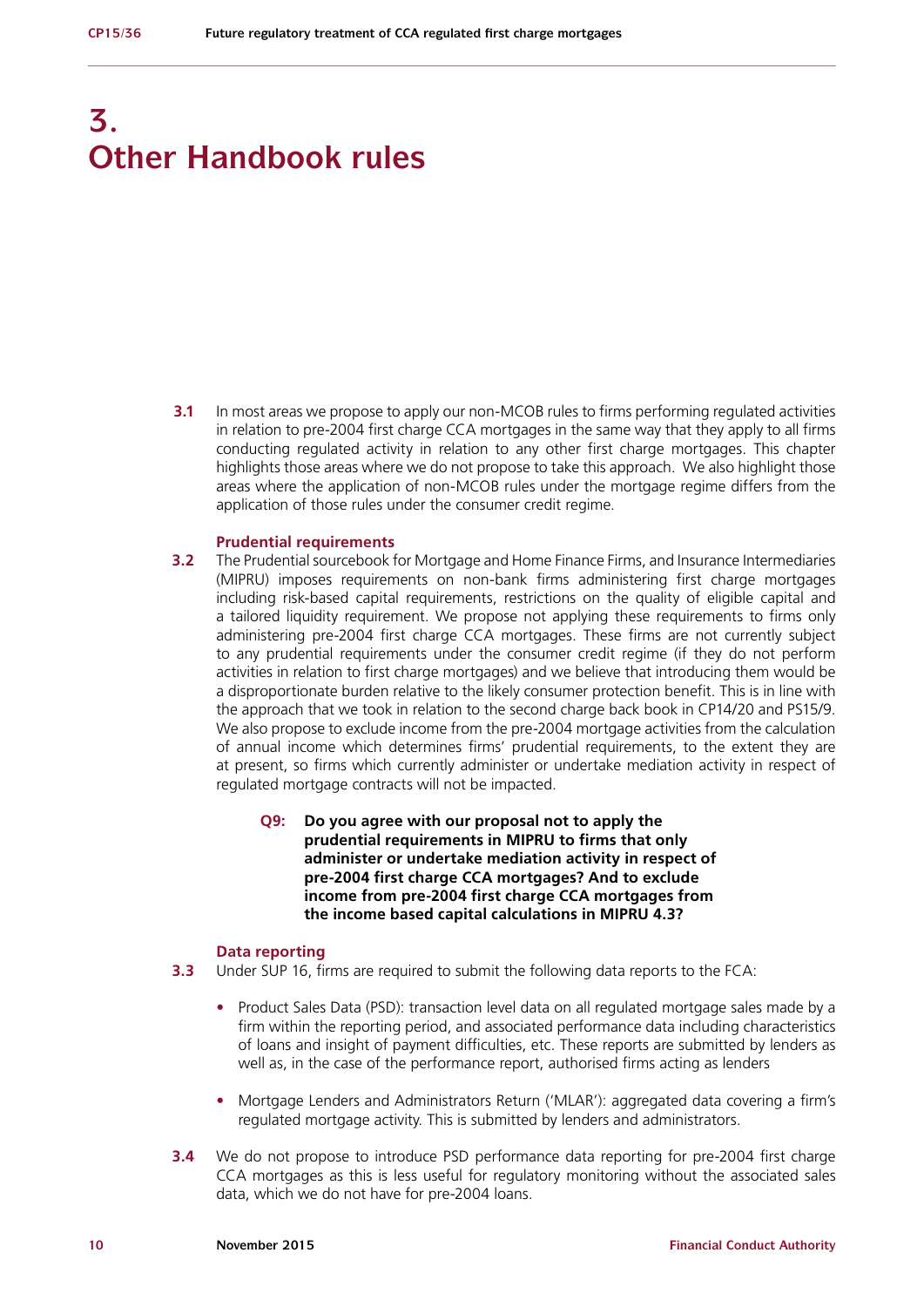## **3. Other Handbook rules**

**3.1** In most areas we propose to apply our non-MCOB rules to firms performing regulated activities in relation to pre-2004 first charge CCA mortgages in the same way that they apply to all firms conducting regulated activity in relation to any other first charge mortgages. This chapter highlights those areas where we do not propose to take this approach. We also highlight those areas where the application of non-MCOB rules under the mortgage regime differs from the application of those rules under the consumer credit regime.

#### **Prudential requirements**

- **3.2** The Prudential sourcebook for Mortgage and Home Finance Firms, and Insurance Intermediaries (MIPRU) imposes requirements on non-bank firms administering first charge mortgages including risk-based capital requirements, restrictions on the quality of eligible capital and a tailored liquidity requirement. We propose not applying these requirements to firms only administering pre-2004 first charge CCA mortgages. These firms are not currently subject to any prudential requirements under the consumer credit regime (if they do not perform activities in relation to first charge mortgages) and we believe that introducing them would be a disproportionate burden relative to the likely consumer protection benefit. This is in line with the approach that we took in relation to the second charge back book in CP14/20 and PS15/9. We also propose to exclude income from the pre-2004 mortgage activities from the calculation of annual income which determines firms' prudential requirements, to the extent they are at present, so firms which currently administer or undertake mediation activity in respect of regulated mortgage contracts will not be impacted.
	- **Q9: Do you agree with our proposal not to apply the prudential requirements in MIPRU to firms that only administer or undertake mediation activity in respect of pre-2004 first charge CCA mortgages? And to exclude income from pre-2004 first charge CCA mortgages from the income based capital calculations in MIPRU 4.3?**

#### **Data reporting**

- **3.3** Under SUP 16, firms are required to submit the following data reports to the FCA:
	- **•** Product Sales Data (PSD): transaction level data on all regulated mortgage sales made by a firm within the reporting period, and associated performance data including characteristics of loans and insight of payment difficulties, etc. These reports are submitted by lenders as well as, in the case of the performance report, authorised firms acting as lenders
	- **•** Mortgage Lenders and Administrators Return ('MLAR'): aggregated data covering a firm's regulated mortgage activity. This is submitted by lenders and administrators.
- **3.4** We do not propose to introduce PSD performance data reporting for pre-2004 first charge CCA mortgages as this is less useful for regulatory monitoring without the associated sales data, which we do not have for pre-2004 loans.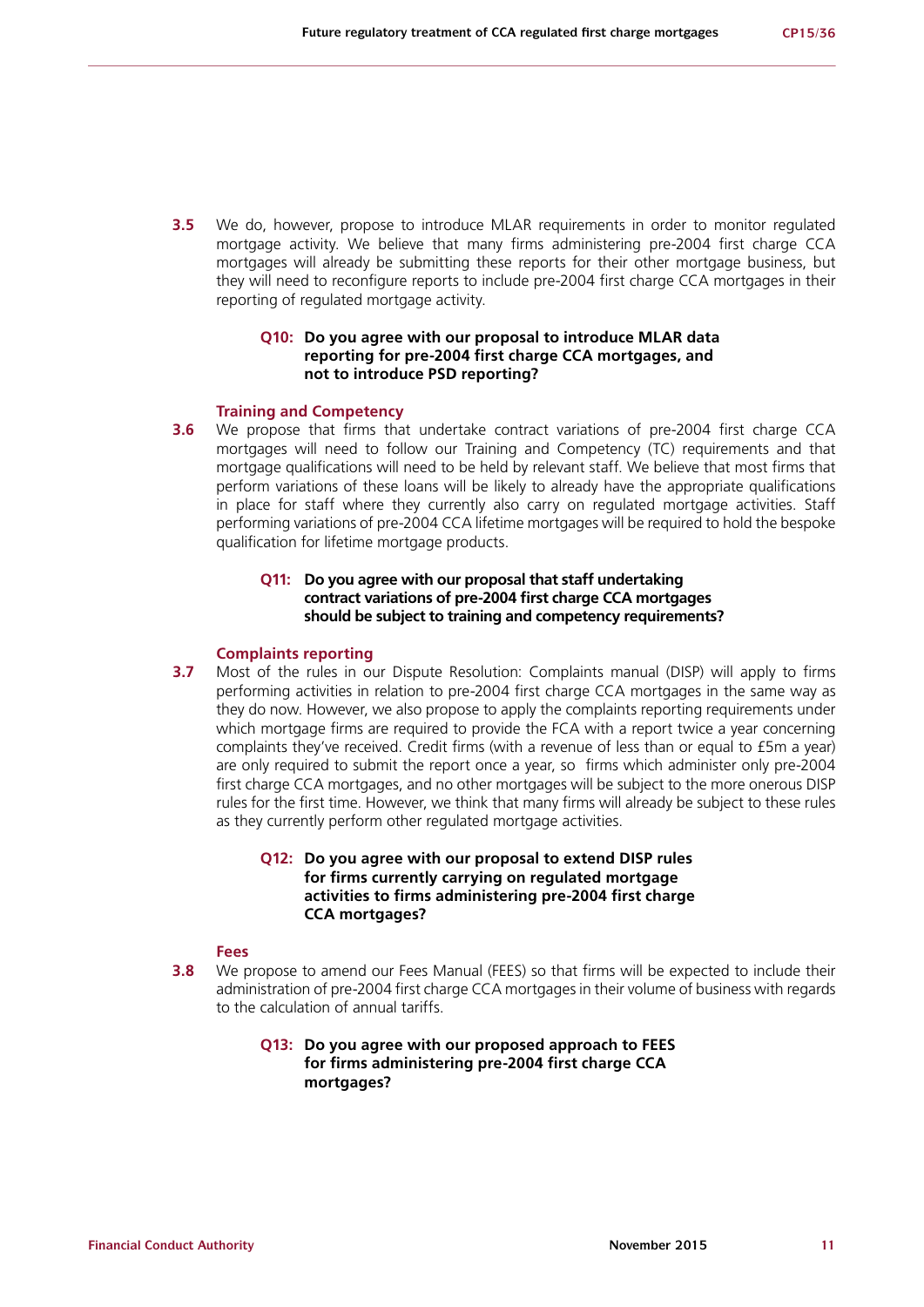**3.5** We do, however, propose to introduce MLAR requirements in order to monitor regulated mortgage activity. We believe that many firms administering pre-2004 first charge CCA mortgages will already be submitting these reports for their other mortgage business, but they will need to reconfigure reports to include pre-2004 first charge CCA mortgages in their reporting of regulated mortgage activity.

### **Q10: Do you agree with our proposal to introduce MLAR data reporting for pre-2004 first charge CCA mortgages, and not to introduce PSD reporting?**

#### **Training and Competency**

**3.6** We propose that firms that undertake contract variations of pre-2004 first charge CCA mortgages will need to follow our Training and Competency (TC) requirements and that mortgage qualifications will need to be held by relevant staff. We believe that most firms that perform variations of these loans will be likely to already have the appropriate qualifications in place for staff where they currently also carry on regulated mortgage activities. Staff performing variations of pre-2004 CCA lifetime mortgages will be required to hold the bespoke qualification for lifetime mortgage products.

## **Q11: Do you agree with our proposal that staff undertaking contract variations of pre-2004 first charge CCA mortgages should be subject to training and competency requirements?**

#### **Complaints reporting**

**3.7** Most of the rules in our Dispute Resolution: Complaints manual (DISP) will apply to firms performing activities in relation to pre-2004 first charge CCA mortgages in the same way as they do now. However, we also propose to apply the complaints reporting requirements under which mortgage firms are required to provide the FCA with a report twice a year concerning complaints they've received. Credit firms (with a revenue of less than or equal to £5m a year) are only required to submit the report once a year, so firms which administer only pre-2004 first charge CCA mortgages, and no other mortgages will be subject to the more onerous DISP rules for the first time. However, we think that many firms will already be subject to these rules as they currently perform other regulated mortgage activities.

## **Q12: Do you agree with our proposal to extend DISP rules for firms currently carrying on regulated mortgage activities to firms administering pre-2004 first charge CCA mortgages?**

#### **Fees**

**3.8** We propose to amend our Fees Manual (FEES) so that firms will be expected to include their administration of pre-2004 first charge CCA mortgages in their volume of business with regards to the calculation of annual tariffs.

#### **Q13: Do you agree with our proposed approach to FEES for firms administering pre-2004 first charge CCA mortgages?**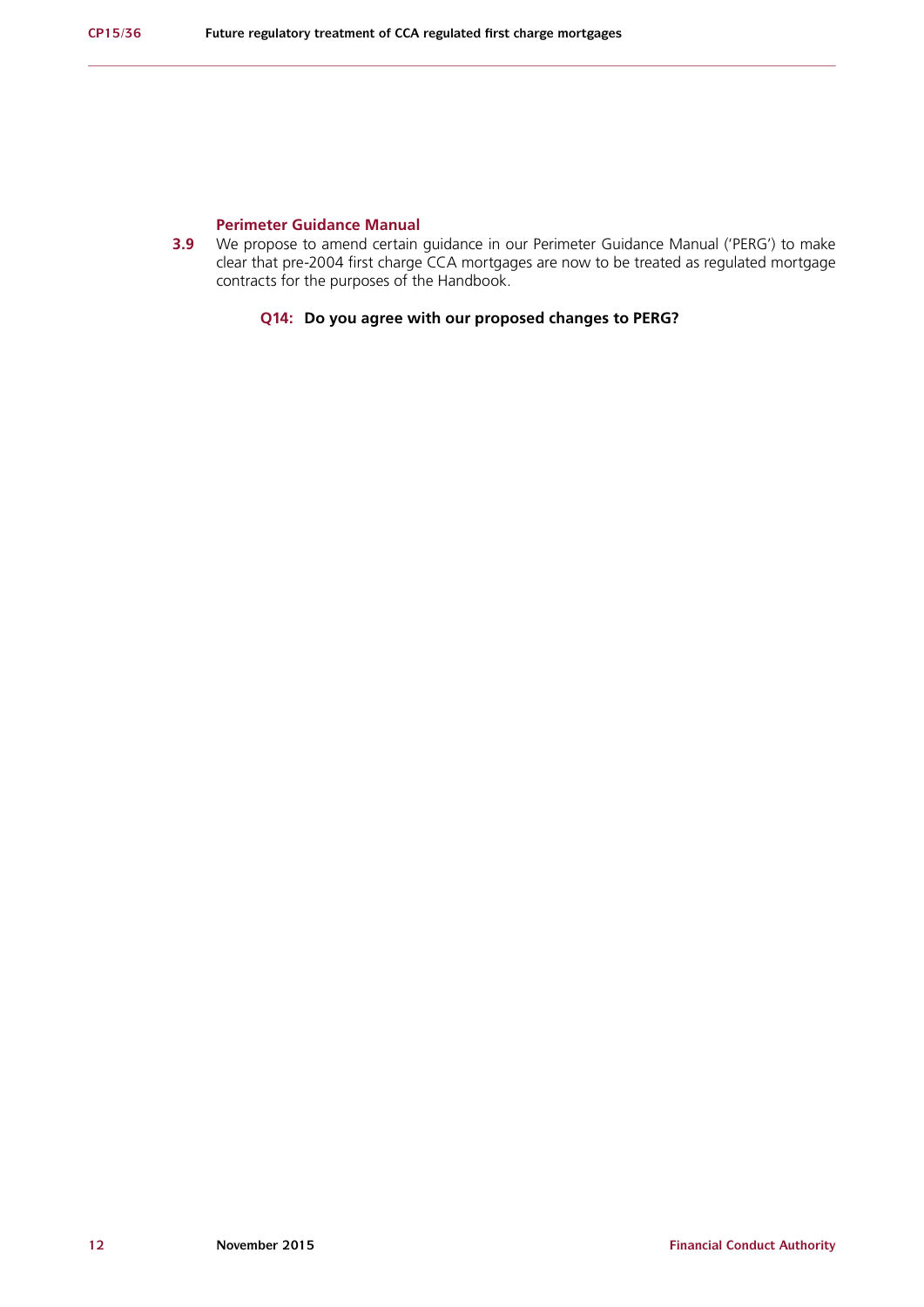#### **Perimeter Guidance Manual**

**3.9** We propose to amend certain guidance in our Perimeter Guidance Manual ('PERG') to make clear that pre-2004 first charge CCA mortgages are now to be treated as regulated mortgage contracts for the purposes of the Handbook.

### **Q14: Do you agree with our proposed changes to PERG?**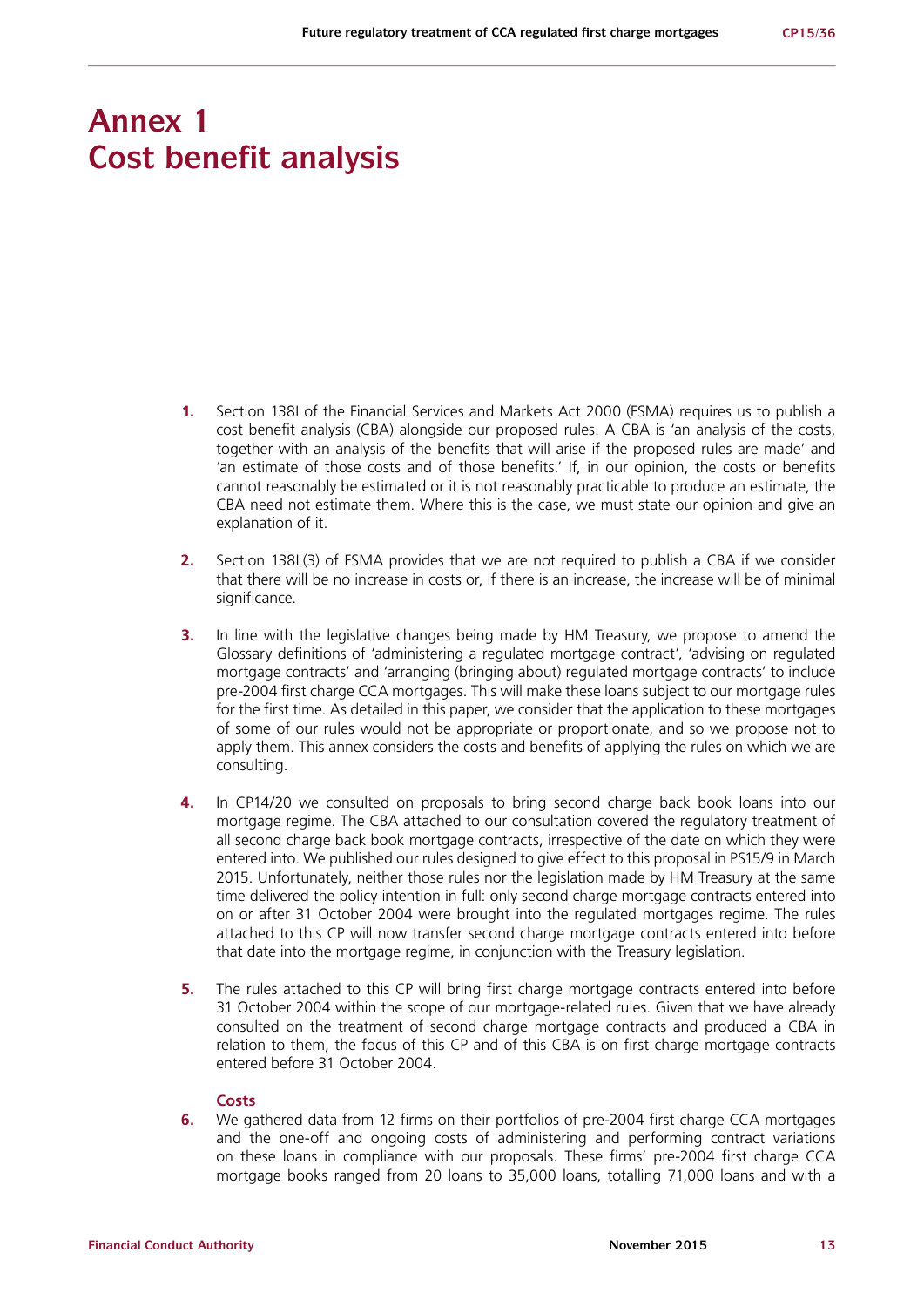## **Annex 1 Cost benefit analysis**

- **1.** Section 138I of the Financial Services and Markets Act 2000 (FSMA) requires us to publish a cost benefit analysis (CBA) alongside our proposed rules. A CBA is 'an analysis of the costs, together with an analysis of the benefits that will arise if the proposed rules are made' and 'an estimate of those costs and of those benefits.' If, in our opinion, the costs or benefits cannot reasonably be estimated or it is not reasonably practicable to produce an estimate, the CBA need not estimate them. Where this is the case, we must state our opinion and give an explanation of it.
- **2.** Section 138L(3) of FSMA provides that we are not required to publish a CBA if we consider that there will be no increase in costs or, if there is an increase, the increase will be of minimal significance.
- **3.** In line with the legislative changes being made by HM Treasury, we propose to amend the Glossary definitions of 'administering a regulated mortgage contract', 'advising on regulated mortgage contracts' and 'arranging (bringing about) regulated mortgage contracts' to include pre-2004 first charge CCA mortgages. This will make these loans subject to our mortgage rules for the first time. As detailed in this paper, we consider that the application to these mortgages of some of our rules would not be appropriate or proportionate, and so we propose not to apply them. This annex considers the costs and benefits of applying the rules on which we are consulting.
- **4.** In CP14/20 we consulted on proposals to bring second charge back book loans into our mortgage regime. The CBA attached to our consultation covered the regulatory treatment of all second charge back book mortgage contracts, irrespective of the date on which they were entered into. We published our rules designed to give effect to this proposal in PS15/9 in March 2015. Unfortunately, neither those rules nor the legislation made by HM Treasury at the same time delivered the policy intention in full: only second charge mortgage contracts entered into on or after 31 October 2004 were brought into the regulated mortgages regime. The rules attached to this CP will now transfer second charge mortgage contracts entered into before that date into the mortgage regime, in conjunction with the Treasury legislation.
- **5.** The rules attached to this CP will bring first charge mortgage contracts entered into before 31 October 2004 within the scope of our mortgage-related rules. Given that we have already consulted on the treatment of second charge mortgage contracts and produced a CBA in relation to them, the focus of this CP and of this CBA is on first charge mortgage contracts entered before 31 October 2004.

#### **Costs**

**6.** We gathered data from 12 firms on their portfolios of pre-2004 first charge CCA mortgages and the one-off and ongoing costs of administering and performing contract variations on these loans in compliance with our proposals. These firms' pre-2004 first charge CCA mortgage books ranged from 20 loans to 35,000 loans, totalling 71,000 loans and with a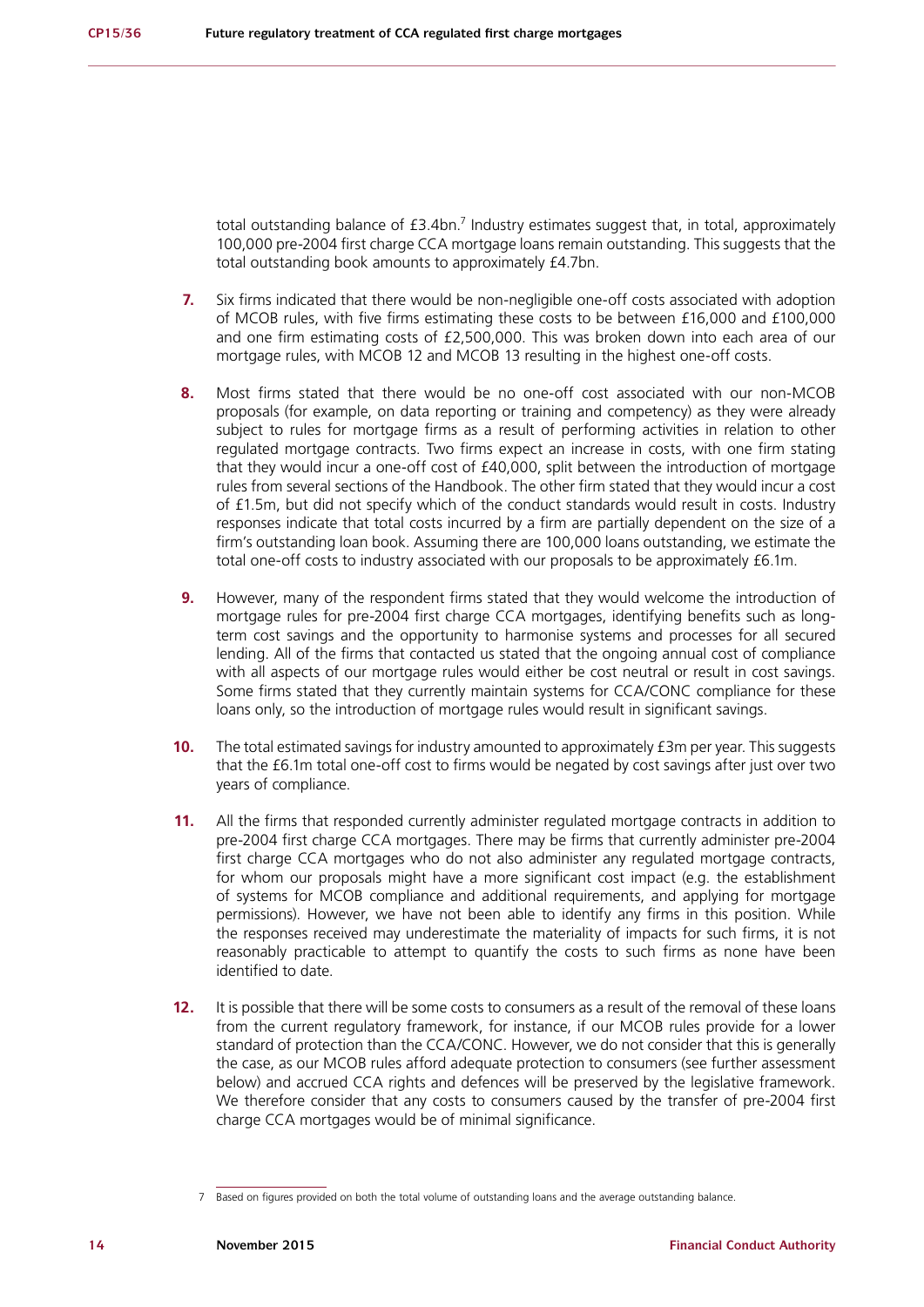total outstanding balance of  $f3.4$ bn.<sup>7</sup> Industry estimates suggest that, in total, approximately 100,000 pre-2004 first charge CCA mortgage loans remain outstanding. This suggests that the total outstanding book amounts to approximately £4.7bn.

- **7.** Six firms indicated that there would be non-negligible one-off costs associated with adoption of MCOB rules, with five firms estimating these costs to be between £16,000 and £100,000 and one firm estimating costs of £2,500,000. This was broken down into each area of our mortgage rules, with MCOB 12 and MCOB 13 resulting in the highest one-off costs.
- **8.** Most firms stated that there would be no one-off cost associated with our non-MCOB proposals (for example, on data reporting or training and competency) as they were already subject to rules for mortgage firms as a result of performing activities in relation to other regulated mortgage contracts. Two firms expect an increase in costs, with one firm stating that they would incur a one-off cost of £40,000, split between the introduction of mortgage rules from several sections of the Handbook. The other firm stated that they would incur a cost of £1.5m, but did not specify which of the conduct standards would result in costs. Industry responses indicate that total costs incurred by a firm are partially dependent on the size of a firm's outstanding loan book. Assuming there are 100,000 loans outstanding, we estimate the total one-off costs to industry associated with our proposals to be approximately £6.1m.
- **9.** However, many of the respondent firms stated that they would welcome the introduction of mortgage rules for pre-2004 first charge CCA mortgages, identifying benefits such as longterm cost savings and the opportunity to harmonise systems and processes for all secured lending. All of the firms that contacted us stated that the ongoing annual cost of compliance with all aspects of our mortgage rules would either be cost neutral or result in cost savings. Some firms stated that they currently maintain systems for CCA/CONC compliance for these loans only, so the introduction of mortgage rules would result in significant savings.
- **10.** The total estimated savings for industry amounted to approximately £3m per year. This suggests that the £6.1m total one-off cost to firms would be negated by cost savings after just over two years of compliance.
- **11.** All the firms that responded currently administer regulated mortgage contracts in addition to pre-2004 first charge CCA mortgages. There may be firms that currently administer pre-2004 first charge CCA mortgages who do not also administer any regulated mortgage contracts, for whom our proposals might have a more significant cost impact (e.g. the establishment of systems for MCOB compliance and additional requirements, and applying for mortgage permissions). However, we have not been able to identify any firms in this position. While the responses received may underestimate the materiality of impacts for such firms, it is not reasonably practicable to attempt to quantify the costs to such firms as none have been identified to date.
- **12.** It is possible that there will be some costs to consumers as a result of the removal of these loans from the current regulatory framework, for instance, if our MCOB rules provide for a lower standard of protection than the CCA/CONC. However, we do not consider that this is generally the case, as our MCOB rules afford adequate protection to consumers (see further assessment below) and accrued CCA rights and defences will be preserved by the legislative framework. We therefore consider that any costs to consumers caused by the transfer of pre-2004 first charge CCA mortgages would be of minimal significance.

<sup>7</sup> Based on figures provided on both the total volume of outstanding loans and the average outstanding balance.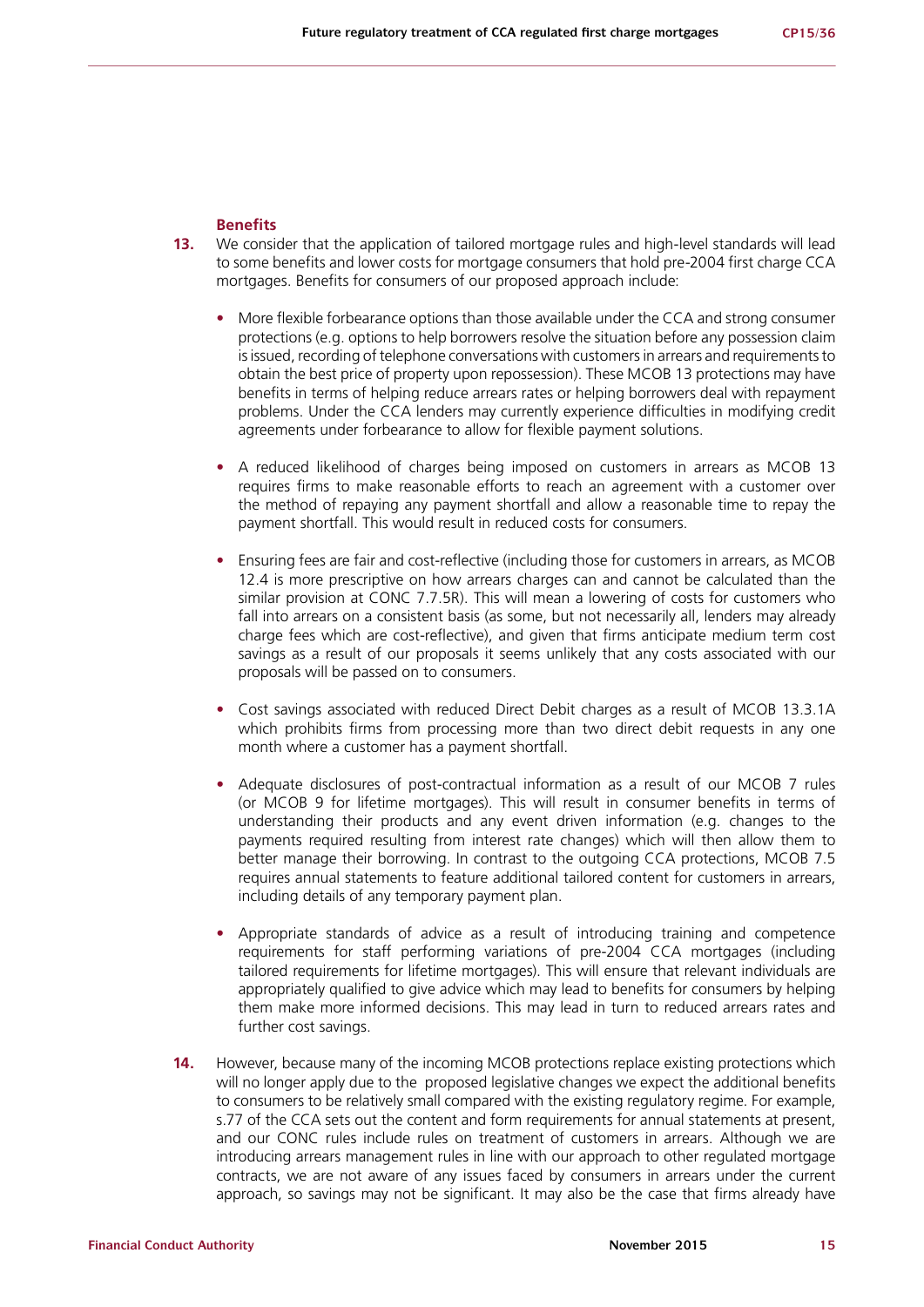#### **Benefits**

- **13.** We consider that the application of tailored mortgage rules and high-level standards will lead to some benefits and lower costs for mortgage consumers that hold pre-2004 first charge CCA mortgages. Benefits for consumers of our proposed approach include:
	- **•** More flexible forbearance options than those available under the CCA and strong consumer protections (e.g. options to help borrowers resolve the situation before any possession claim is issued, recording of telephone conversations with customers in arrears and requirements to obtain the best price of property upon repossession). These MCOB 13 protections may have benefits in terms of helping reduce arrears rates or helping borrowers deal with repayment problems. Under the CCA lenders may currently experience difficulties in modifying credit agreements under forbearance to allow for flexible payment solutions.
	- **•** A reduced likelihood of charges being imposed on customers in arrears as MCOB 13 requires firms to make reasonable efforts to reach an agreement with a customer over the method of repaying any payment shortfall and allow a reasonable time to repay the payment shortfall. This would result in reduced costs for consumers.
	- **•** Ensuring fees are fair and cost-reflective (including those for customers in arrears, as MCOB 12.4 is more prescriptive on how arrears charges can and cannot be calculated than the similar provision at CONC 7.7.5R). This will mean a lowering of costs for customers who fall into arrears on a consistent basis (as some, but not necessarily all, lenders may already charge fees which are cost-reflective), and given that firms anticipate medium term cost savings as a result of our proposals it seems unlikely that any costs associated with our proposals will be passed on to consumers.
	- **•** Cost savings associated with reduced Direct Debit charges as a result of MCOB 13.3.1A which prohibits firms from processing more than two direct debit requests in any one month where a customer has a payment shortfall.
	- **•** Adequate disclosures of post-contractual information as a result of our MCOB 7 rules (or MCOB 9 for lifetime mortgages). This will result in consumer benefits in terms of understanding their products and any event driven information (e.g. changes to the payments required resulting from interest rate changes) which will then allow them to better manage their borrowing. In contrast to the outgoing CCA protections, MCOB 7.5 requires annual statements to feature additional tailored content for customers in arrears, including details of any temporary payment plan.
	- **•** Appropriate standards of advice as a result of introducing training and competence requirements for staff performing variations of pre-2004 CCA mortgages (including tailored requirements for lifetime mortgages). This will ensure that relevant individuals are appropriately qualified to give advice which may lead to benefits for consumers by helping them make more informed decisions. This may lead in turn to reduced arrears rates and further cost savings.
- **14.** However, because many of the incoming MCOB protections replace existing protections which will no longer apply due to the proposed legislative changes we expect the additional benefits to consumers to be relatively small compared with the existing regulatory regime. For example, s.77 of the CCA sets out the content and form requirements for annual statements at present, and our CONC rules include rules on treatment of customers in arrears. Although we are introducing arrears management rules in line with our approach to other regulated mortgage contracts, we are not aware of any issues faced by consumers in arrears under the current approach, so savings may not be significant. It may also be the case that firms already have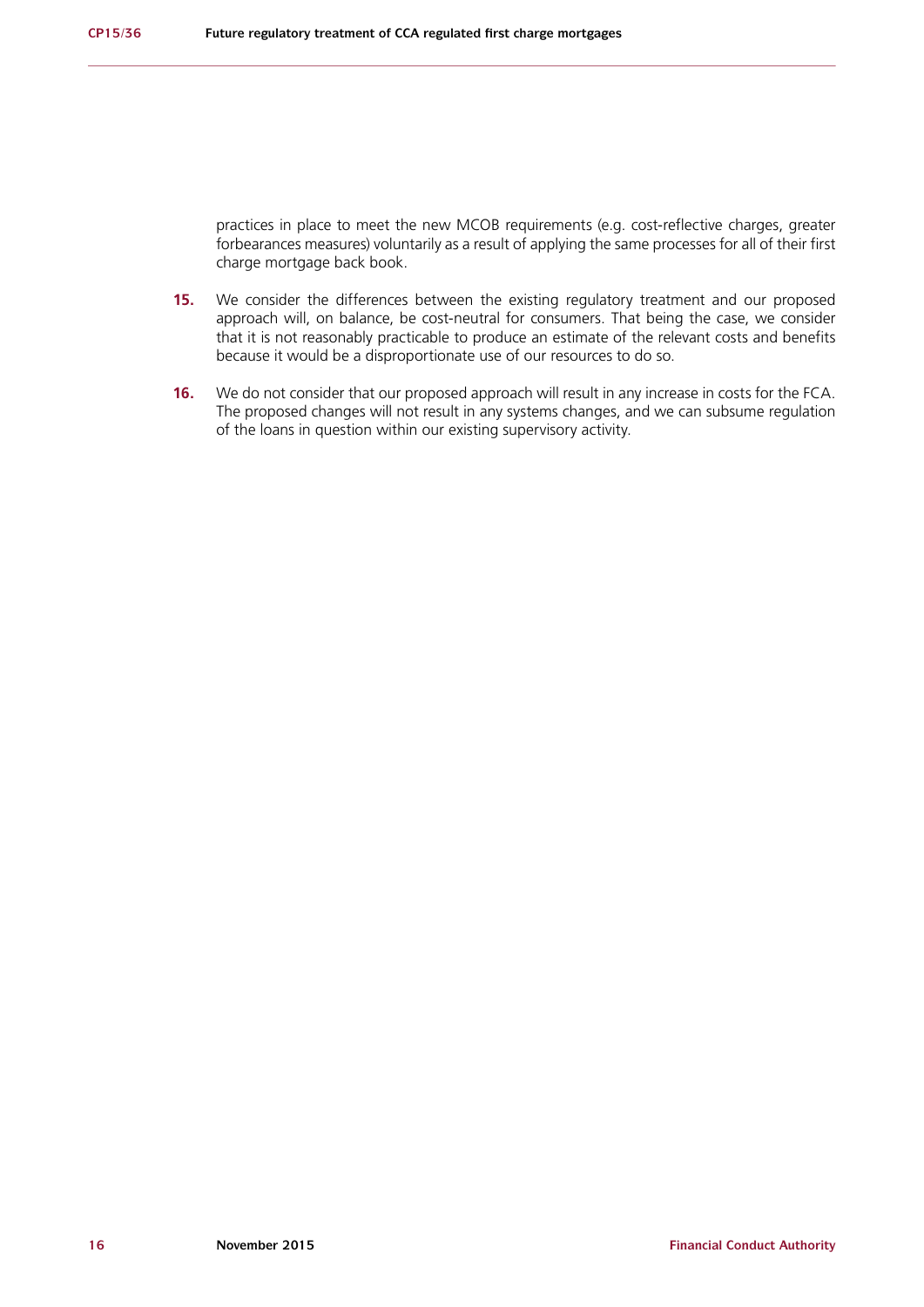practices in place to meet the new MCOB requirements (e.g. cost-reflective charges, greater forbearances measures) voluntarily as a result of applying the same processes for all of their first charge mortgage back book.

- **15.** We consider the differences between the existing regulatory treatment and our proposed approach will, on balance, be cost-neutral for consumers. That being the case, we consider that it is not reasonably practicable to produce an estimate of the relevant costs and benefits because it would be a disproportionate use of our resources to do so.
- **16.** We do not consider that our proposed approach will result in any increase in costs for the FCA. The proposed changes will not result in any systems changes, and we can subsume regulation of the loans in question within our existing supervisory activity.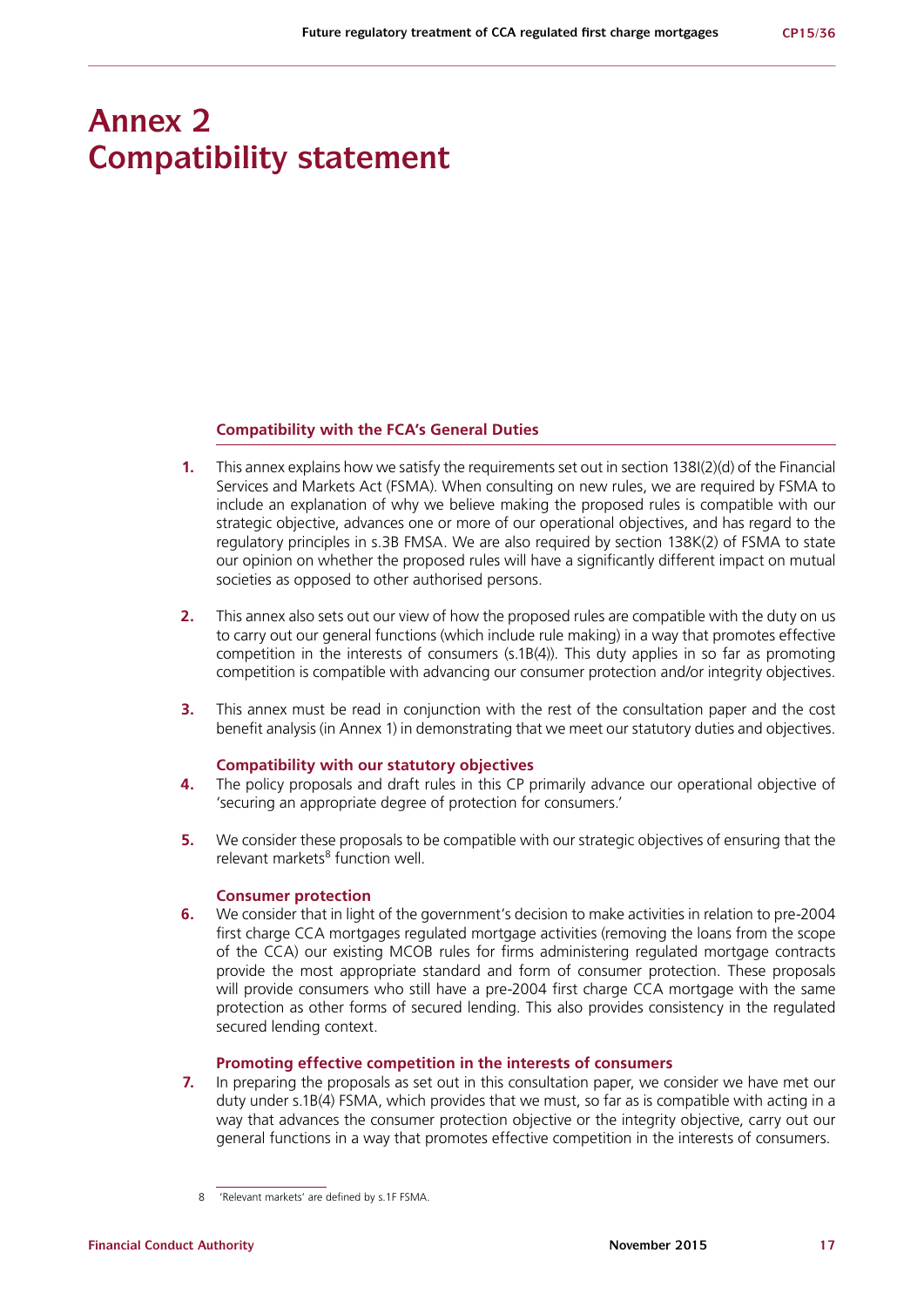## **Annex 2 Compatibility statement**

#### **Compatibility with the FCA's General Duties**

- **1.** This annex explains how we satisfy the requirements set out in section 138I(2)(d) of the Financial Services and Markets Act (FSMA). When consulting on new rules, we are required by FSMA to include an explanation of why we believe making the proposed rules is compatible with our strategic objective, advances one or more of our operational objectives, and has regard to the regulatory principles in s.3B FMSA. We are also required by section 138K(2) of FSMA to state our opinion on whether the proposed rules will have a significantly different impact on mutual societies as opposed to other authorised persons.
- **2.** This annex also sets out our view of how the proposed rules are compatible with the duty on us to carry out our general functions (which include rule making) in a way that promotes effective competition in the interests of consumers (s.1B(4)). This duty applies in so far as promoting competition is compatible with advancing our consumer protection and/or integrity objectives.
- **3.** This annex must be read in conjunction with the rest of the consultation paper and the cost benefit analysis (in Annex 1) in demonstrating that we meet our statutory duties and objectives.

#### **Compatibility with our statutory objectives**

- **4.** The policy proposals and draft rules in this CP primarily advance our operational objective of 'securing an appropriate degree of protection for consumers.'
- **5.** We consider these proposals to be compatible with our strategic objectives of ensuring that the relevant markets<sup>8</sup> function well.

### **Consumer protection**

**6.** We consider that in light of the government's decision to make activities in relation to pre-2004 first charge CCA mortgages regulated mortgage activities (removing the loans from the scope of the CCA) our existing MCOB rules for firms administering regulated mortgage contracts provide the most appropriate standard and form of consumer protection. These proposals will provide consumers who still have a pre-2004 first charge CCA mortgage with the same protection as other forms of secured lending. This also provides consistency in the regulated secured lending context.

#### **Promoting effective competition in the interests of consumers**

**7.** In preparing the proposals as set out in this consultation paper, we consider we have met our duty under s.1B(4) FSMA, which provides that we must, so far as is compatible with acting in a way that advances the consumer protection objective or the integrity objective, carry out our general functions in a way that promotes effective competition in the interests of consumers.

<sup>8 &#</sup>x27;Relevant markets' are defined by s.1F FSMA.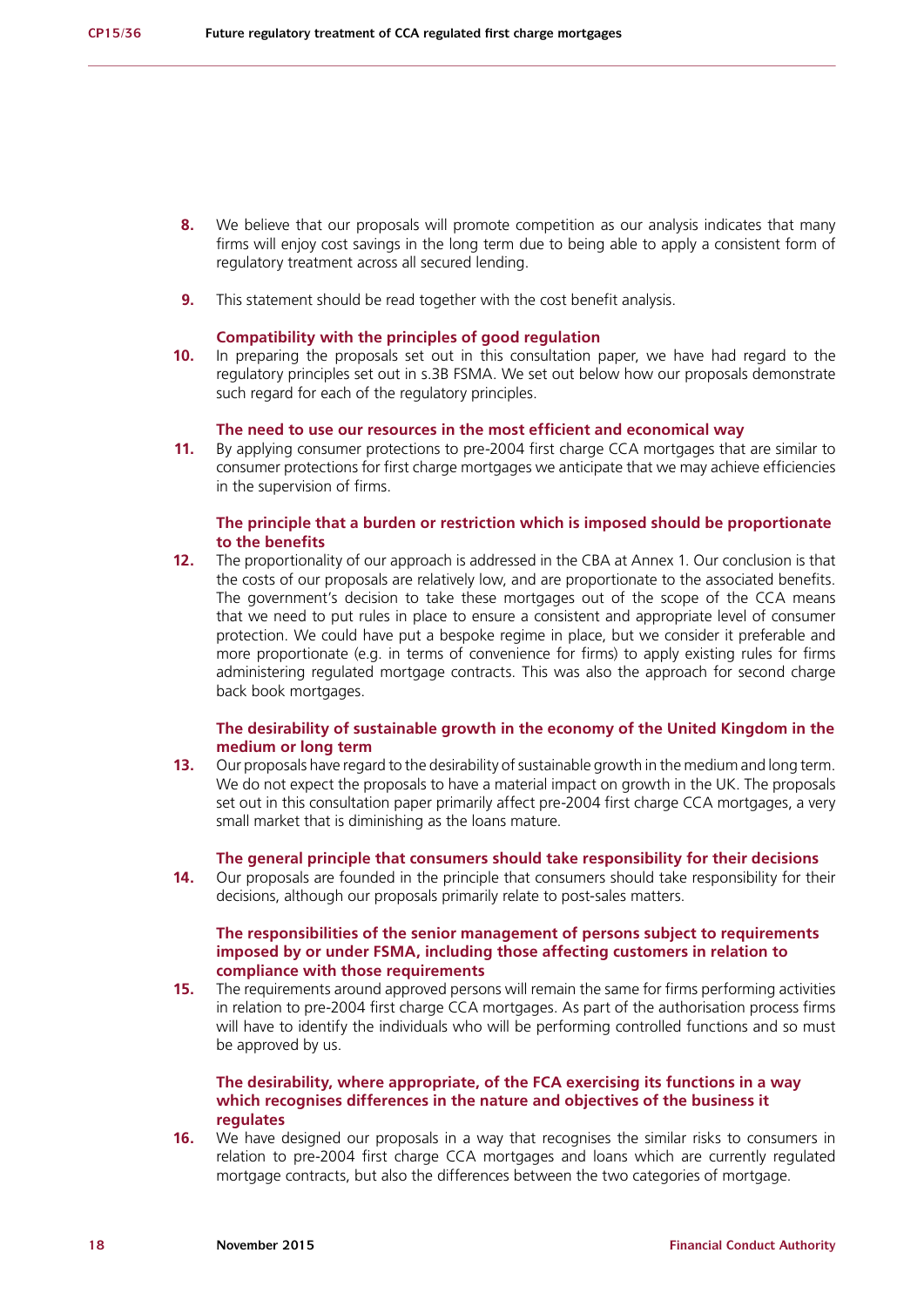- **8.** We believe that our proposals will promote competition as our analysis indicates that many firms will enjoy cost savings in the long term due to being able to apply a consistent form of regulatory treatment across all secured lending.
- **9.** This statement should be read together with the cost benefit analysis.

#### **Compatibility with the principles of good regulation**

**10.** In preparing the proposals set out in this consultation paper, we have had regard to the regulatory principles set out in s.3B FSMA. We set out below how our proposals demonstrate such regard for each of the regulatory principles.

#### **The need to use our resources in the most efficient and economical way**

**11.** By applying consumer protections to pre-2004 first charge CCA mortgages that are similar to consumer protections for first charge mortgages we anticipate that we may achieve efficiencies in the supervision of firms.

#### **The principle that a burden or restriction which is imposed should be proportionate to the benefits**

**12.** The proportionality of our approach is addressed in the CBA at Annex 1. Our conclusion is that the costs of our proposals are relatively low, and are proportionate to the associated benefits. The government's decision to take these mortgages out of the scope of the CCA means that we need to put rules in place to ensure a consistent and appropriate level of consumer protection. We could have put a bespoke regime in place, but we consider it preferable and more proportionate (e.g. in terms of convenience for firms) to apply existing rules for firms administering regulated mortgage contracts. This was also the approach for second charge back book mortgages.

#### **The desirability of sustainable growth in the economy of the United Kingdom in the medium or long term**

**13.** Our proposals have regard to the desirability of sustainable growth in the medium and long term. We do not expect the proposals to have a material impact on growth in the UK. The proposals set out in this consultation paper primarily affect pre-2004 first charge CCA mortgages, a very small market that is diminishing as the loans mature.

#### **The general principle that consumers should take responsibility for their decisions**

**14.** Our proposals are founded in the principle that consumers should take responsibility for their decisions, although our proposals primarily relate to post-sales matters.

#### **The responsibilities of the senior management of persons subject to requirements imposed by or under FSMA, including those affecting customers in relation to compliance with those requirements**

**15.** The requirements around approved persons will remain the same for firms performing activities in relation to pre-2004 first charge CCA mortgages. As part of the authorisation process firms will have to identify the individuals who will be performing controlled functions and so must be approved by us.

#### **The desirability, where appropriate, of the FCA exercising its functions in a way which recognises differences in the nature and objectives of the business it regulates**

**16.** We have designed our proposals in a way that recognises the similar risks to consumers in relation to pre-2004 first charge CCA mortgages and loans which are currently regulated mortgage contracts, but also the differences between the two categories of mortgage.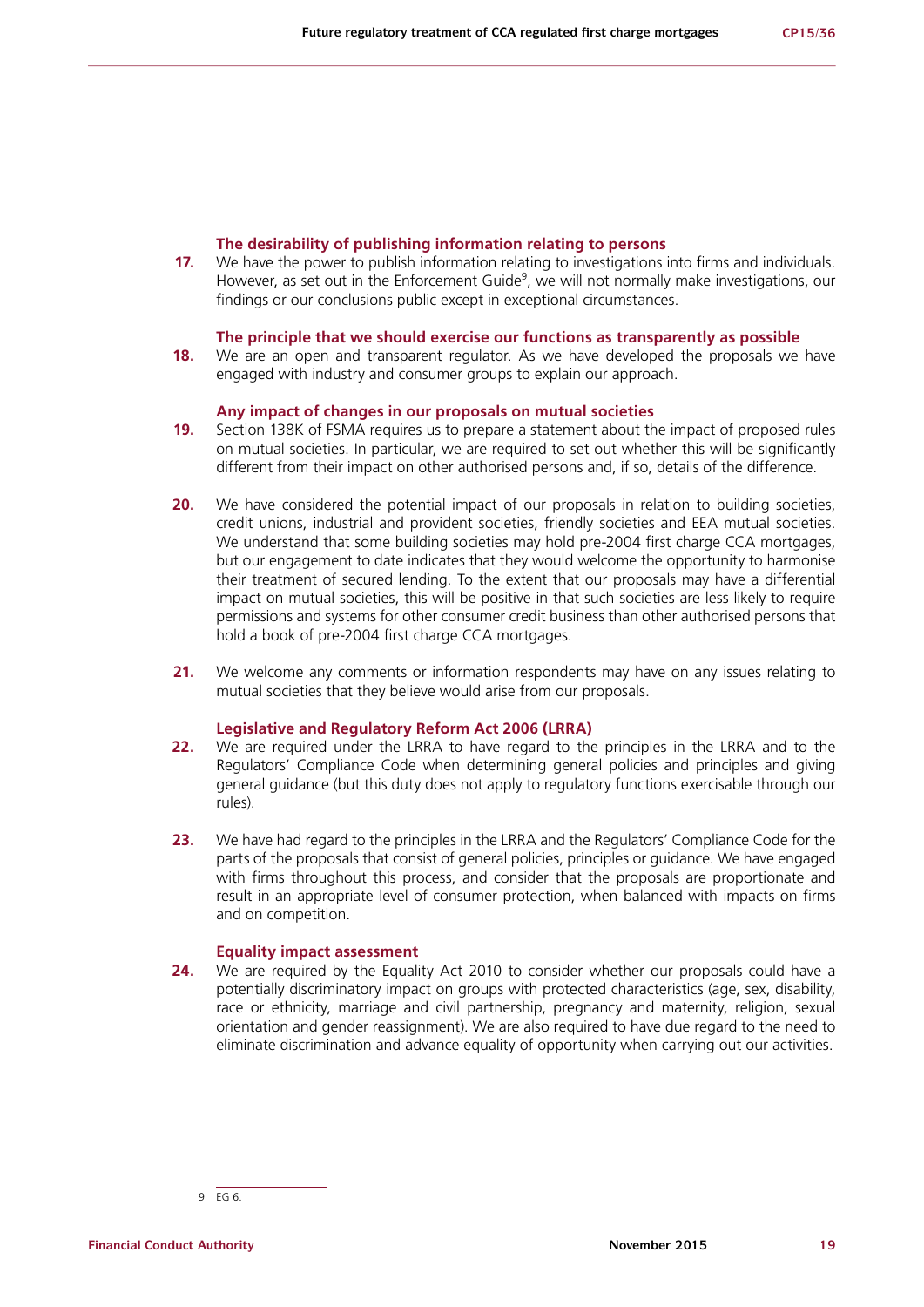#### **The desirability of publishing information relating to persons**

**17.** We have the power to publish information relating to investigations into firms and individuals. However, as set out in the Enforcement Guide<sup>9</sup>, we will not normally make investigations, our findings or our conclusions public except in exceptional circumstances.

#### **The principle that we should exercise our functions as transparently as possible**

**18.** We are an open and transparent regulator. As we have developed the proposals we have engaged with industry and consumer groups to explain our approach.

#### **Any impact of changes in our proposals on mutual societies**

- **19.** Section 138K of FSMA requires us to prepare a statement about the impact of proposed rules on mutual societies. In particular, we are required to set out whether this will be significantly different from their impact on other authorised persons and, if so, details of the difference.
- **20.** We have considered the potential impact of our proposals in relation to building societies, credit unions, industrial and provident societies, friendly societies and EEA mutual societies. We understand that some building societies may hold pre-2004 first charge CCA mortgages, but our engagement to date indicates that they would welcome the opportunity to harmonise their treatment of secured lending. To the extent that our proposals may have a differential impact on mutual societies, this will be positive in that such societies are less likely to require permissions and systems for other consumer credit business than other authorised persons that hold a book of pre-2004 first charge CCA mortgages.
- **21.** We welcome any comments or information respondents may have on any issues relating to mutual societies that they believe would arise from our proposals.

#### **Legislative and Regulatory Reform Act 2006 (LRRA)**

- **22.** We are required under the LRRA to have regard to the principles in the LRRA and to the Regulators' Compliance Code when determining general policies and principles and giving general guidance (but this duty does not apply to regulatory functions exercisable through our rules).
- **23.** We have had regard to the principles in the LRRA and the Regulators' Compliance Code for the parts of the proposals that consist of general policies, principles or guidance. We have engaged with firms throughout this process, and consider that the proposals are proportionate and result in an appropriate level of consumer protection, when balanced with impacts on firms and on competition.

#### **Equality impact assessment**

**24.** We are required by the Equality Act 2010 to consider whether our proposals could have a potentially discriminatory impact on groups with protected characteristics (age, sex, disability, race or ethnicity, marriage and civil partnership, pregnancy and maternity, religion, sexual orientation and gender reassignment). We are also required to have due regard to the need to eliminate discrimination and advance equality of opportunity when carrying out our activities.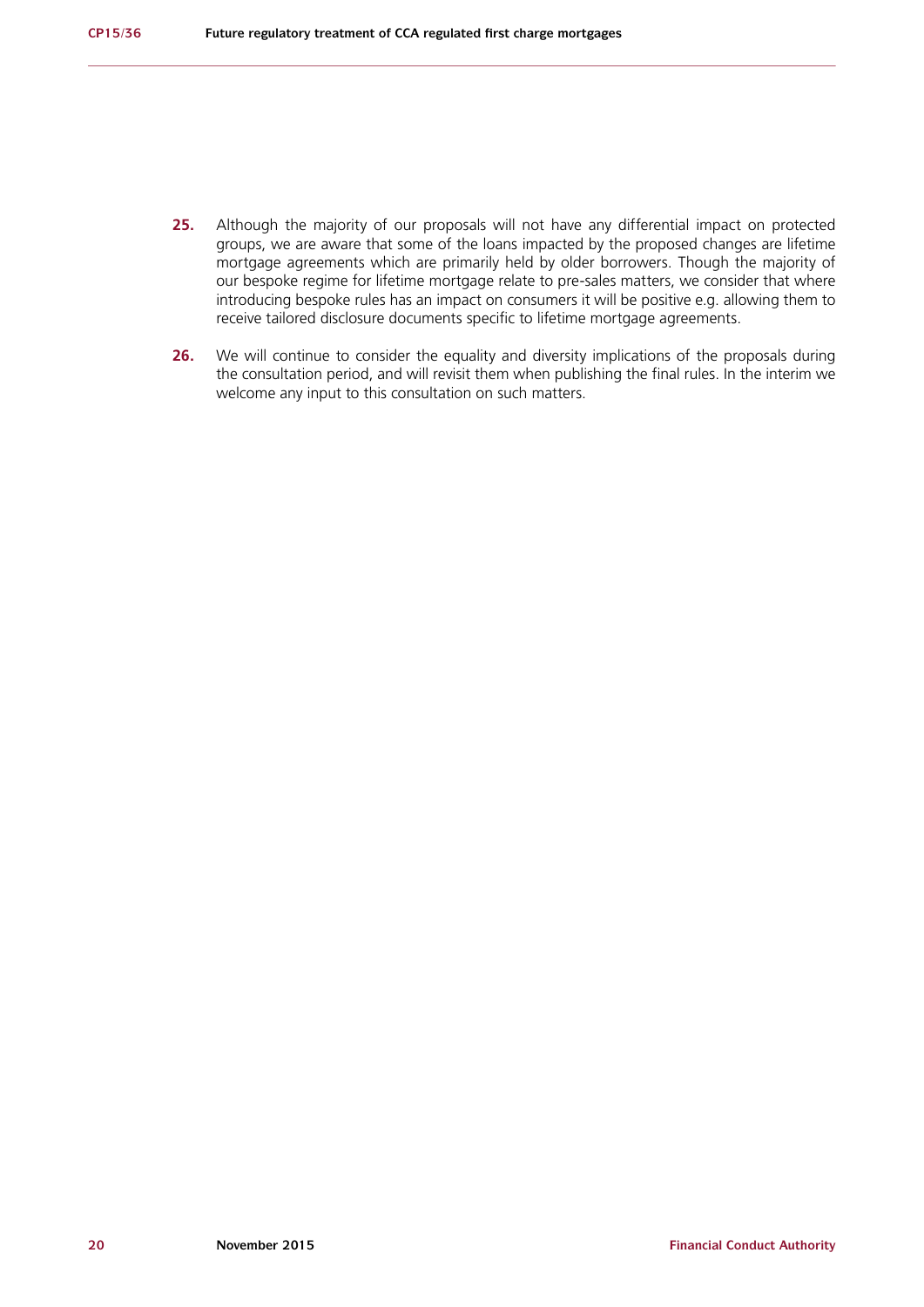- **25.** Although the majority of our proposals will not have any differential impact on protected groups, we are aware that some of the loans impacted by the proposed changes are lifetime mortgage agreements which are primarily held by older borrowers. Though the majority of our bespoke regime for lifetime mortgage relate to pre-sales matters, we consider that where introducing bespoke rules has an impact on consumers it will be positive e.g. allowing them to receive tailored disclosure documents specific to lifetime mortgage agreements.
- 26. We will continue to consider the equality and diversity implications of the proposals during the consultation period, and will revisit them when publishing the final rules. In the interim we welcome any input to this consultation on such matters.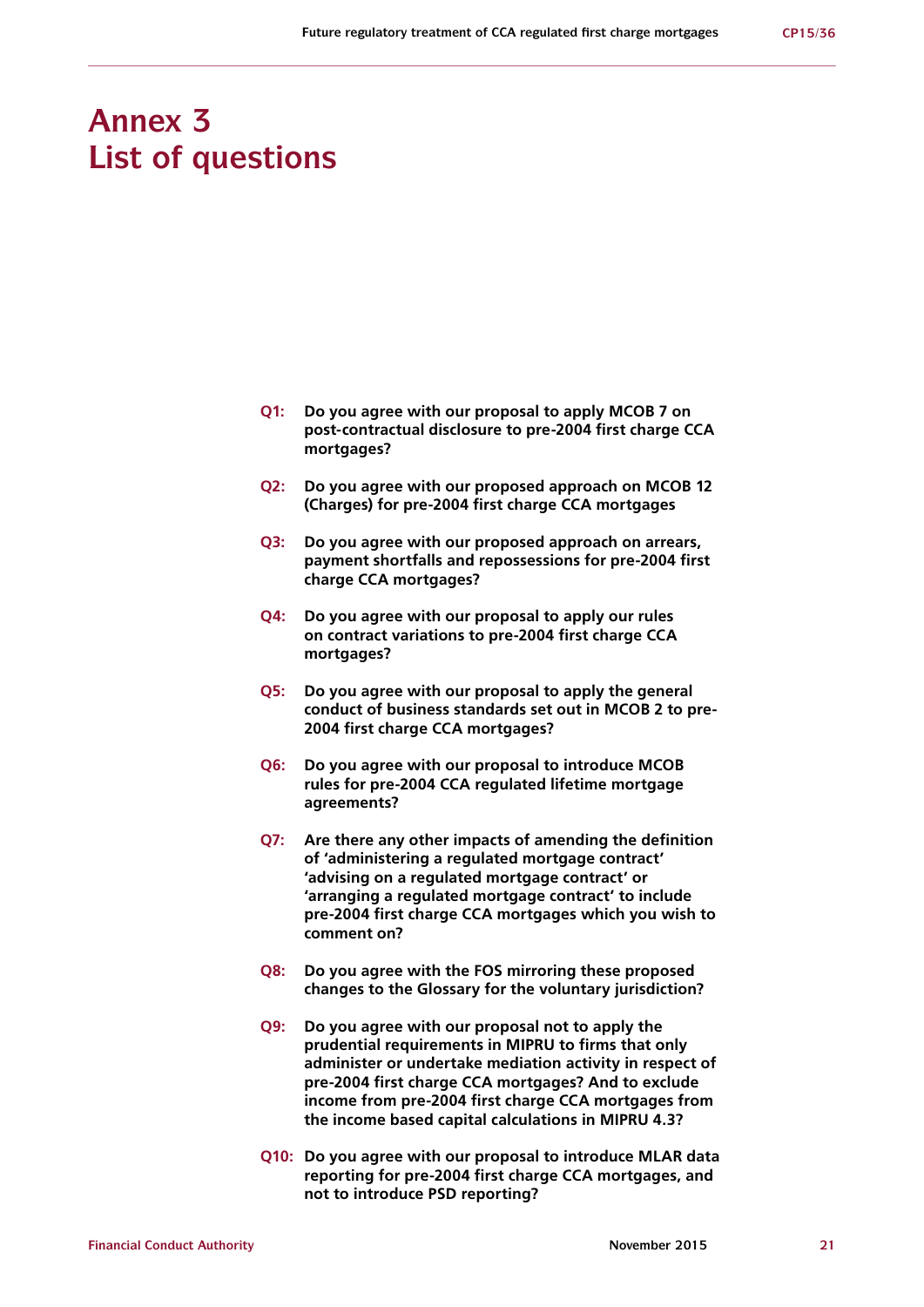## **Annex 3 List of questions**

- **Q1: Do you agree with our proposal to apply MCOB 7 on post-contractual disclosure to pre-2004 first charge CCA mortgages?**
- **Q2: Do you agree with our proposed approach on MCOB 12 (Charges) for pre-2004 first charge CCA mortgages**
- **Q3: Do you agree with our proposed approach on arrears, payment shortfalls and repossessions for pre-2004 first charge CCA mortgages?**
- **Q4: Do you agree with our proposal to apply our rules on contract variations to pre-2004 first charge CCA mortgages?**
- **Q5: Do you agree with our proposal to apply the general conduct of business standards set out in MCOB 2 to pre-2004 first charge CCA mortgages?**
- **Q6: Do you agree with our proposal to introduce MCOB rules for pre-2004 CCA regulated lifetime mortgage agreements?**
- **Q7: Are there any other impacts of amending the definition of 'administering a regulated mortgage contract' 'advising on a regulated mortgage contract' or 'arranging a regulated mortgage contract' to include pre-2004 first charge CCA mortgages which you wish to comment on?**
- **Q8: Do you agree with the FOS mirroring these proposed changes to the Glossary for the voluntary jurisdiction?**
- **Q9: Do you agree with our proposal not to apply the prudential requirements in MIPRU to firms that only administer or undertake mediation activity in respect of pre-2004 first charge CCA mortgages? And to exclude income from pre-2004 first charge CCA mortgages from the income based capital calculations in MIPRU 4.3?**
- **Q10: Do you agree with our proposal to introduce MLAR data reporting for pre-2004 first charge CCA mortgages, and not to introduce PSD reporting?**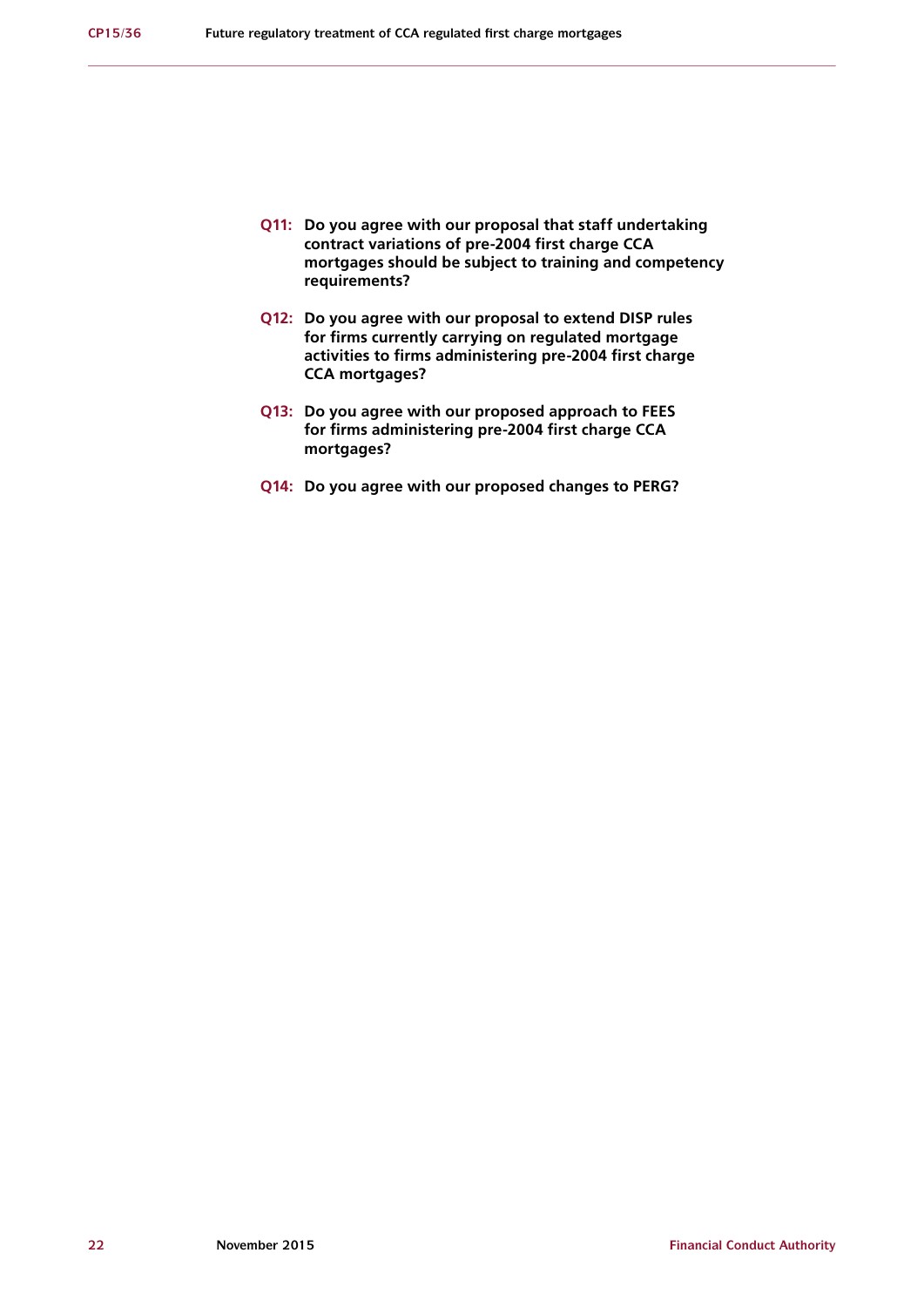- **Q11: Do you agree with our proposal that staff undertaking contract variations of pre-2004 first charge CCA mortgages should be subject to training and competency requirements?**
- **Q12: Do you agree with our proposal to extend DISP rules for firms currently carrying on regulated mortgage activities to firms administering pre-2004 first charge CCA mortgages?**
- **Q13: Do you agree with our proposed approach to FEES for firms administering pre-2004 first charge CCA mortgages?**
- **Q14: Do you agree with our proposed changes to PERG?**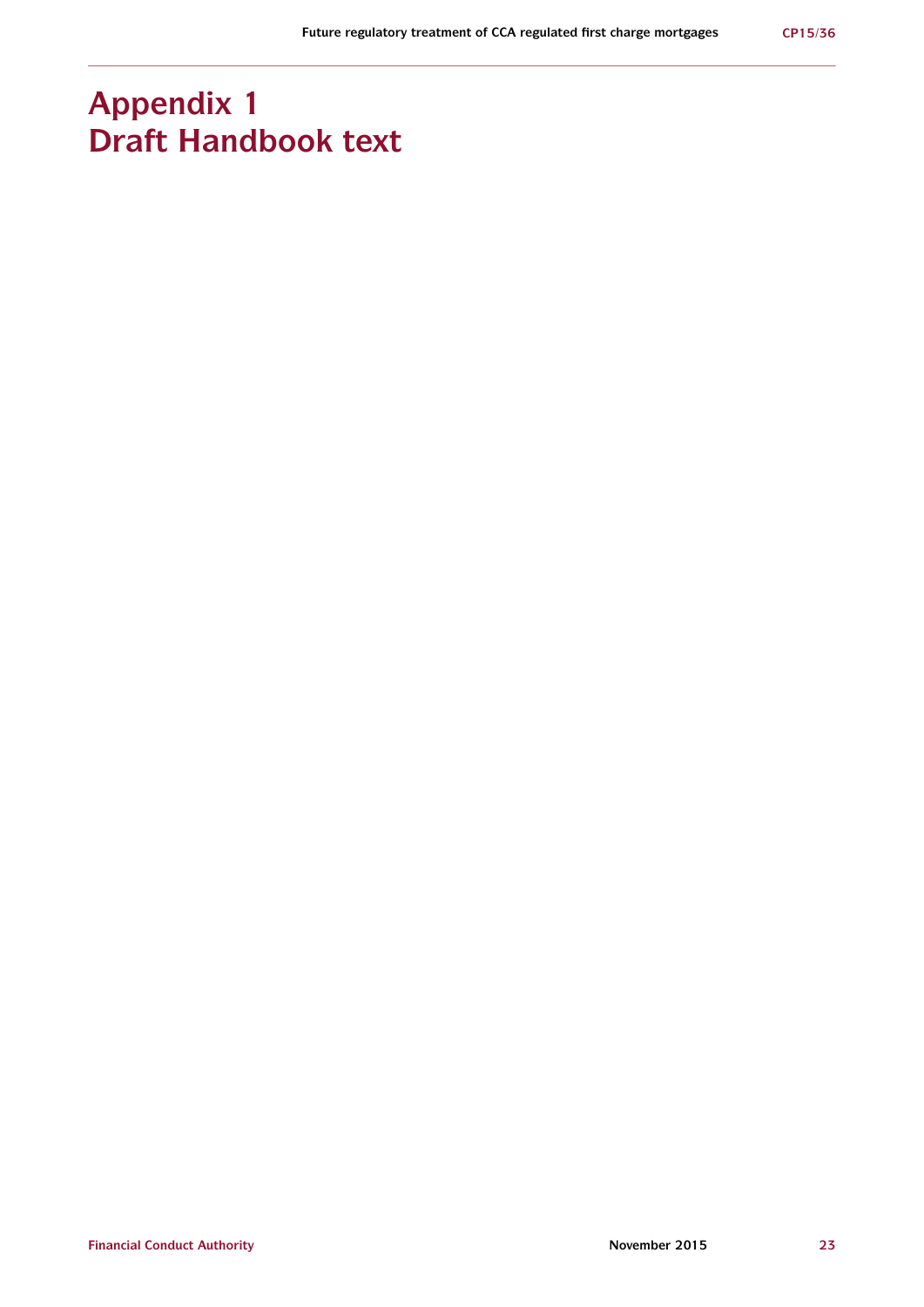## **Appendix 1 Draft Handbook text**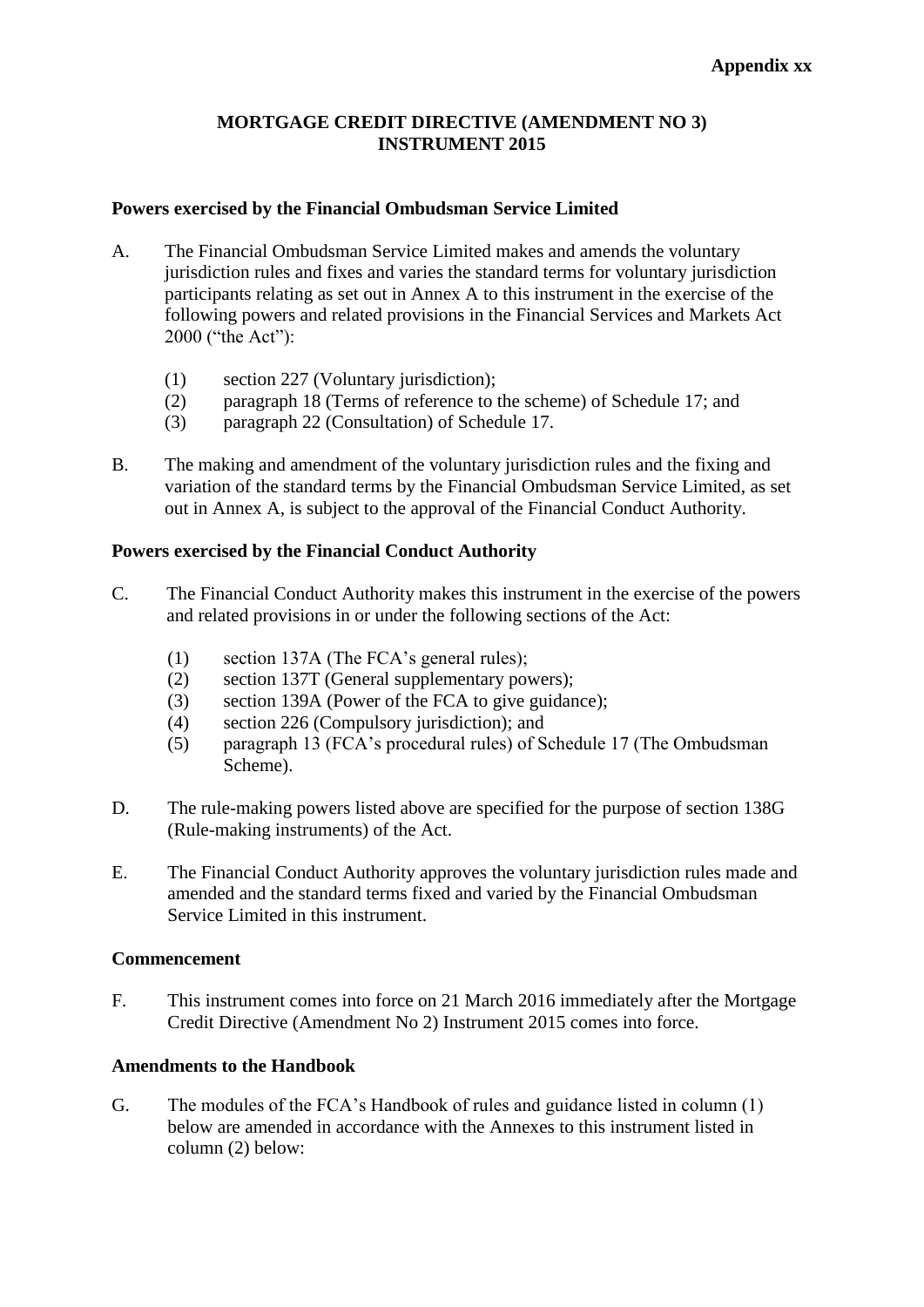## **MORTGAGE CREDIT DIRECTIVE (AMENDMENT NO 3) INSTRUMENT 2015**

## **Powers exercised by the Financial Ombudsman Service Limited**

- A. The Financial Ombudsman Service Limited makes and amends the voluntary jurisdiction rules and fixes and varies the standard terms for voluntary jurisdiction participants relating as set out in Annex A to this instrument in the exercise of the following powers and related provisions in the Financial Services and Markets Act 2000 ("the Act"):
	- (1) section 227 (Voluntary jurisdiction);
	- (2) paragraph 18 (Terms of reference to the scheme) of Schedule 17; and
	- (3) paragraph 22 (Consultation) of Schedule 17.
- B. The making and amendment of the voluntary jurisdiction rules and the fixing and variation of the standard terms by the Financial Ombudsman Service Limited, as set out in Annex A, is subject to the approval of the Financial Conduct Authority.

## **Powers exercised by the Financial Conduct Authority**

- C. The Financial Conduct Authority makes this instrument in the exercise of the powers and related provisions in or under the following sections of the Act:
	- (1) section 137A (The FCA's general rules);
	- (2) section 137T (General supplementary powers);
	- (3) section 139A (Power of the FCA to give guidance);
	- (4) section 226 (Compulsory jurisdiction); and
	- (5) paragraph 13 (FCA's procedural rules) of Schedule 17 (The Ombudsman Scheme).
- D. The rule-making powers listed above are specified for the purpose of section 138G (Rule-making instruments) of the Act.
- E. The Financial Conduct Authority approves the voluntary jurisdiction rules made and amended and the standard terms fixed and varied by the Financial Ombudsman Service Limited in this instrument.

## **Commencement**

F. This instrument comes into force on 21 March 2016 immediately after the Mortgage Credit Directive (Amendment No 2) Instrument 2015 comes into force.

## **Amendments to the Handbook**

G. The modules of the FCA's Handbook of rules and guidance listed in column (1) below are amended in accordance with the Annexes to this instrument listed in column (2) below: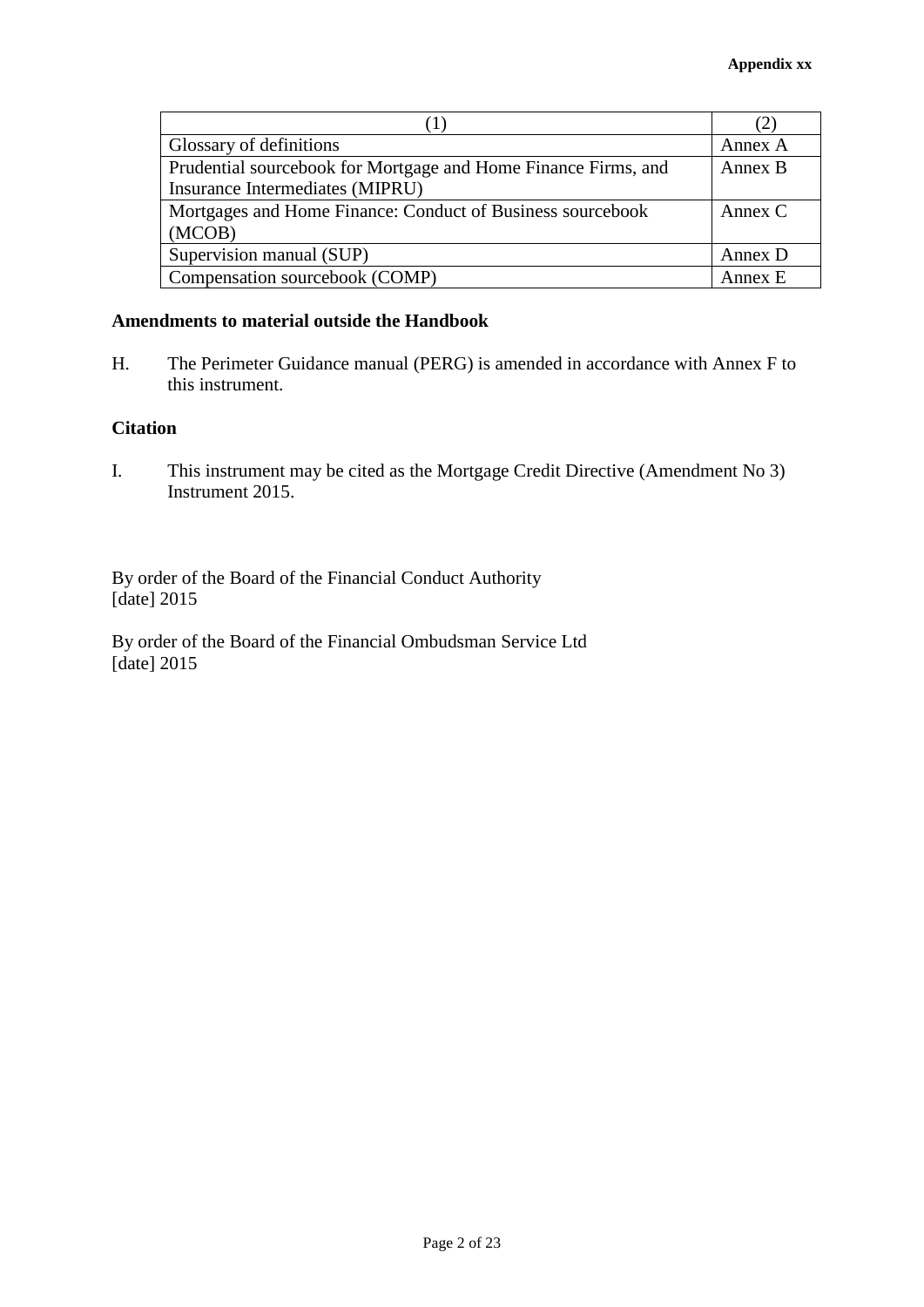|                                                                | $\mathcal{L}$ |
|----------------------------------------------------------------|---------------|
| Glossary of definitions                                        | Annex A       |
| Prudential sourcebook for Mortgage and Home Finance Firms, and | Annex B       |
| Insurance Intermediates (MIPRU)                                |               |
| Mortgages and Home Finance: Conduct of Business sourcebook     | Annex $C$     |
| (MCOB)                                                         |               |
| Supervision manual (SUP)                                       | Annex D       |
| Compensation sourcebook (COMP)                                 | Annex E       |

## **Amendments to material outside the Handbook**

H. The Perimeter Guidance manual (PERG) is amended in accordance with Annex F to this instrument.

## **Citation**

I. This instrument may be cited as the Mortgage Credit Directive (Amendment No 3) Instrument 2015.

By order of the Board of the Financial Conduct Authority [date] 2015

By order of the Board of the Financial Ombudsman Service Ltd [date] 2015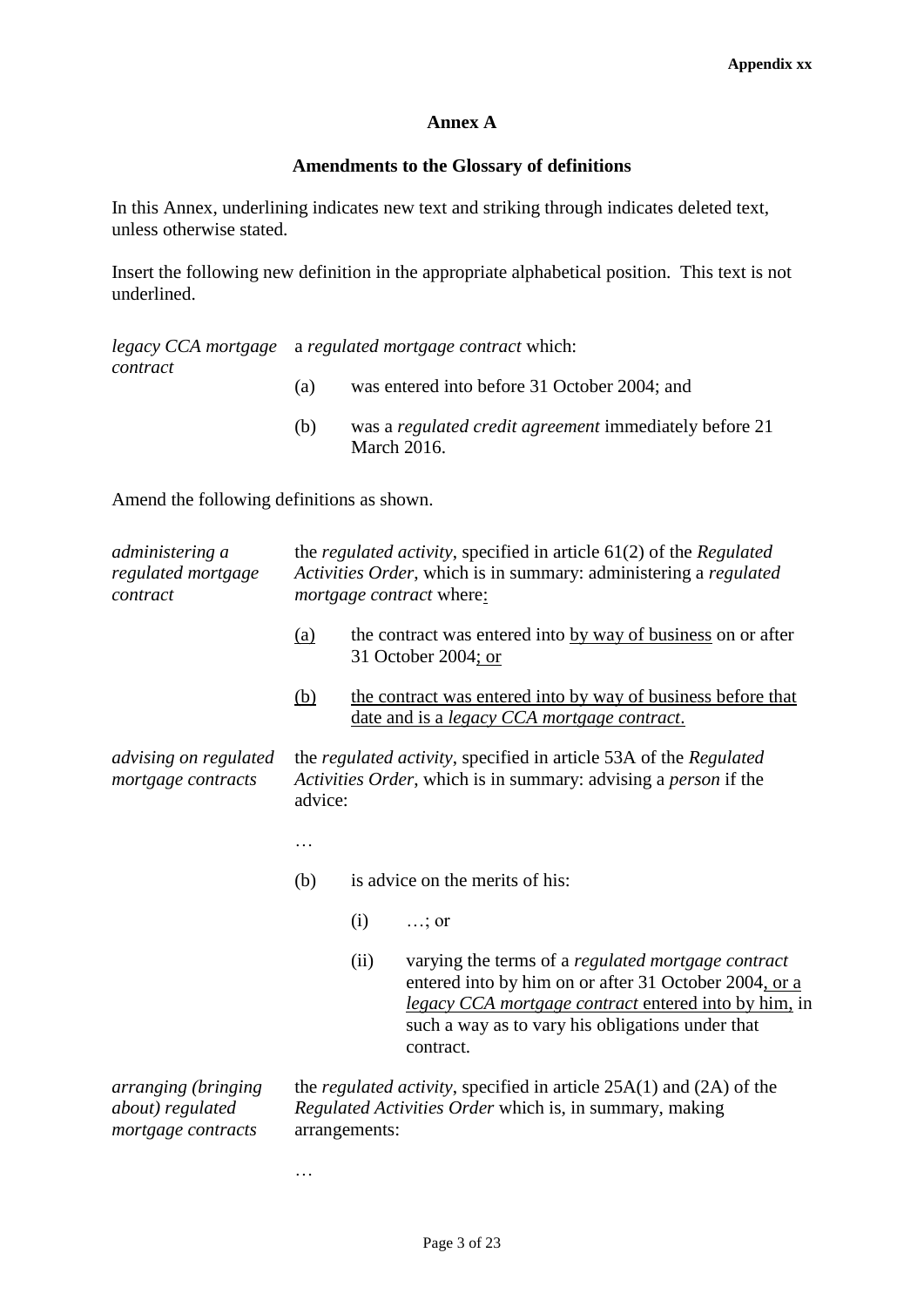## **Annex A**

## **Amendments to the Glossary of definitions**

In this Annex, underlining indicates new text and striking through indicates deleted text, unless otherwise stated.

Insert the following new definition in the appropriate alphabetical position. This text is not underlined.

*legacy CCA mortgage*  a *regulated mortgage contract* which: *contract*

- (a) was entered into before 31 October 2004; and
- (b) was a *regulated credit agreement* immediately before 21 March 2016.

Amend the following definitions as shown.

…

| administering a<br>regulated mortgage<br>contract             |            | the <i>regulated activity</i> , specified in article $61(2)$ of the <i>Regulated</i><br>Activities Order, which is in summary: administering a regulated<br><i>mortgage contract</i> where: |                                                                                                                                                                                                                                      |  |
|---------------------------------------------------------------|------------|---------------------------------------------------------------------------------------------------------------------------------------------------------------------------------------------|--------------------------------------------------------------------------------------------------------------------------------------------------------------------------------------------------------------------------------------|--|
|                                                               | <u>(a)</u> |                                                                                                                                                                                             | the contract was entered into by way of business on or after<br>31 October 2004; or                                                                                                                                                  |  |
|                                                               | <u>(b)</u> |                                                                                                                                                                                             | the contract was entered into by way of business before that<br>date and is a <i>legacy CCA mortgage contract</i> .                                                                                                                  |  |
| <i>advising on regulated</i><br>mortgage contracts            | advice:    | the regulated activity, specified in article 53A of the Regulated<br>Activities Order, which is in summary: advising a person if the                                                        |                                                                                                                                                                                                                                      |  |
|                                                               | .          |                                                                                                                                                                                             |                                                                                                                                                                                                                                      |  |
|                                                               | (b)        |                                                                                                                                                                                             | is advice on the merits of his:                                                                                                                                                                                                      |  |
|                                                               |            | (i)                                                                                                                                                                                         | $\ldots$ ; or                                                                                                                                                                                                                        |  |
|                                                               |            | (ii)                                                                                                                                                                                        | varying the terms of a regulated mortgage contract<br>entered into by him on or after 31 October 2004, or a<br>legacy CCA mortgage contract entered into by him, in<br>such a way as to vary his obligations under that<br>contract. |  |
| arranging (bringing<br>about) regulated<br>mortgage contracts |            | the <i>regulated activity</i> , specified in article $25A(1)$ and $(2A)$ of the<br>Regulated Activities Order which is, in summary, making<br>arrangements:                                 |                                                                                                                                                                                                                                      |  |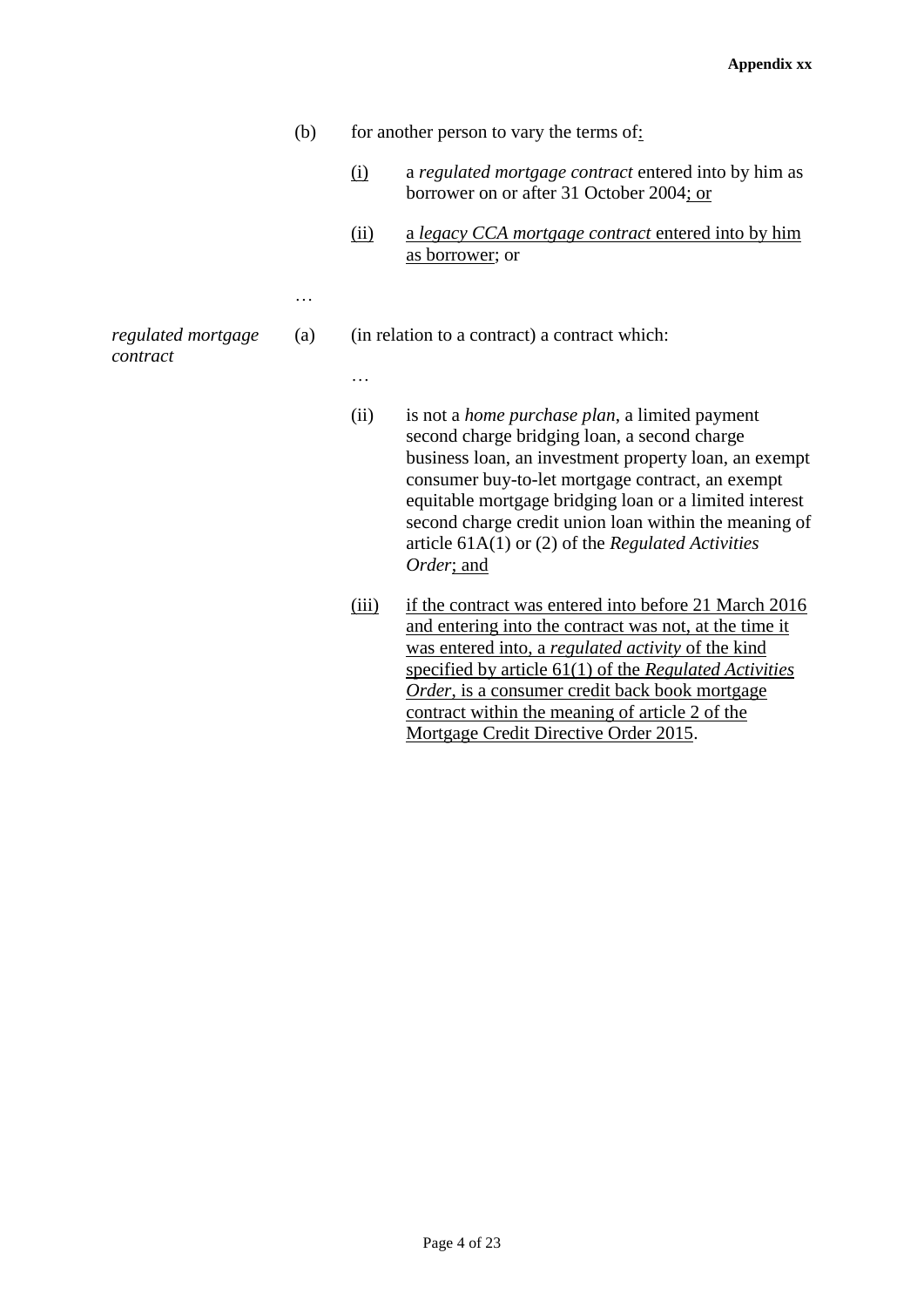- (b) for another person to vary the terms of:
	- (i) a *regulated mortgage contract* entered into by him as borrower on or after 31 October 2004; or
	- (ii) a *legacy CCA mortgage contract* entered into by him as borrower; or

(a) (in relation to a contract) a contract which:

- (ii) is not a *home purchase plan*, a limited payment second charge bridging loan, a second charge business loan, an investment property loan, an exempt consumer buy-to-let mortgage contract, an exempt equitable mortgage bridging loan or a limited interest second charge credit union loan within the meaning of article 61A(1) or (2) of the *Regulated Activities Order*; and
- (iii) if the contract was entered into before 21 March 2016 and entering into the contract was not, at the time it was entered into, a *regulated activity* of the kind specified by article 61(1) of the *Regulated Activities Order*, is a consumer credit back book mortgage contract within the meaning of article 2 of the Mortgage Credit Directive Order 2015.

*regulated mortgage contract*

…

…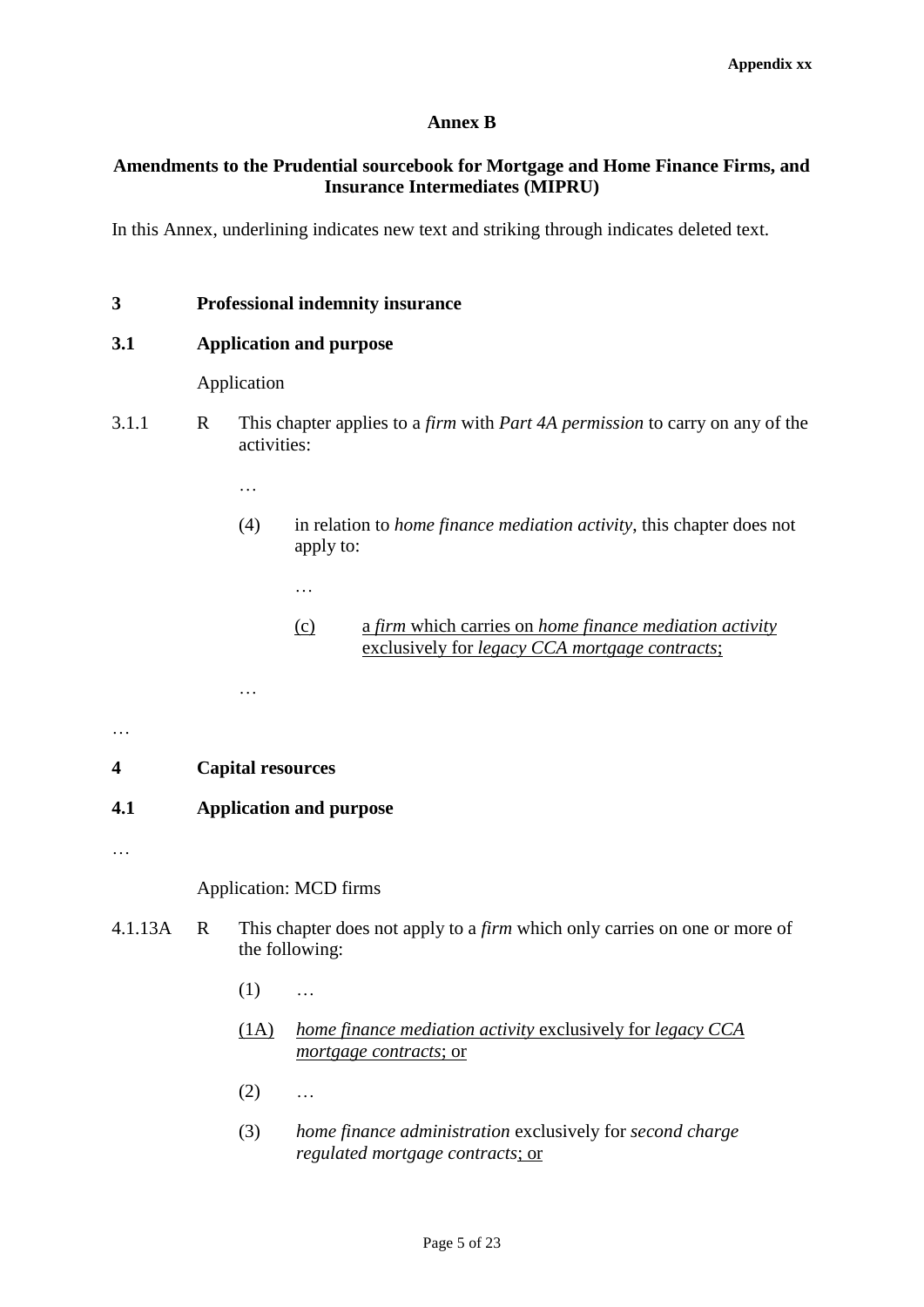## **Annex B**

## **Amendments to the Prudential sourcebook for Mortgage and Home Finance Firms, and Insurance Intermediates (MIPRU)**

In this Annex, underlining indicates new text and striking through indicates deleted text.

## **3 Professional indemnity insurance**

## **3.1 Application and purpose**

## Application

- 3.1.1 R This chapter applies to a *firm* with *Part 4A permission* to carry on any of the activities:
	- …

…

- (4) in relation to *home finance mediation activity*, this chapter does not apply to:
	- (c) a *firm* which carries on *home finance mediation activity*  exclusively for *legacy CCA mortgage contracts*;

## **4 Capital resources**

## **4.1 Application and purpose**

…

…

…

## Application: MCD firms

- 4.1.13A R This chapter does not apply to a *firm* which only carries on one or more of the following:
	- $(1)$  ...
	- (1A) *home finance mediation activity* exclusively for *legacy CCA mortgage contracts*; or
	- $(2)$  ...
	- (3) *home finance administration* exclusively for *second charge regulated mortgage contracts*; or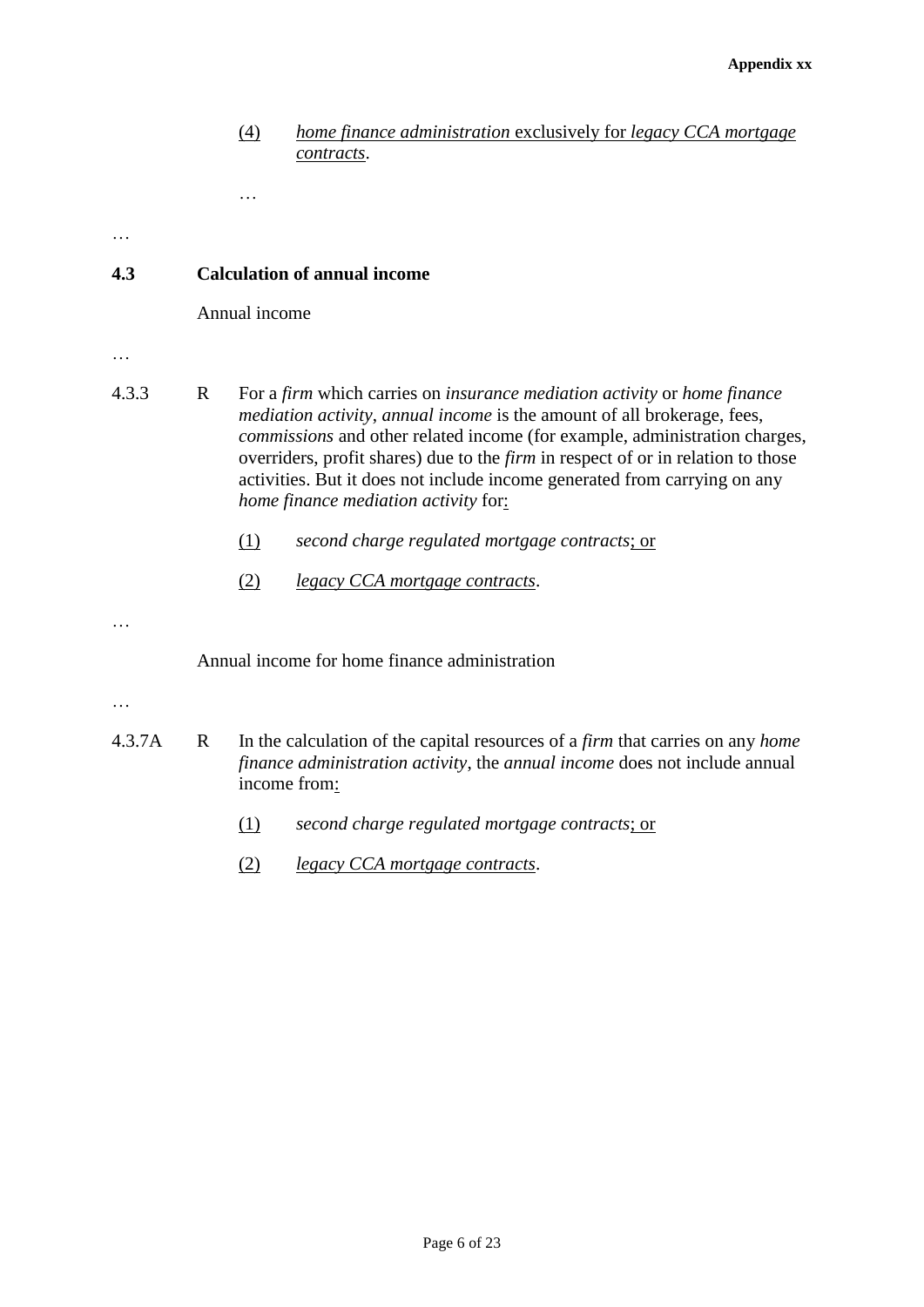## (4) *home finance administration* exclusively for *legacy CCA mortgage contracts*.

…

…

## **4.3 Calculation of annual income**

Annual income

- …
- 4.3.3 R For a *firm* which carries on *insurance mediation activity* or *home finance mediation activity*, *annual income* is the amount of all brokerage, fees, *commissions* and other related income (for example, administration charges, overriders, profit shares) due to the *firm* in respect of or in relation to those activities. But it does not include income generated from carrying on any *home finance mediation activity* for:
	- (1) *second charge regulated mortgage contracts*; or
	- (2) *legacy CCA mortgage contracts*.

…

Annual income for home finance administration

- …
- 4.3.7A R In the calculation of the capital resources of a *firm* that carries on any *home finance administration activity*, the *annual income* does not include annual income from:
	- (1) *second charge regulated mortgage contracts*; or
	- (2) *legacy CCA mortgage contracts*.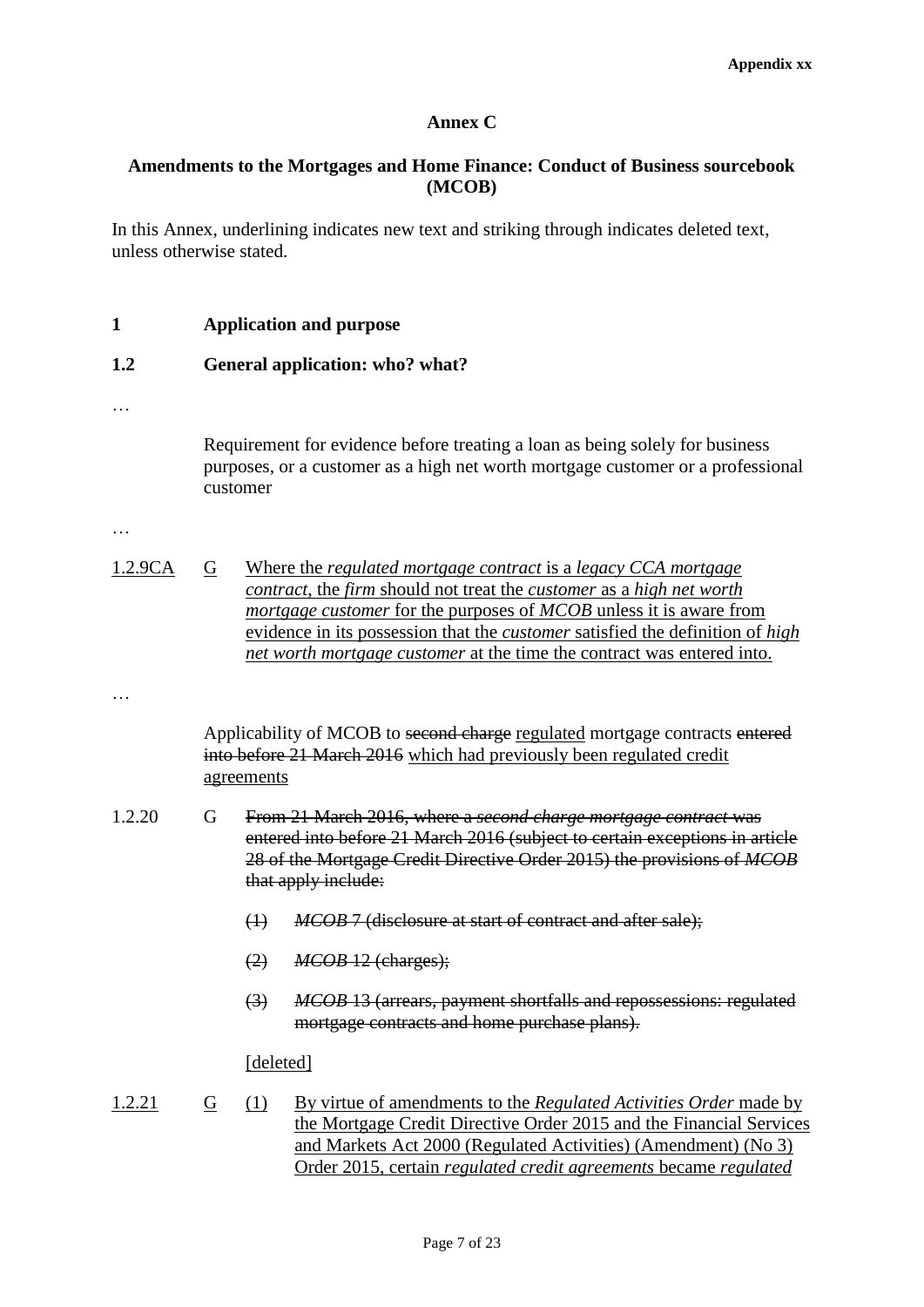## **Annex C**

## **Amendments to the Mortgages and Home Finance: Conduct of Business sourcebook (MCOB)**

In this Annex, underlining indicates new text and striking through indicates deleted text, unless otherwise stated.

**1 Application and purpose**

## **1.2 General application: who? what?**

…

Requirement for evidence before treating a loan as being solely for business purposes, or a customer as a high net worth mortgage customer or a professional customer

…

| 1.2.9CA | G | Where the <i>regulated mortgage contract</i> is a <i>legacy CCA mortgage</i>                |
|---------|---|---------------------------------------------------------------------------------------------|
|         |   | contract, the firm should not treat the customer as a high net worth                        |
|         |   | <i>mortgage customer</i> for the purposes of <i>MCOB</i> unless it is aware from            |
|         |   | evidence in its possession that the <i>customer</i> satisfied the definition of <i>high</i> |
|         |   | <i>net worth mortgage customer</i> at the time the contract was entered into.               |

…

Applicability of MCOB to second charge regulated mortgage contracts entered into before 21 March 2016 which had previously been regulated credit agreements

- 1.2.20 G From 21 March 2016, where a *second charge mortgage contract* was entered into before 21 March 2016 (subject to certain exceptions in article 28 of the Mortgage Credit Directive Order 2015) the provisions of *MCOB* that apply include:
	- (1) *MCOB* 7 (disclosure at start of contract and after sale);
	- (2) *MCOB* 12 (charges);
	- (3) *MCOB* 13 (arrears, payment shortfalls and repossessions: regulated mortgage contracts and home purchase plans).

## [deleted]

1.2.21 G (1) By virtue of amendments to the *Regulated Activities Order* made by the Mortgage Credit Directive Order 2015 and the Financial Services and Markets Act 2000 (Regulated Activities) (Amendment) (No 3) Order 2015, certain *regulated credit agreements* became *regulated*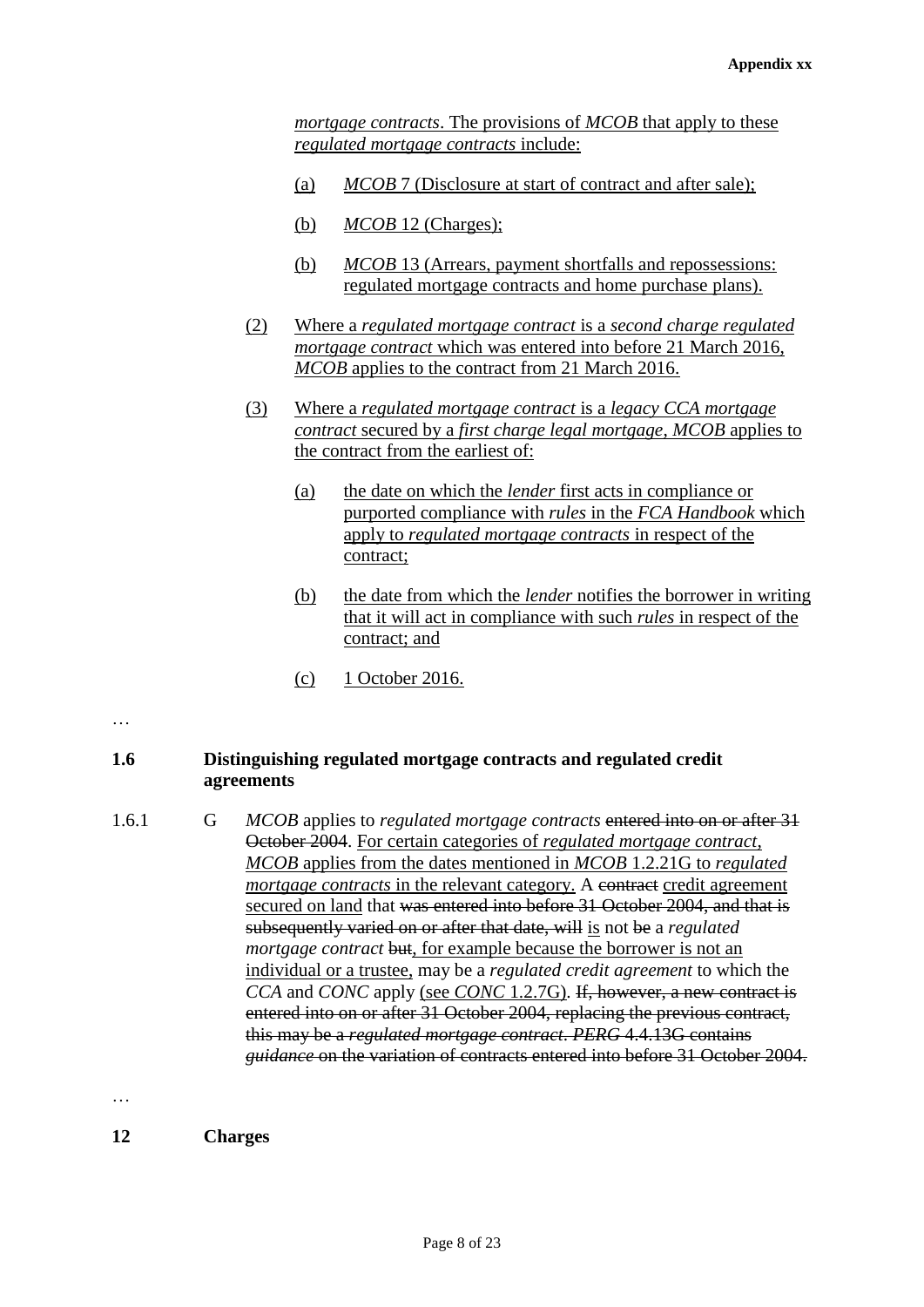*mortgage contracts*. The provisions of *MCOB* that apply to these *regulated mortgage contracts* include:

- (a) *MCOB* 7 (Disclosure at start of contract and after sale);
- (b) *MCOB* 12 (Charges);
- (b) *MCOB* 13 (Arrears, payment shortfalls and repossessions: regulated mortgage contracts and home purchase plans).
- (2) Where a *regulated mortgage contract* is a *second charge regulated mortgage contract* which was entered into before 21 March 2016, *MCOB* applies to the contract from 21 March 2016.
- (3) Where a *regulated mortgage contract* is a *legacy CCA mortgage contract* secured by a *first charge legal mortgage*, *MCOB* applies to the contract from the earliest of:
	- (a) the date on which the *lender* first acts in compliance or purported compliance with *rules* in the *FCA Handbook* which apply to *regulated mortgage contracts* in respect of the contract;
	- (b) the date from which the *lender* notifies the borrower in writing that it will act in compliance with such *rules* in respect of the contract; and
	- (c) 1 October 2016.

…

## **1.6 Distinguishing regulated mortgage contracts and regulated credit agreements**

1.6.1 G *MCOB* applies to *regulated mortgage contracts* entered into on or after 31 October 2004. For certain categories of *regulated mortgage contract*, *MCOB* applies from the dates mentioned in *MCOB* 1.2.21G to *regulated mortgage contracts* in the relevant category. A contract credit agreement secured on land that was entered into before 31 October 2004, and that is subsequently varied on or after that date, will is not be a *regulated mortgage contract* but, for example because the borrower is not an individual or a trustee, may be a *regulated credit agreement* to which the *CCA* and *CONC* apply (see *CONC* 1.2.7G). If, however, a new contract is entered into on or after 31 October 2004, replacing the previous contract, this may be a *regulated mortgage contract*. *PERG* 4.4.13G contains *guidance* on the variation of contracts entered into before 31 October 2004.

…

**12 Charges**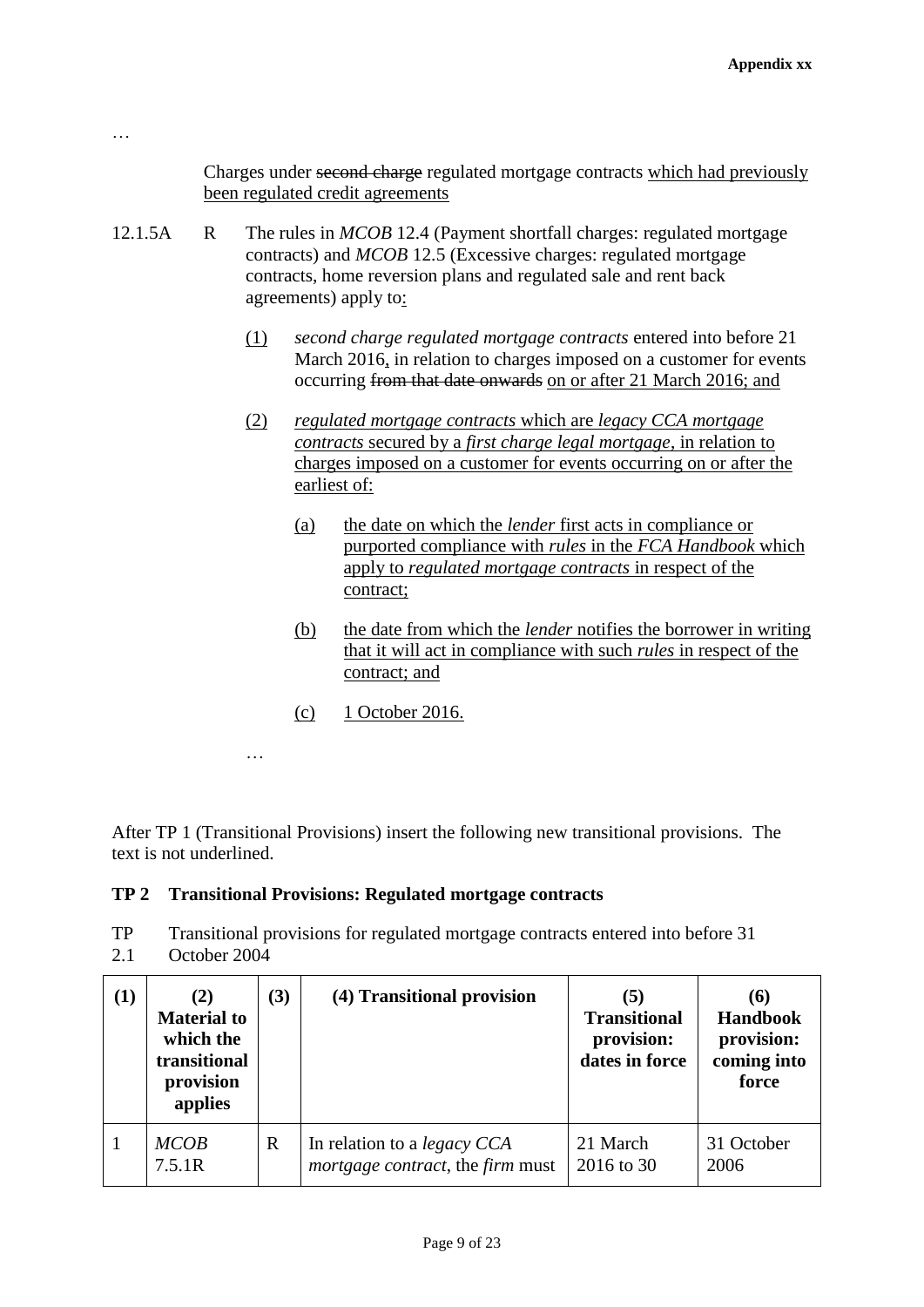Charges under second charge regulated mortgage contracts which had previously been regulated credit agreements

- 12.1.5A R The rules in *MCOB* 12.4 (Payment shortfall charges: regulated mortgage contracts) and *MCOB* 12.5 (Excessive charges: regulated mortgage contracts, home reversion plans and regulated sale and rent back agreements) apply to:
	- (1) *second charge regulated mortgage contracts* entered into before 21 March 2016, in relation to charges imposed on a customer for events occurring from that date onwards on or after 21 March 2016; and
	- (2) *regulated mortgage contracts* which are *legacy CCA mortgage contracts* secured by a *first charge legal mortgage*, in relation to charges imposed on a customer for events occurring on or after the earliest of:
		- (a) the date on which the *lender* first acts in compliance or purported compliance with *rules* in the *FCA Handbook* which apply to *regulated mortgage contracts* in respect of the contract;
		- (b) the date from which the *lender* notifies the borrower in writing that it will act in compliance with such *rules* in respect of the contract; and
		- (c) 1 October 2016.

…

…

After TP 1 (Transitional Provisions) insert the following new transitional provisions. The text is not underlined.

## **TP 2 Transitional Provisions: Regulated mortgage contracts**

TP 2.1 Transitional provisions for regulated mortgage contracts entered into before 31 October 2004

| (1) | (2)<br><b>Material to</b><br>which the<br>transitional<br>provision<br>applies | (3) | (4) Transitional provision                                                            | (5)<br><b>Transitional</b><br>provision:<br>dates in force | (6)<br><b>Handbook</b><br>provision:<br>coming into<br>force |
|-----|--------------------------------------------------------------------------------|-----|---------------------------------------------------------------------------------------|------------------------------------------------------------|--------------------------------------------------------------|
|     | <b>MCOB</b><br>7.5.1R                                                          | R   | In relation to a <i>legacy CCA</i><br><i>mortgage contract</i> , the <i>firm</i> must | 21 March<br>2016 to 30                                     | 31 October<br>2006                                           |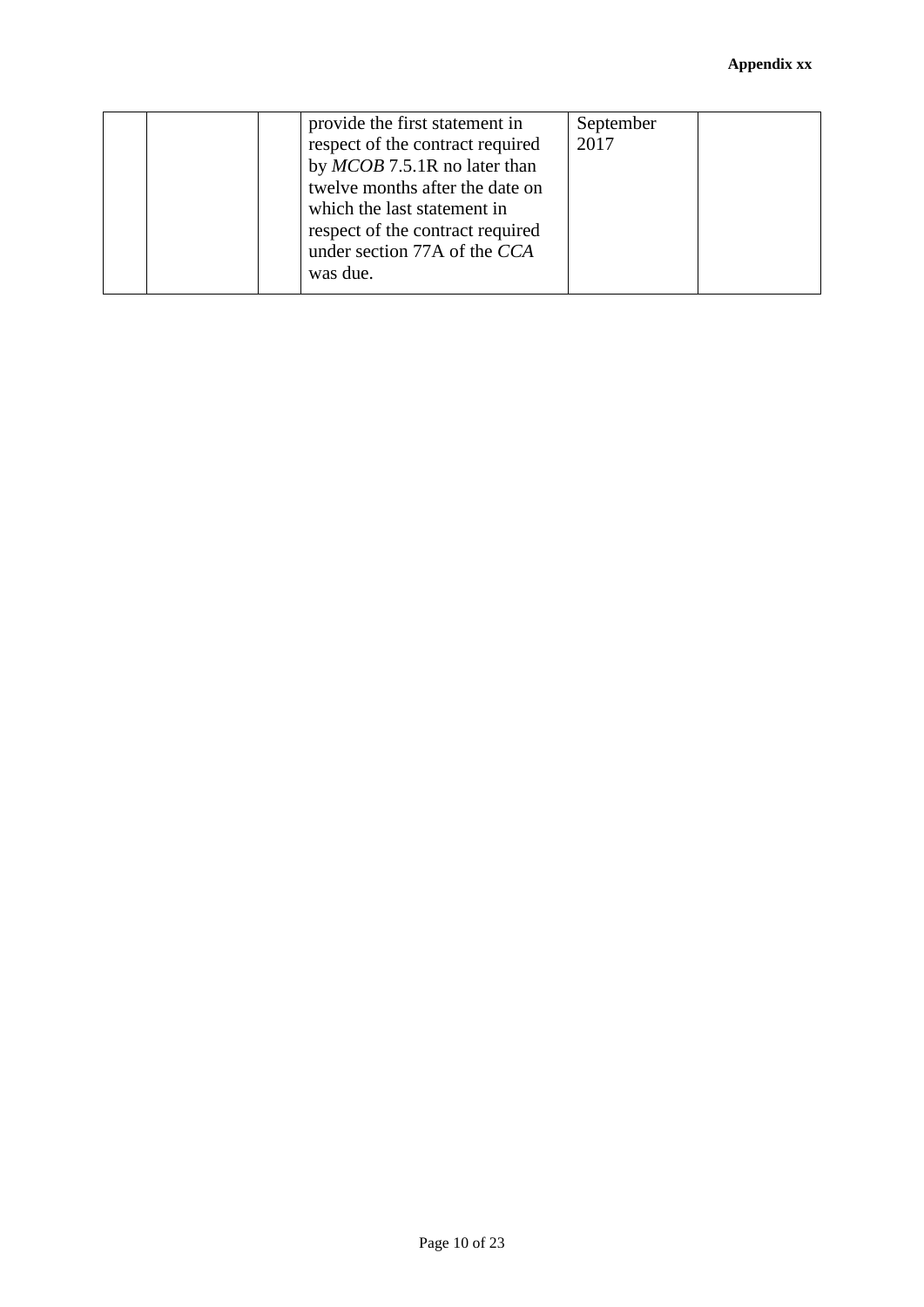|  | provide the first statement in<br>respect of the contract required<br>by MCOB 7.5.1R no later than<br>twelve months after the date on<br>which the last statement in<br>respect of the contract required<br>under section 77A of the CCA<br>was due. | September<br>2017 |  |
|--|------------------------------------------------------------------------------------------------------------------------------------------------------------------------------------------------------------------------------------------------------|-------------------|--|
|--|------------------------------------------------------------------------------------------------------------------------------------------------------------------------------------------------------------------------------------------------------|-------------------|--|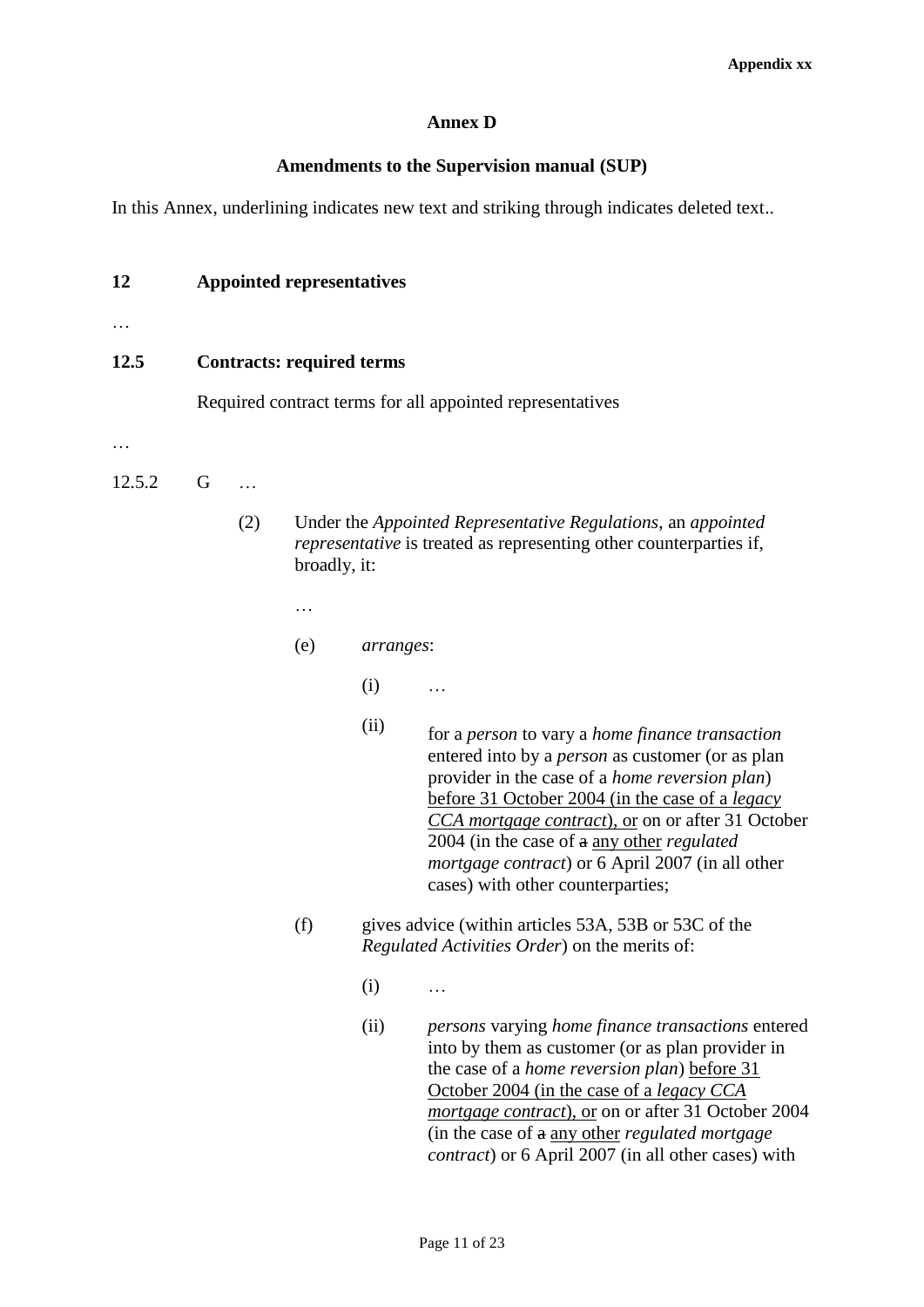## **Annex D**

## **Amendments to the Supervision manual (SUP)**

In this Annex, underlining indicates new text and striking through indicates deleted text..

## **12 Appointed representatives**

…

## **12.5 Contracts: required terms**

Required contract terms for all appointed representatives

…

## 12.5.2 G …

- (2) Under the *Appointed Representative Regulations*, an *appointed representative* is treated as representing other counterparties if, broadly, it:
	- …
	- (e) *arranges*:
		- $(i)$  …
		-
		- (ii) for a *person* to vary a *home finance transaction* entered into by a *person* as customer (or as plan provider in the case of a *home reversion plan*) before 31 October 2004 (in the case of a *legacy CCA mortgage contract*), or on or after 31 October 2004 (in the case of a any other *regulated mortgage contract*) or 6 April 2007 (in all other cases) with other counterparties;
	- (f) gives advice (within articles 53A, 53B or 53C of the *Regulated Activities Order*) on the merits of:
		- $(i)$  …
		- (ii) *persons* varying *home finance transactions* entered into by them as customer (or as plan provider in the case of a *home reversion plan*) before 31 October 2004 (in the case of a *legacy CCA mortgage contract*), or on or after 31 October 2004 (in the case of a any other *regulated mortgage contract*) or 6 April 2007 (in all other cases) with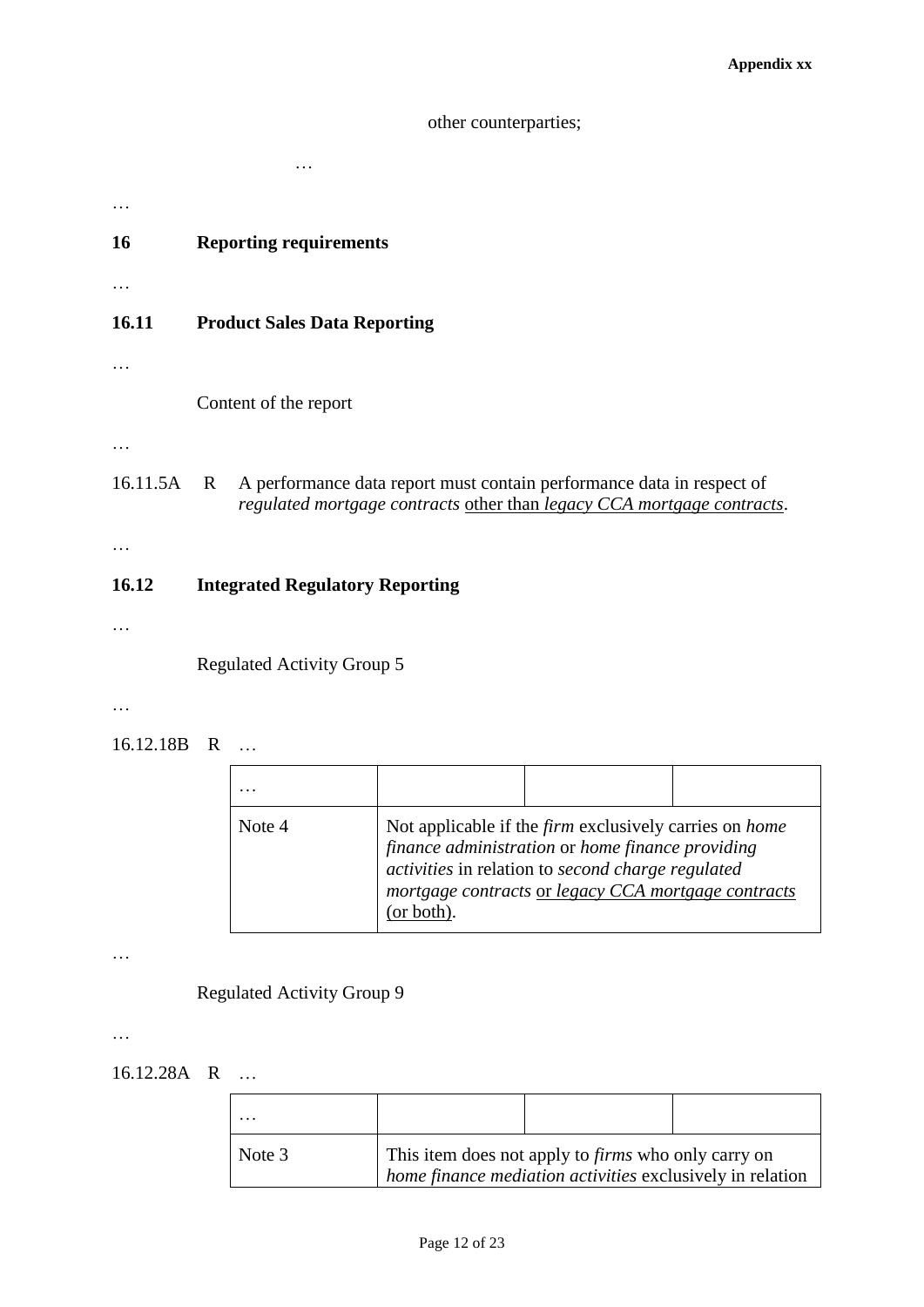## other counterparties;

| <b>16</b> | <b>Reporting requirements</b>                                                                                                                                   |
|-----------|-----------------------------------------------------------------------------------------------------------------------------------------------------------------|
|           |                                                                                                                                                                 |
| 16.11     | <b>Product Sales Data Reporting</b>                                                                                                                             |
|           |                                                                                                                                                                 |
|           | Content of the report                                                                                                                                           |
|           |                                                                                                                                                                 |
| 16.11.5A  | A performance data report must contain performance data in respect of<br>$\mathbf{R}$<br>regulated mortgage contracts other than legacy CCA mortgage contracts. |
|           |                                                                                                                                                                 |
| 16.12     | <b>Integrated Regulatory Reporting</b>                                                                                                                          |
|           |                                                                                                                                                                 |

Regulated Activity Group 5

…

…

16.12.18B R …

| Note 4 | (or both). | Not applicable if the <i>firm</i> exclusively carries on <i>home</i><br>finance administration or home finance providing<br>activities in relation to second charge regulated<br>mortgage contracts or legacy CCA mortgage contracts |  |
|--------|------------|--------------------------------------------------------------------------------------------------------------------------------------------------------------------------------------------------------------------------------------|--|

…

Regulated Activity Group 9

…

16.12.28A R …

| Note 3 | This item does not apply to <i>firms</i> who only carry on<br>home finance mediation activities exclusively in relation |  |  |  |
|--------|-------------------------------------------------------------------------------------------------------------------------|--|--|--|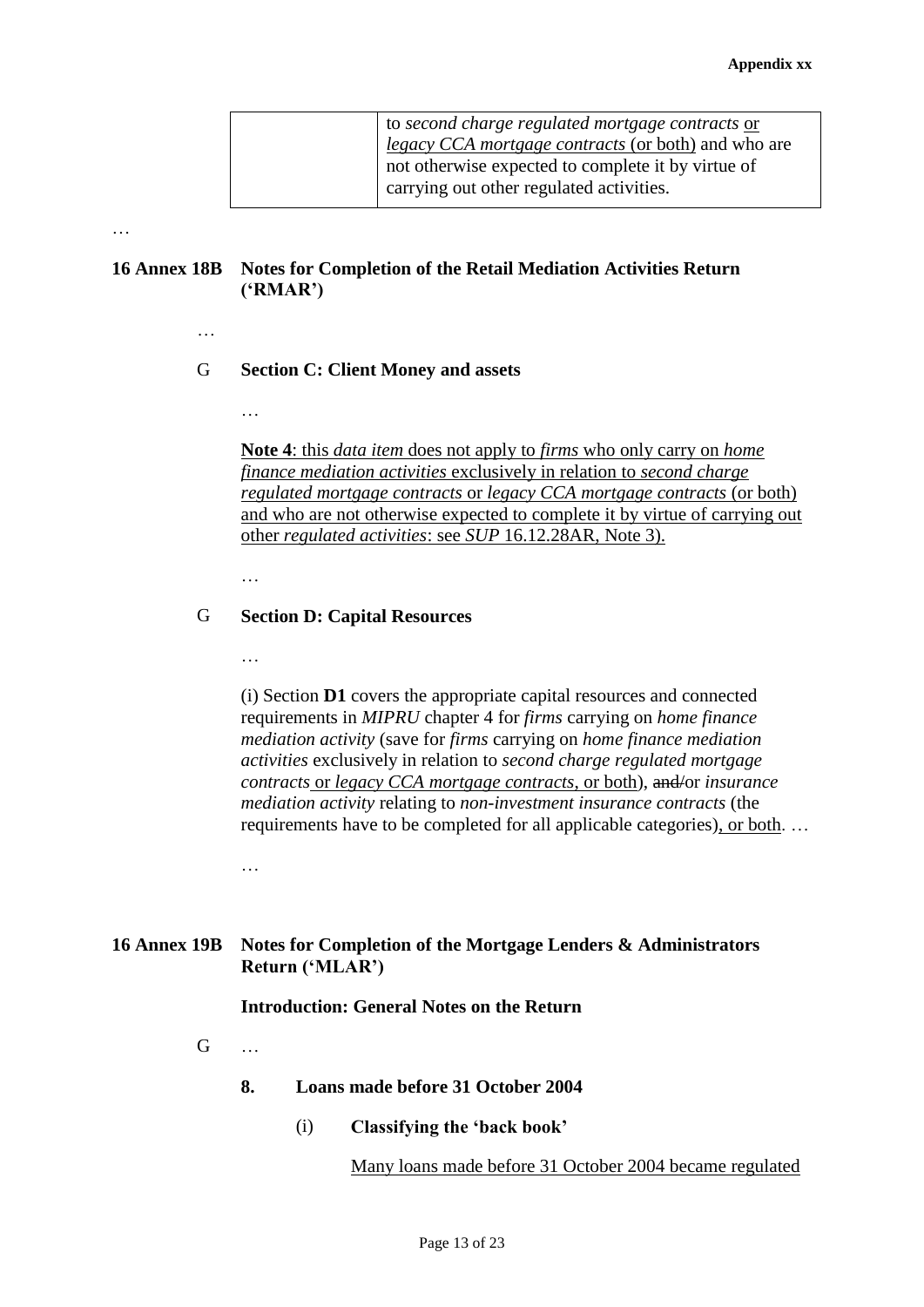| $\vert$ to second charge regulated mortgage contracts or<br>legacy CCA mortgage contracts (or both) and who are |
|-----------------------------------------------------------------------------------------------------------------|
| not otherwise expected to complete it by virtue of<br>carrying out other regulated activities.                  |

## **16 Annex 18B Notes for Completion of the Retail Mediation Activities Return ('RMAR')**

…

## G **Section C: Client Money and assets**

…

**Note 4**: this *data item* does not apply to *firms* who only carry on *home finance mediation activities* exclusively in relation to *second charge regulated mortgage contracts* or *legacy CCA mortgage contracts* (or both) and who are not otherwise expected to complete it by virtue of carrying out other *regulated activities*: see *SUP* 16.12.28AR, Note 3).

… …

## G **Section D: Capital Resources**

…

(i) Section **D1** covers the appropriate capital resources and connected requirements in *MIPRU* chapter 4 for *firms* carrying on *home finance mediation activity* (save for *firms* carrying on *home finance mediation activities* exclusively in relation to *second charge regulated mortgage contracts* or *legacy CCA mortgage contracts*, or both), and/or *insurance mediation activity* relating to *non-investment insurance contracts* (the requirements have to be completed for all applicable categories), or both. …

…

## **16 Annex 19B Notes for Completion of the Mortgage Lenders & Administrators Return ('MLAR')**

## **Introduction: General Notes on the Return**

- $G$ 
	- **8. Loans made before 31 October 2004**
		- (i) **Classifying the 'back book'**

Many loans made before 31 October 2004 became regulated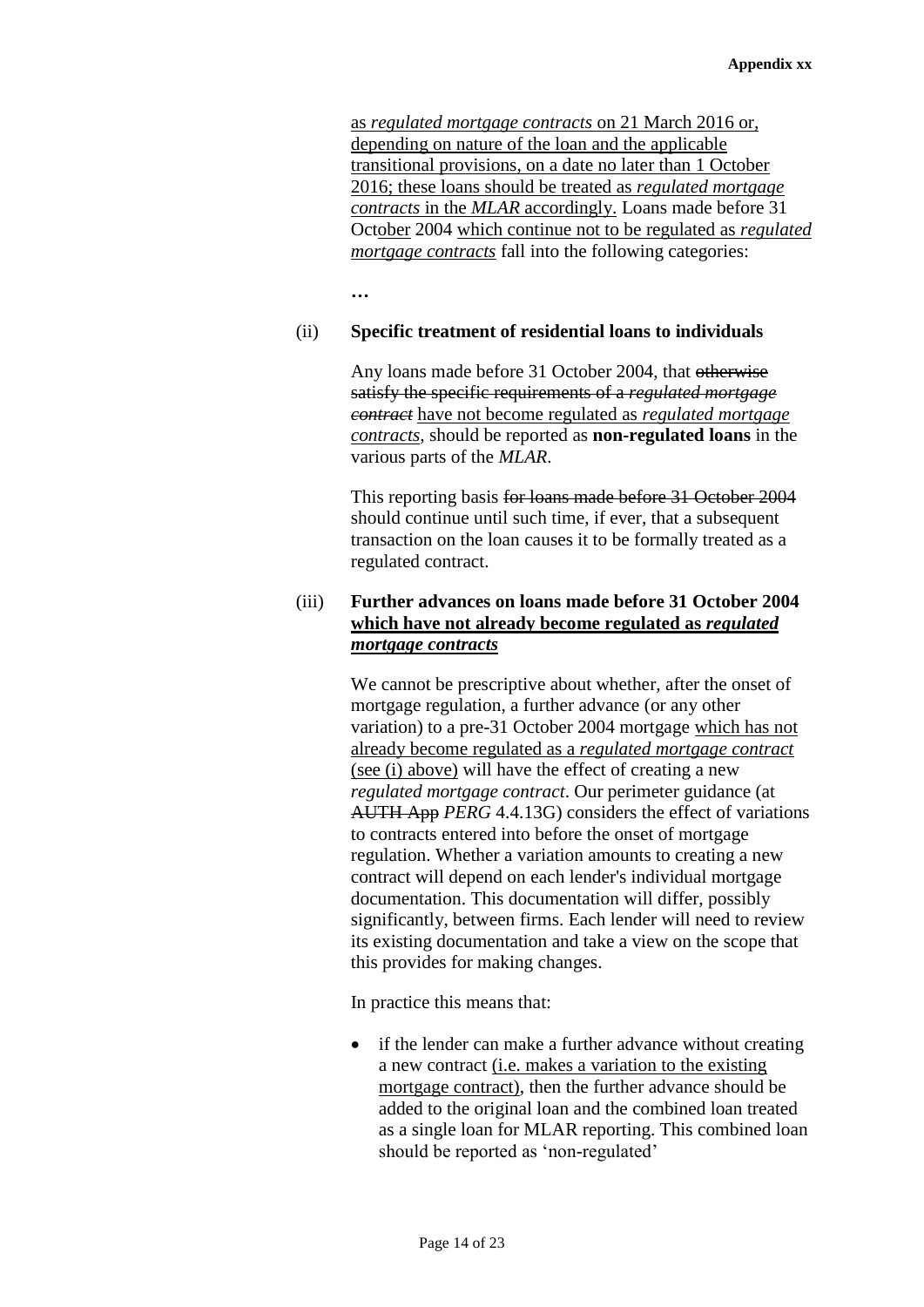as *regulated mortgage contracts* on 21 March 2016 or, depending on nature of the loan and the applicable transitional provisions, on a date no later than 1 October 2016; these loans should be treated as *regulated mortgage contracts* in the *MLAR* accordingly. Loans made before 31 October 2004 which continue not to be regulated as *regulated mortgage contracts* fall into the following categories:

**…**

## (ii) **Specific treatment of residential loans to individuals**

Any loans made before 31 October 2004, that otherwise satisfy the specific requirements of a *regulated mortgage contract* have not become regulated as *regulated mortgage contracts*, should be reported as **non-regulated loans** in the various parts of the *MLAR*.

This reporting basis for loans made before 31 October 2004 should continue until such time, if ever, that a subsequent transaction on the loan causes it to be formally treated as a regulated contract.

## (iii) **Further advances on loans made before 31 October 2004 which have not already become regulated as** *regulated mortgage contracts*

We cannot be prescriptive about whether, after the onset of mortgage regulation, a further advance (or any other variation) to a pre-31 October 2004 mortgage which has not already become regulated as a *regulated mortgage contract*  (see (i) above) will have the effect of creating a new *regulated mortgage contract*. Our perimeter guidance (at AUTH App *PERG* 4.4.13G) considers the effect of variations to contracts entered into before the onset of mortgage regulation. Whether a variation amounts to creating a new contract will depend on each lender's individual mortgage documentation. This documentation will differ, possibly significantly, between firms. Each lender will need to review its existing documentation and take a view on the scope that this provides for making changes.

In practice this means that:

• if the lender can make a further advance without creating a new contract (i.e. makes a variation to the existing mortgage contract), then the further advance should be added to the original loan and the combined loan treated as a single loan for MLAR reporting. This combined loan should be reported as 'non-regulated'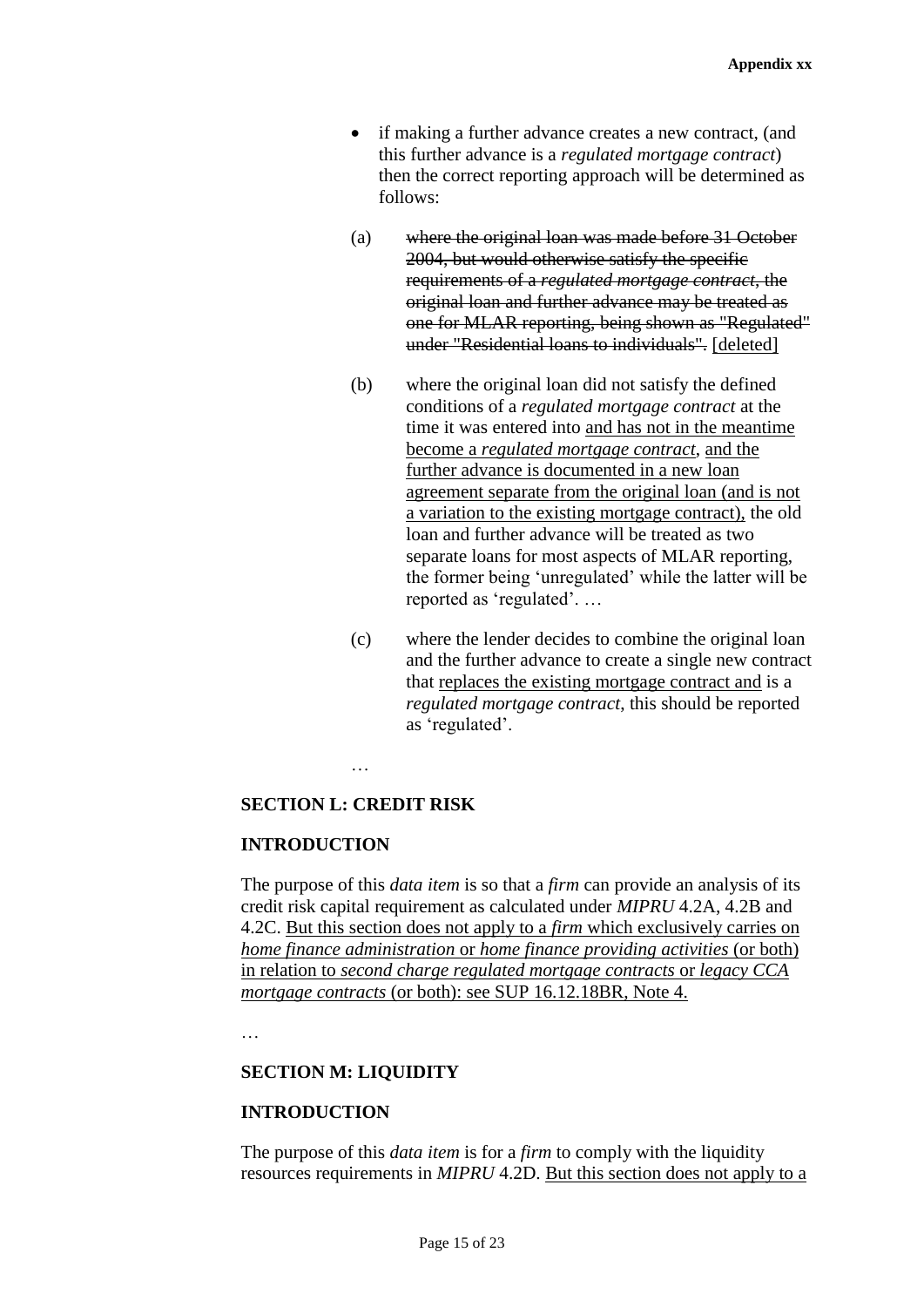- if making a further advance creates a new contract, (and this further advance is a *regulated mortgage contract*) then the correct reporting approach will be determined as follows:
- (a) where the original loan was made before 31 October 2004, but would otherwise satisfy the specific requirements of a *regulated mortgage contract*, the original loan and further advance may be treated as one for MLAR reporting, being shown as "Regulated" under "Residential loans to individuals". [deleted]
- (b) where the original loan did not satisfy the defined conditions of a *regulated mortgage contract* at the time it was entered into and has not in the meantime become a *regulated mortgage contract*, and the further advance is documented in a new loan agreement separate from the original loan (and is not a variation to the existing mortgage contract), the old loan and further advance will be treated as two separate loans for most aspects of MLAR reporting, the former being 'unregulated' while the latter will be reported as 'regulated'. …
- (c) where the lender decides to combine the original loan and the further advance to create a single new contract that replaces the existing mortgage contract and is a *regulated mortgage contract*, this should be reported as 'regulated'.

### **SECTION L: CREDIT RISK**

## **INTRODUCTION**

The purpose of this *data item* is so that a *firm* can provide an analysis of its credit risk capital requirement as calculated under *MIPRU* 4.2A, 4.2B and 4.2C. But this section does not apply to a *firm* which exclusively carries on *home finance administration* or *home finance providing activities* (or both) in relation to *second charge regulated mortgage contracts* or *legacy CCA mortgage contracts* (or both): see SUP 16.12.18BR, Note 4.

…

#### **SECTION M: LIQUIDITY**

## **INTRODUCTION**

The purpose of this *data item* is for a *firm* to comply with the liquidity resources requirements in *MIPRU* 4.2D. But this section does not apply to a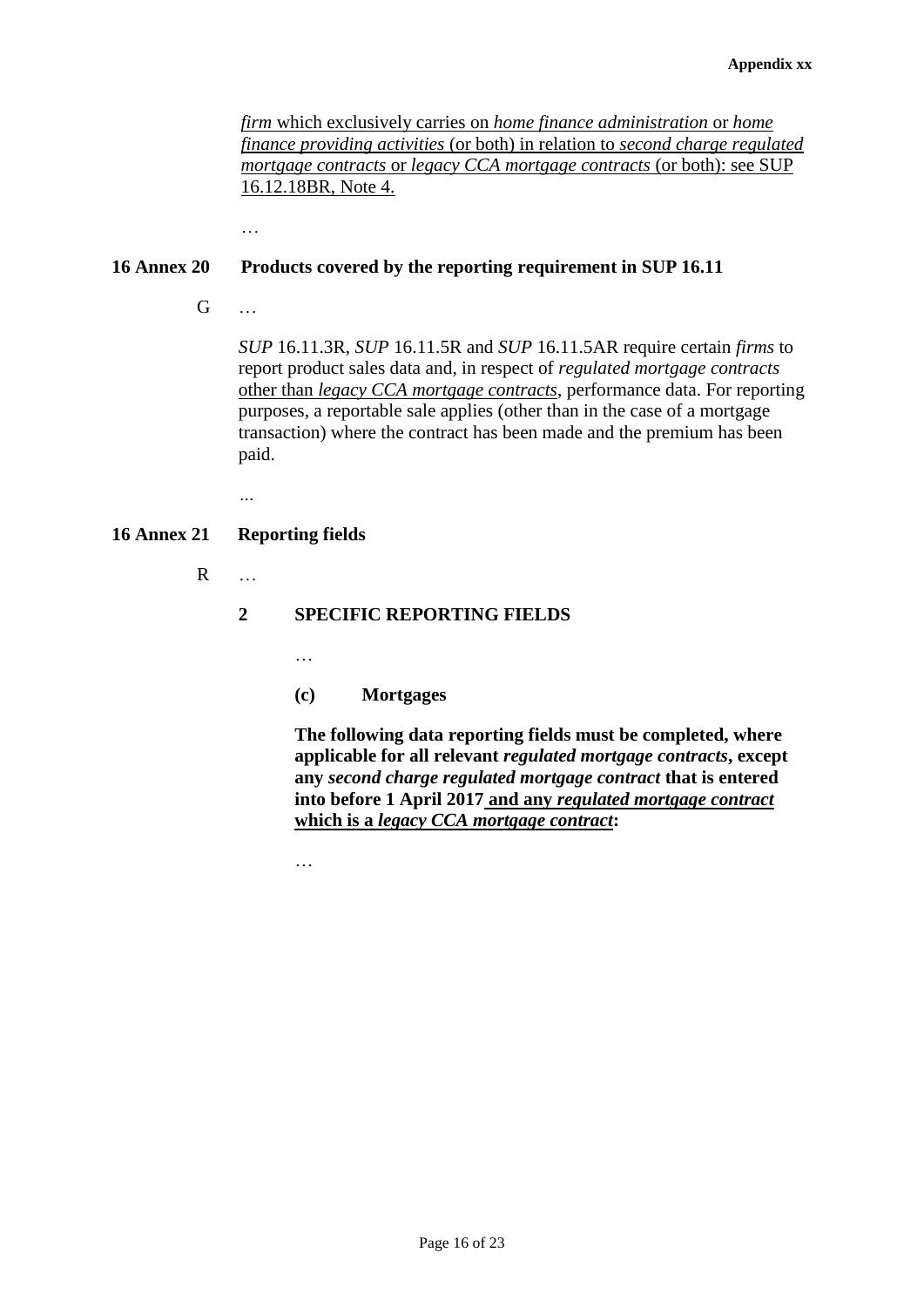*firm* which exclusively carries on *home finance administration* or *home finance providing activities* (or both) in relation to *second charge regulated mortgage contracts* or *legacy CCA mortgage contracts* (or both): see SUP 16.12.18BR, Note 4.

…

## **16 Annex 20 Products covered by the reporting requirement in SUP 16.11**

G …

*SUP* 16.11.3R, *SUP* 16.11.5R and *SUP* 16.11.5AR require certain *firms* to report product sales data and, in respect of *regulated mortgage contracts* other than *legacy CCA mortgage contracts*, performance data. For reporting purposes, a reportable sale applies (other than in the case of a mortgage transaction) where the contract has been made and the premium has been paid.

*…*

## **16 Annex 21 Reporting fields**

R …

## **2 SPECIFIC REPORTING FIELDS**

…

**(c) Mortgages**

**The following data reporting fields must be completed, where applicable for all relevant** *regulated mortgage contracts***, except any** *second charge regulated mortgage contract* **that is entered into before 1 April 2017 and any** *regulated mortgage contract* **which is a** *legacy CCA mortgage contract***:**

…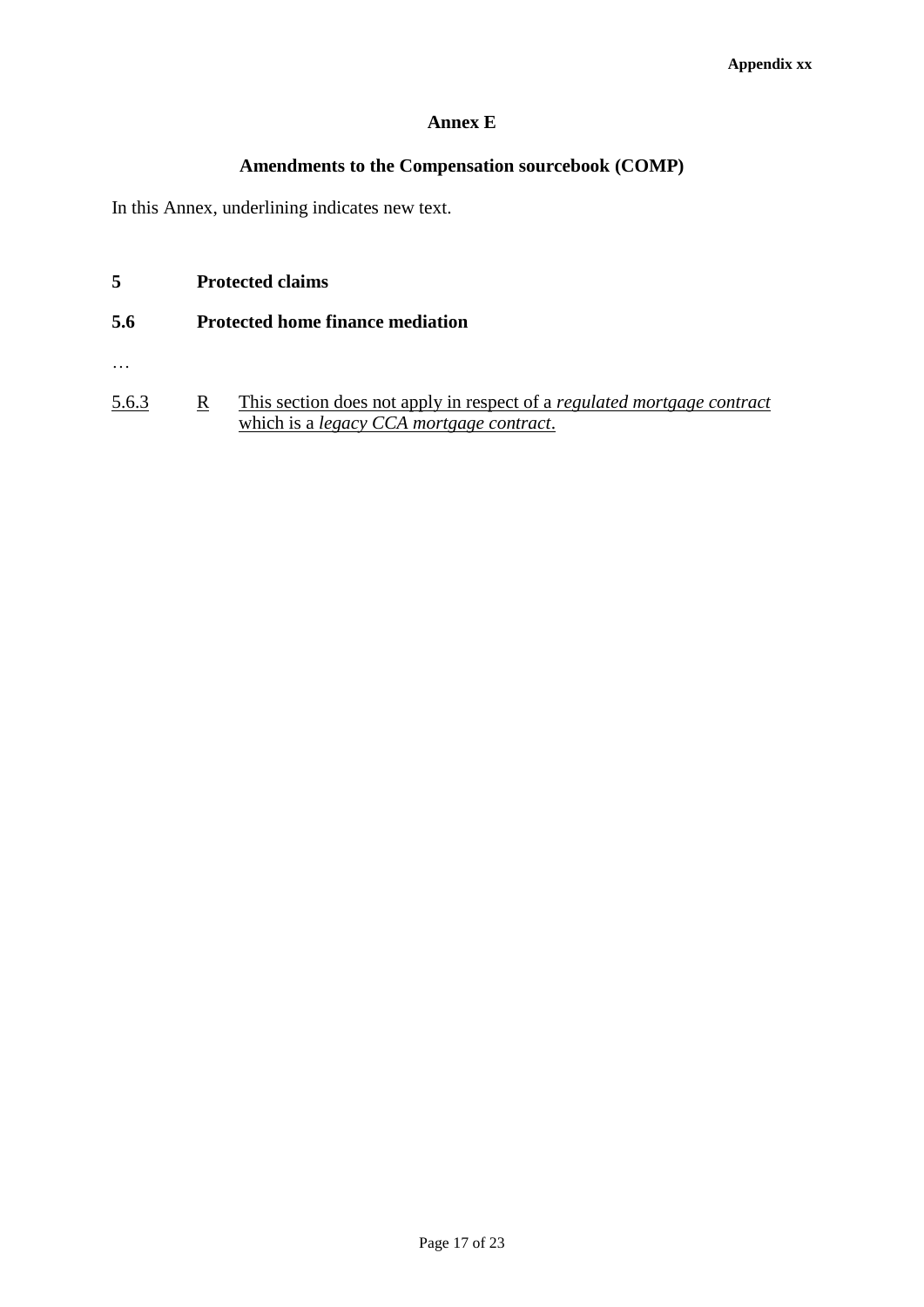## **Annex E**

## **Amendments to the Compensation sourcebook (COMP)**

In this Annex, underlining indicates new text.

- **5 Protected claims**
- **5.6 Protected home finance mediation**
- …
- 5.6.3 R This section does not apply in respect of a *regulated mortgage contract* which is a *legacy CCA mortgage contract*.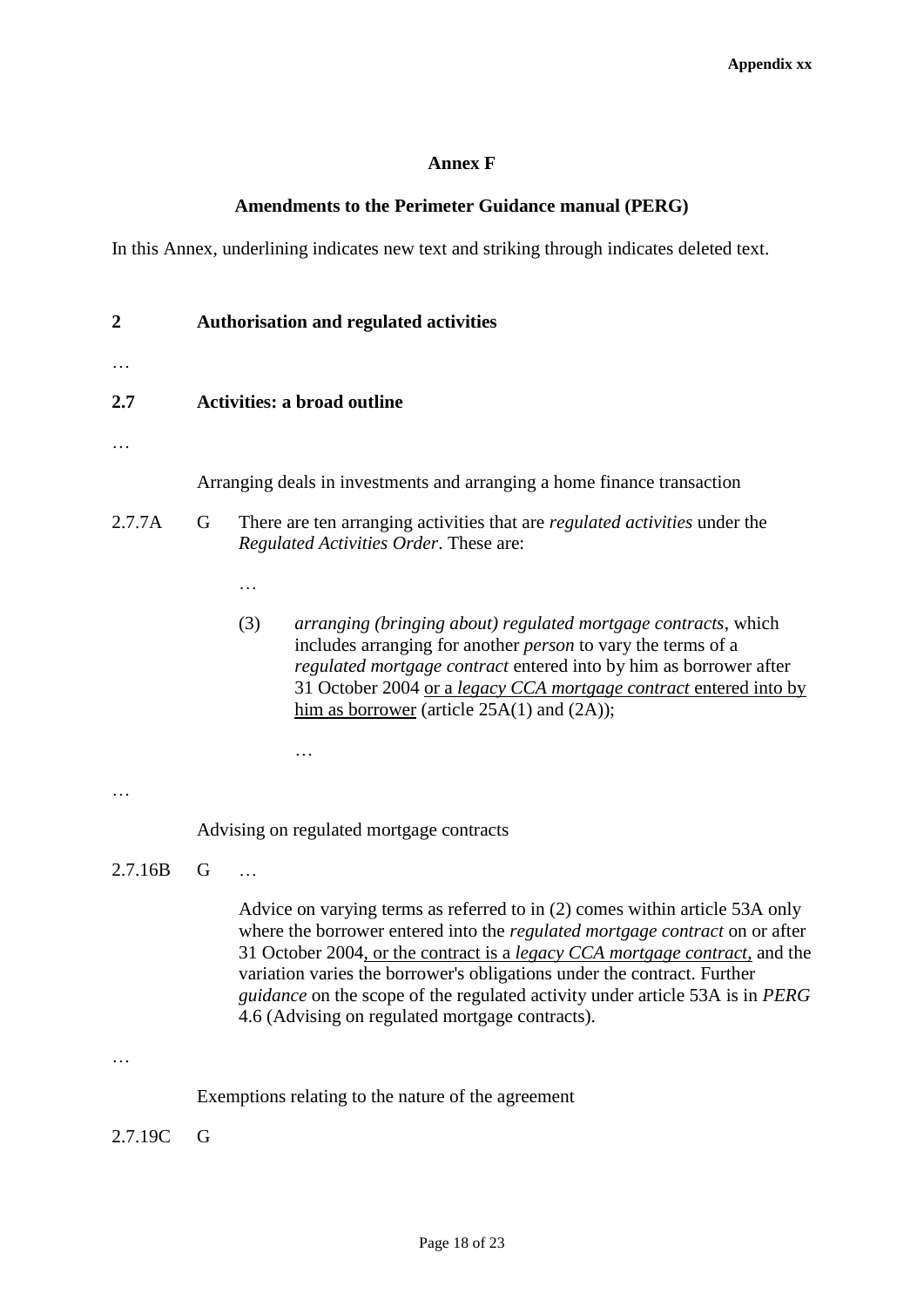## **Annex F**

## **Amendments to the Perimeter Guidance manual (PERG)**

In this Annex, underlining indicates new text and striking through indicates deleted text.

| $\boldsymbol{2}$ | <b>Authorisation and regulated activities</b><br><b>Activities: a broad outline</b>                                                                                                                                                                                                                                                                                                                                                                                    |  |  |  |
|------------------|------------------------------------------------------------------------------------------------------------------------------------------------------------------------------------------------------------------------------------------------------------------------------------------------------------------------------------------------------------------------------------------------------------------------------------------------------------------------|--|--|--|
| 2.7              |                                                                                                                                                                                                                                                                                                                                                                                                                                                                        |  |  |  |
|                  | Arranging deals in investments and arranging a home finance transaction                                                                                                                                                                                                                                                                                                                                                                                                |  |  |  |
| 2.7.7A           | G<br>There are ten arranging activities that are <i>regulated activities</i> under the<br>Regulated Activities Order. These are:                                                                                                                                                                                                                                                                                                                                       |  |  |  |
|                  |                                                                                                                                                                                                                                                                                                                                                                                                                                                                        |  |  |  |
|                  | (3)<br>arranging (bringing about) regulated mortgage contracts, which<br>includes arranging for another <i>person</i> to vary the terms of a<br>regulated mortgage contract entered into by him as borrower after<br>31 October 2004 or a legacy CCA mortgage contract entered into by<br>him as <b>borrower</b> (article $25A(1)$ and $(2A)$ );                                                                                                                       |  |  |  |
|                  |                                                                                                                                                                                                                                                                                                                                                                                                                                                                        |  |  |  |
|                  | Advising on regulated mortgage contracts                                                                                                                                                                                                                                                                                                                                                                                                                               |  |  |  |
| 2.7.16B          | G                                                                                                                                                                                                                                                                                                                                                                                                                                                                      |  |  |  |
|                  | Advice on varying terms as referred to in (2) comes within article 53A only<br>where the borrower entered into the <i>regulated mortgage contract</i> on or after<br>31 October 2004, or the contract is a <i>legacy CCA mortgage contract</i> , and the<br>variation varies the borrower's obligations under the contract. Further<br>guidance on the scope of the regulated activity under article 53A is in PERG<br>4.6 (Advising on regulated mortgage contracts). |  |  |  |
|                  |                                                                                                                                                                                                                                                                                                                                                                                                                                                                        |  |  |  |
|                  | Exemptions relating to the nature of the agreement                                                                                                                                                                                                                                                                                                                                                                                                                     |  |  |  |
| 2.7.19C          | G                                                                                                                                                                                                                                                                                                                                                                                                                                                                      |  |  |  |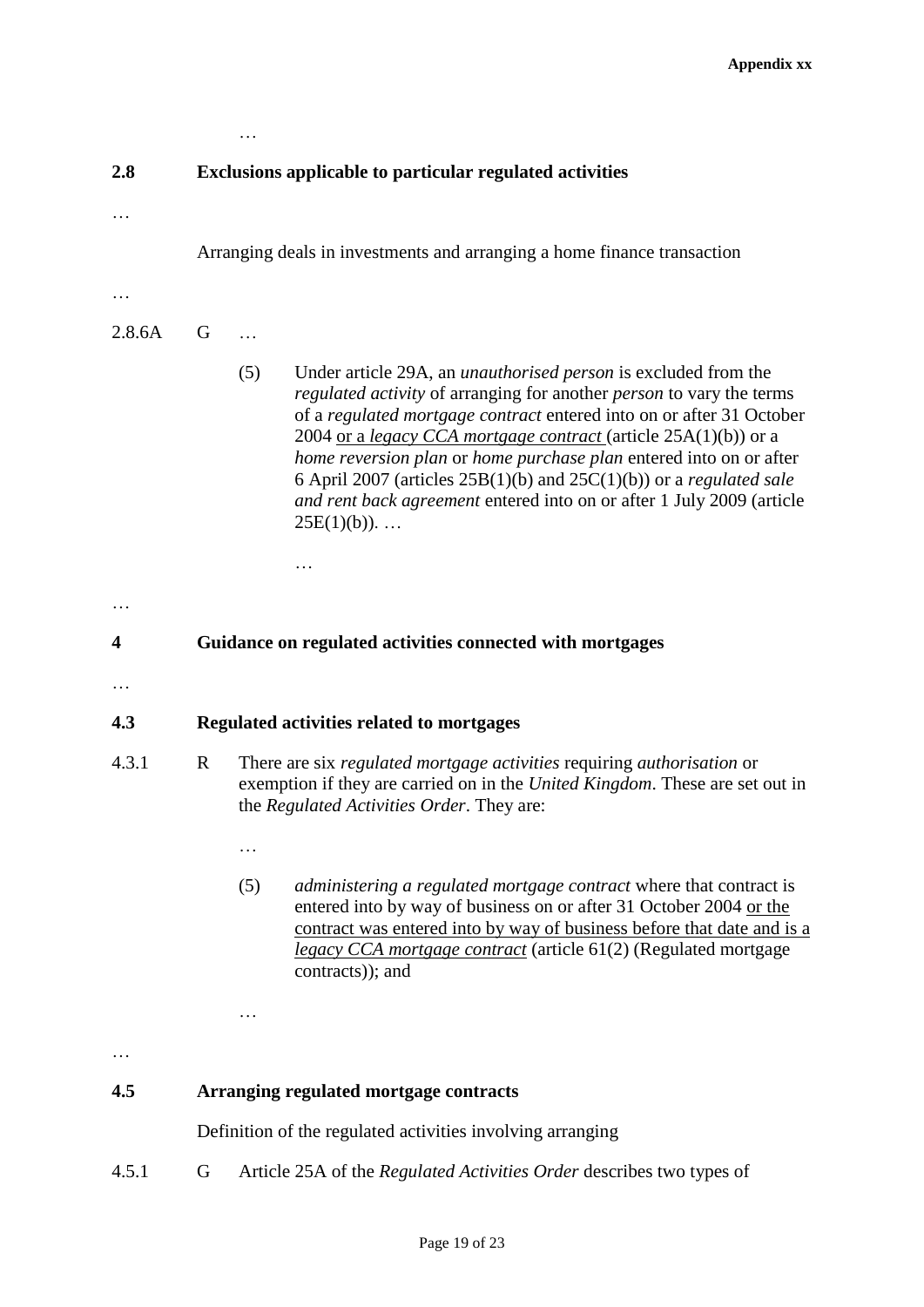| 2.8    | <b>Exclusions applicable to particular regulated activities</b>         |                                                                                                                                                                                                     |                                                                                                                                                                                                                                                                                                                                                                                                                                                                                                                                            |  |  |
|--------|-------------------------------------------------------------------------|-----------------------------------------------------------------------------------------------------------------------------------------------------------------------------------------------------|--------------------------------------------------------------------------------------------------------------------------------------------------------------------------------------------------------------------------------------------------------------------------------------------------------------------------------------------------------------------------------------------------------------------------------------------------------------------------------------------------------------------------------------------|--|--|
|        |                                                                         |                                                                                                                                                                                                     |                                                                                                                                                                                                                                                                                                                                                                                                                                                                                                                                            |  |  |
|        | Arranging deals in investments and arranging a home finance transaction |                                                                                                                                                                                                     |                                                                                                                                                                                                                                                                                                                                                                                                                                                                                                                                            |  |  |
| .      |                                                                         |                                                                                                                                                                                                     |                                                                                                                                                                                                                                                                                                                                                                                                                                                                                                                                            |  |  |
| 2.8.6A | G                                                                       |                                                                                                                                                                                                     |                                                                                                                                                                                                                                                                                                                                                                                                                                                                                                                                            |  |  |
|        |                                                                         | (5)                                                                                                                                                                                                 | Under article 29A, an <i>unauthorised person</i> is excluded from the<br>regulated activity of arranging for another person to vary the terms<br>of a regulated mortgage contract entered into on or after 31 October<br>2004 or a legacy CCA mortgage contract (article 25A(1)(b)) or a<br>home reversion plan or home purchase plan entered into on or after<br>6 April 2007 (articles $25B(1)(b)$ and $25C(1)(b)$ ) or a <i>regulated sale</i><br>and rent back agreement entered into on or after 1 July 2009 (article<br>$25E(1)(b))$ |  |  |
| 4      | Guidance on regulated activities connected with mortgages               |                                                                                                                                                                                                     |                                                                                                                                                                                                                                                                                                                                                                                                                                                                                                                                            |  |  |
|        |                                                                         |                                                                                                                                                                                                     |                                                                                                                                                                                                                                                                                                                                                                                                                                                                                                                                            |  |  |
| 4.3    | Regulated activities related to mortgages                               |                                                                                                                                                                                                     |                                                                                                                                                                                                                                                                                                                                                                                                                                                                                                                                            |  |  |
| 4.3.1  | $\mathbf R$                                                             | There are six regulated mortgage activities requiring authorisation or<br>exemption if they are carried on in the United Kingdom. These are set out in<br>the Regulated Activities Order. They are: |                                                                                                                                                                                                                                                                                                                                                                                                                                                                                                                                            |  |  |
|        |                                                                         | .                                                                                                                                                                                                   |                                                                                                                                                                                                                                                                                                                                                                                                                                                                                                                                            |  |  |
|        |                                                                         | (5)                                                                                                                                                                                                 | administering a regulated mortgage contract where that contract is<br>entered into by way of business on or after 31 October 2004 or the<br>contract was entered into by way of business before that date and is a<br>legacy CCA mortgage contract (article 61(2) (Regulated mortgage<br>contracts)); and                                                                                                                                                                                                                                  |  |  |

## **4.5 Arranging regulated mortgage contracts**

…

Definition of the regulated activities involving arranging

4.5.1 G Article 25A of the *Regulated Activities Order* describes two types of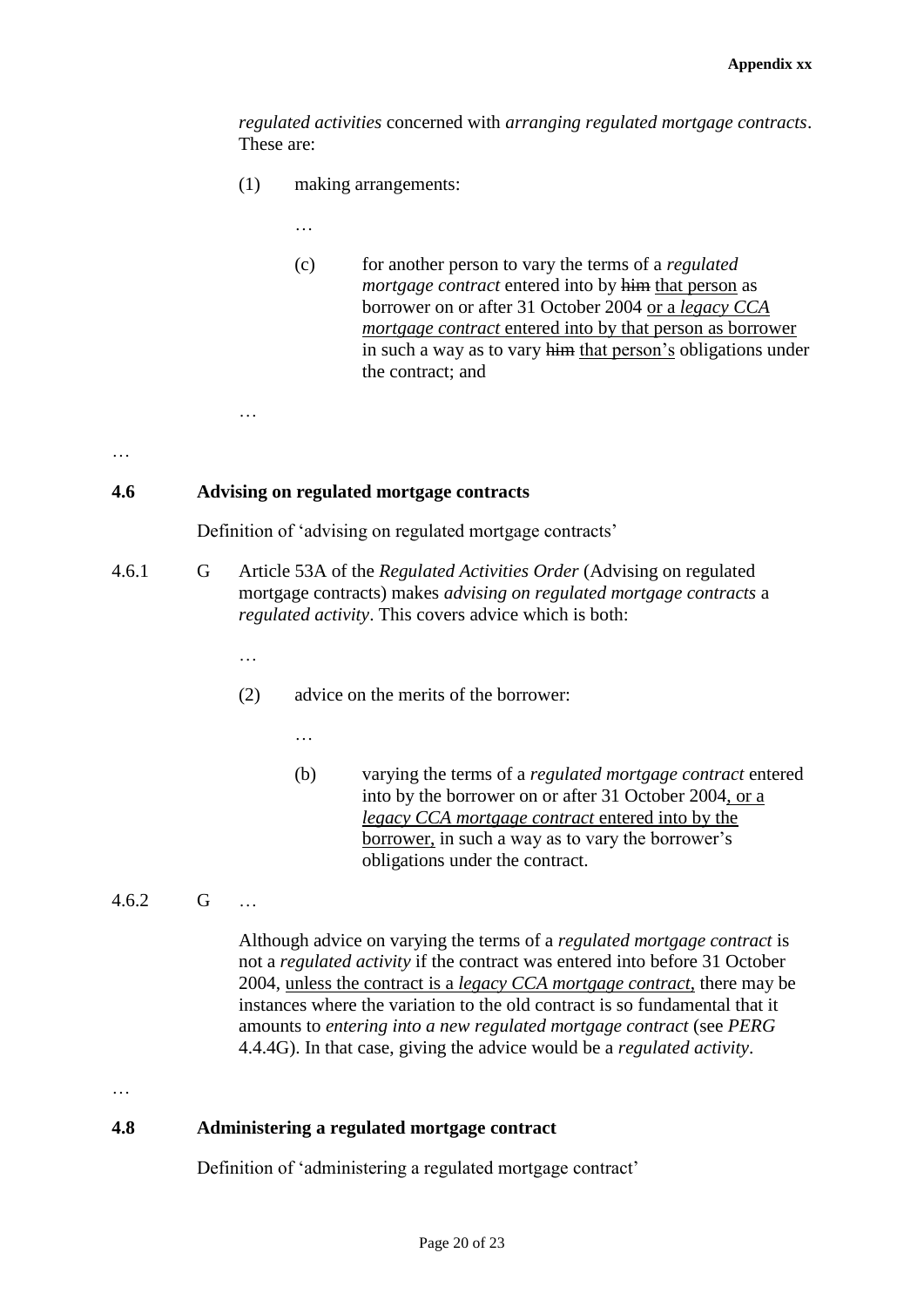*regulated activities* concerned with *arranging regulated mortgage contracts*. These are:

- (1) making arrangements:
	- …
		- (c) for another person to vary the terms of a *regulated mortgage contract* entered into by him that person as borrower on or after 31 October 2004 or a *legacy CCA mortgage contract* entered into by that person as borrower in such a way as to vary him that person's obligations under the contract; and

…

## **4.6 Advising on regulated mortgage contracts**

Definition of 'advising on regulated mortgage contracts'

- 4.6.1 G Article 53A of the *Regulated Activities Order* (Advising on regulated mortgage contracts) makes *advising on regulated mortgage contracts* a *regulated activity*. This covers advice which is both:
	- …

…

- (2) advice on the merits of the borrower:
	- …
	- (b) varying the terms of a *regulated mortgage contract* entered into by the borrower on or after 31 October 2004, or a *legacy CCA mortgage contract* entered into by the borrower, in such a way as to vary the borrower's obligations under the contract.
- 4.6.2 G …

Although advice on varying the terms of a *regulated mortgage contract* is not a *regulated activity* if the contract was entered into before 31 October 2004, unless the contract is a *legacy CCA mortgage contract*, there may be instances where the variation to the old contract is so fundamental that it amounts to *entering into a new regulated mortgage contract* (see *PERG* 4.4.4G). In that case, giving the advice would be a *regulated activity*.

…

### **4.8 Administering a regulated mortgage contract**

Definition of 'administering a regulated mortgage contract'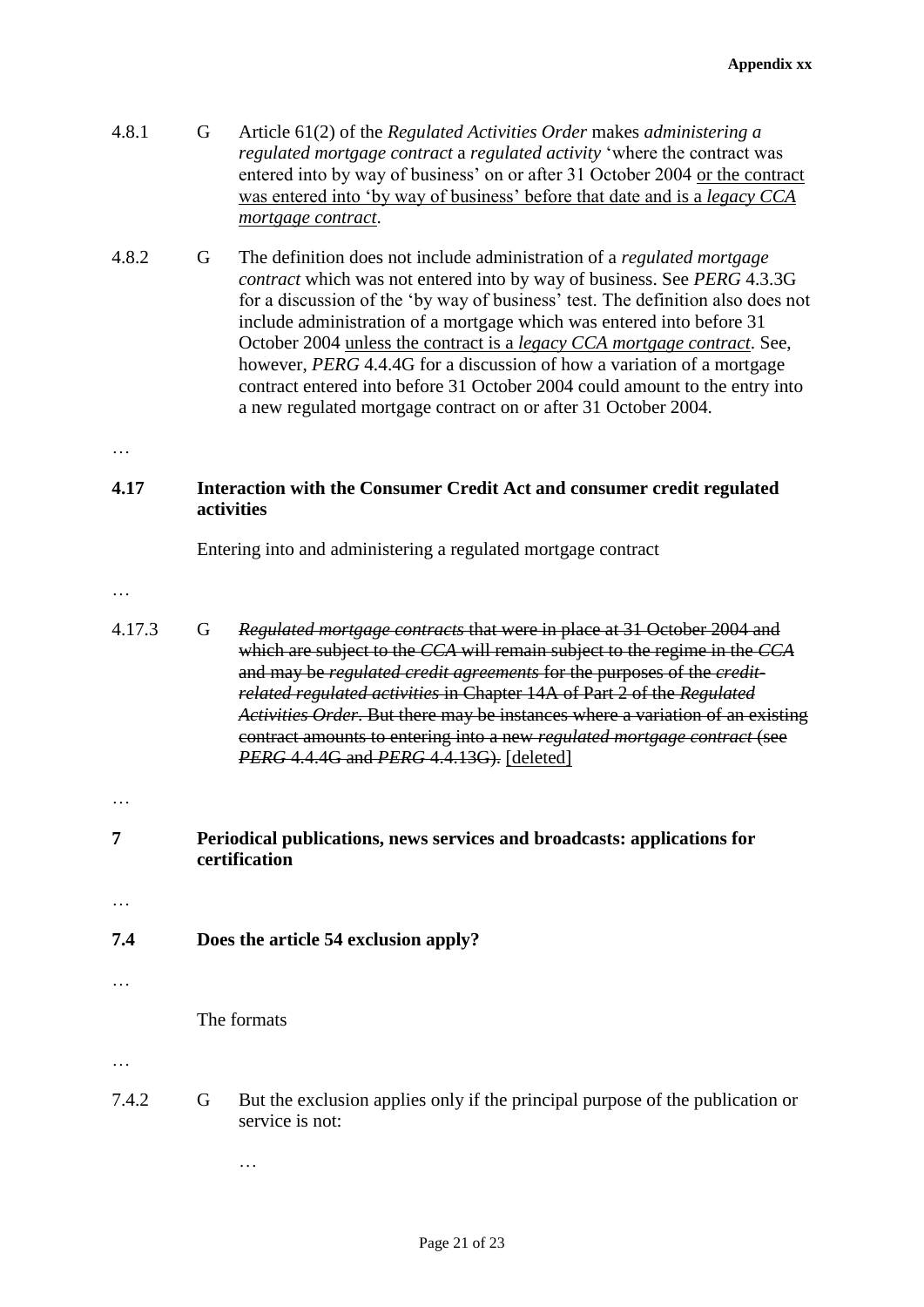- 4.8.1 G Article 61(2) of the *Regulated Activities Order* makes *administering a regulated mortgage contract* a *regulated activity* 'where the contract was entered into by way of business' on or after 31 October 2004 or the contract was entered into 'by way of business' before that date and is a *legacy CCA mortgage contract*.
- 4.8.2 G The definition does not include administration of a *regulated mortgage contract* which was not entered into by way of business. See *PERG* 4.3.3G for a discussion of the 'by way of business' test. The definition also does not include administration of a mortgage which was entered into before 31 October 2004 unless the contract is a *legacy CCA mortgage contract*. See, however, *PERG* 4.4.4G for a discussion of how a variation of a mortgage contract entered into before 31 October 2004 could amount to the entry into a new regulated mortgage contract on or after 31 October 2004.

## **4.17 Interaction with the Consumer Credit Act and consumer credit regulated activities**

Entering into and administering a regulated mortgage contract

…

- 4.17.3 G *Regulated mortgage contracts* that were in place at 31 October 2004 and which are subject to the *CCA* will remain subject to the regime in the *CCA* and may be *regulated credit agreements* for the purposes of the *creditrelated regulated activities* in Chapter 14A of Part 2 of the *Regulated Activities Order*. But there may be instances where a variation of an existing contract amounts to entering into a new *regulated mortgage contract* (see *PERG* 4.4.4G and *PERG* 4.4.13G). [deleted]
- …
- **7 Periodical publications, news services and broadcasts: applications for certification**

…

## **7.4 Does the article 54 exclusion apply?**

…

The formats

…

7.4.2 G But the exclusion applies only if the principal purpose of the publication or service is not:

…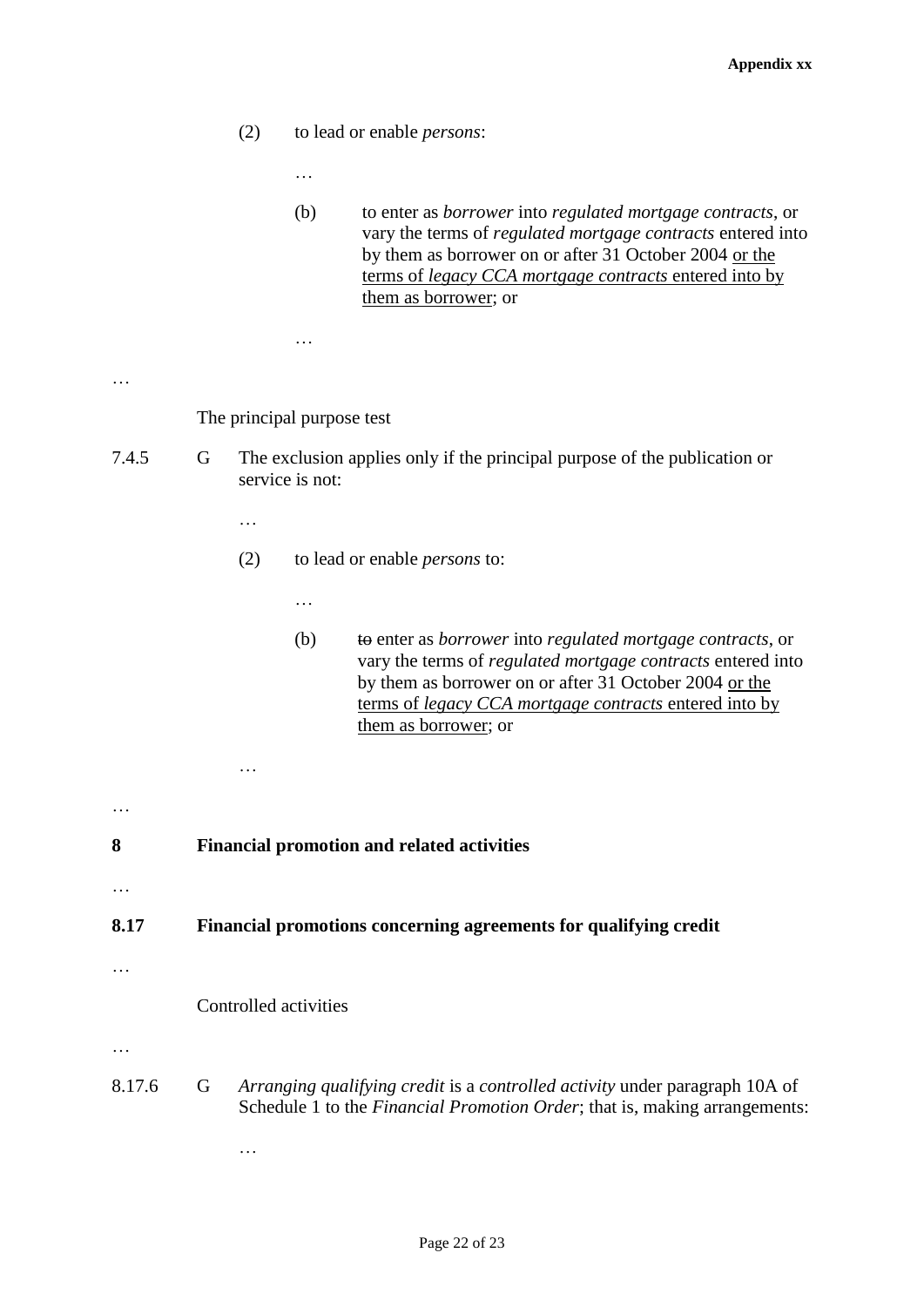- (2) to lead or enable *persons*:
	- …
		- (b) to enter as *borrower* into *regulated mortgage contracts*, or vary the terms of *regulated mortgage contracts* entered into by them as borrower on or after 31 October 2004 or the terms of *legacy CCA mortgage contracts* entered into by them as borrower; or

The principal purpose test

…

- 7.4.5 G The exclusion applies only if the principal purpose of the publication or service is not:
	- …

…

- (2) to lead or enable *persons* to:
	- …
	- (b) to enter as *borrower* into *regulated mortgage contracts*, or vary the terms of *regulated mortgage contracts* entered into by them as borrower on or after 31 October 2004 or the terms of *legacy CCA mortgage contracts* entered into by them as borrower; or
- … **8 Financial promotion and related activities** … **8.17 Financial promotions concerning agreements for qualifying credit** … Controlled activities
- …
- 8.17.6 G *Arranging qualifying credit* is a *controlled activity* under paragraph 10A of Schedule 1 to the *Financial Promotion Order*; that is, making arrangements:
	- …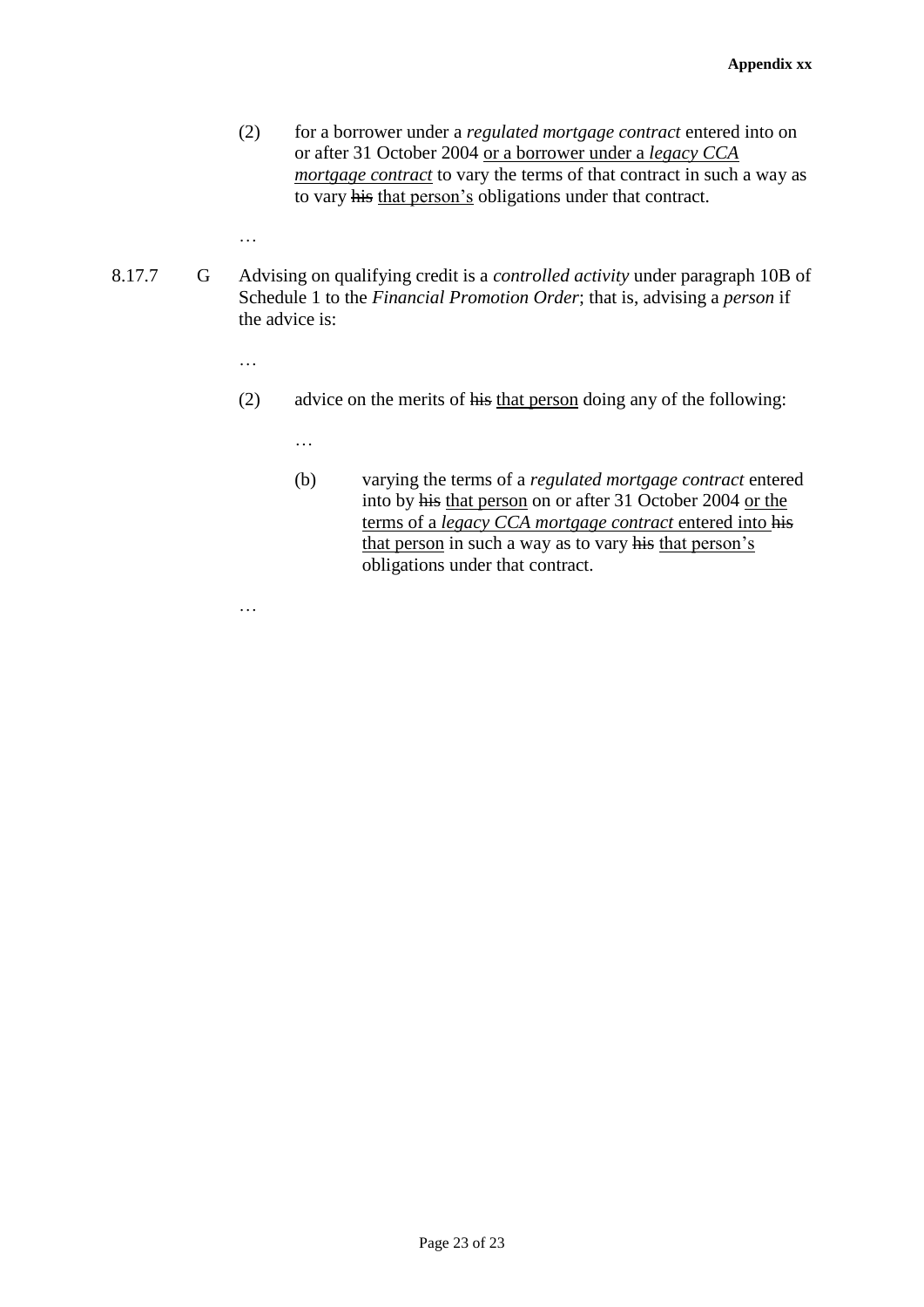- (2) for a borrower under a *regulated mortgage contract* entered into on or after 31 October 2004 or a borrower under a *legacy CCA mortgage contract* to vary the terms of that contract in such a way as to vary his that person's obligations under that contract.
- 8.17.7 G Advising on qualifying credit is a *controlled activity* under paragraph 10B of Schedule 1 to the *Financial Promotion Order*; that is, advising a *person* if the advice is:
	- …

…

- (2) advice on the merits of his that person doing any of the following:
	- …
	- (b) varying the terms of a *regulated mortgage contract* entered into by his that person on or after 31 October 2004 or the terms of a *legacy CCA mortgage contract* entered into his that person in such a way as to vary his that person's obligations under that contract.

Page 23 of 23